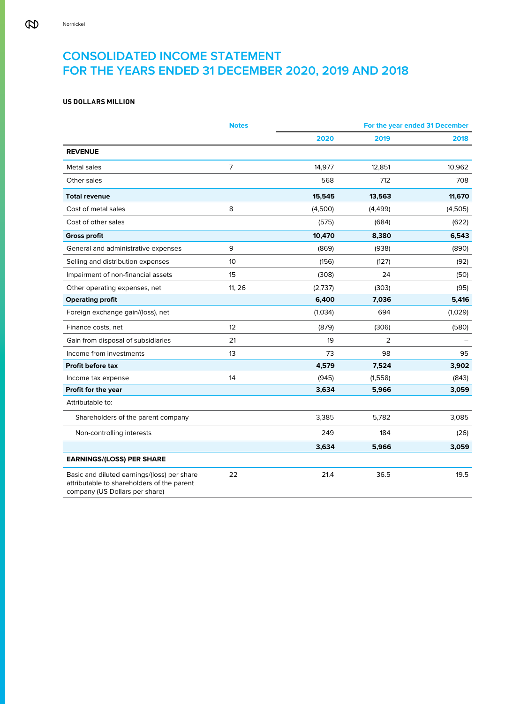# **CONSOLIDATED INCOME STATEMENT FOR THE YEARS ENDED 31 DECEMBER 2020, 2019 AND 2018**

# **US DOLLARS MILLION**

|                                                                                                                             | <b>Notes</b> |         |          | For the year ended 31 December |
|-----------------------------------------------------------------------------------------------------------------------------|--------------|---------|----------|--------------------------------|
|                                                                                                                             |              | 2020    | 2019     | 2018                           |
| <b>REVENUE</b>                                                                                                              |              |         |          |                                |
| Metal sales                                                                                                                 | 7            | 14,977  | 12,851   | 10,962                         |
| Other sales                                                                                                                 |              | 568     | 712      | 708                            |
| <b>Total revenue</b>                                                                                                        |              | 15,545  | 13,563   | 11,670                         |
| Cost of metal sales                                                                                                         | 8            | (4,500) | (4, 499) | (4,505)                        |
| Cost of other sales                                                                                                         |              | (575)   | (684)    | (622)                          |
| <b>Gross profit</b>                                                                                                         |              | 10,470  | 8,380    | 6,543                          |
| General and administrative expenses                                                                                         | 9            | (869)   | (938)    | (890)                          |
| Selling and distribution expenses                                                                                           | 10           | (156)   | (127)    | (92)                           |
| Impairment of non-financial assets                                                                                          | 15           | (308)   | 24       | (50)                           |
| Other operating expenses, net                                                                                               | 11, 26       | (2,737) | (303)    | (95)                           |
| <b>Operating profit</b>                                                                                                     |              | 6,400   | 7,036    | 5,416                          |
| Foreign exchange gain/(loss), net                                                                                           |              | (1,034) | 694      | (1,029)                        |
| Finance costs, net                                                                                                          | 12           | (879)   | (306)    | (580)                          |
| Gain from disposal of subsidiaries                                                                                          | 21           | 19      | 2        |                                |
| Income from investments                                                                                                     | 13           | 73      | 98       | 95                             |
| <b>Profit before tax</b>                                                                                                    |              | 4,579   | 7,524    | 3,902                          |
| Income tax expense                                                                                                          | 14           | (945)   | (1,558)  | (843)                          |
| Profit for the year                                                                                                         |              | 3,634   | 5,966    | 3,059                          |
| Attributable to:                                                                                                            |              |         |          |                                |
| Shareholders of the parent company                                                                                          |              | 3,385   | 5,782    | 3,085                          |
| Non-controlling interests                                                                                                   |              | 249     | 184      | (26)                           |
|                                                                                                                             |              | 3,634   | 5,966    | 3,059                          |
| <b>EARNINGS/(LOSS) PER SHARE</b>                                                                                            |              |         |          |                                |
| Basic and diluted earnings/(loss) per share<br>attributable to shareholders of the parent<br>company (US Dollars per share) | 22           | 21.4    | 36.5     | 19.5                           |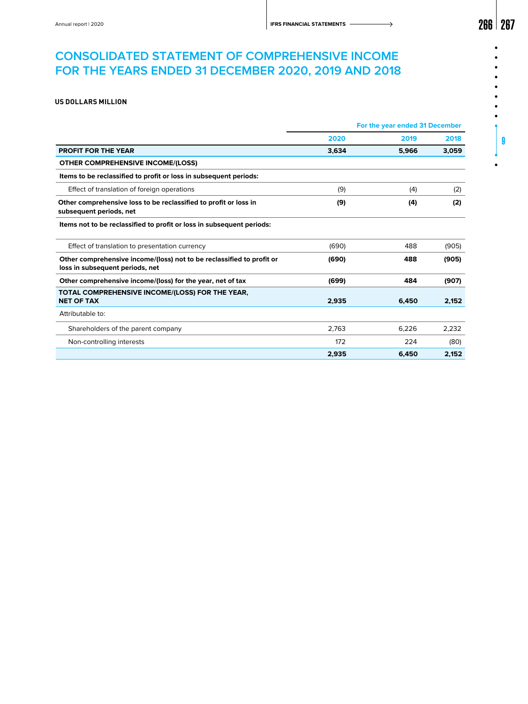# **CONSOLIDATED STATEMENT OF COMPREHENSIVE INCOME FOR THE YEARS ENDED 31 DECEMBER 2020, 2019 AND 2018**

# **US DOLLARS MILLION**

|                                                                                                          | For the year ended 31 December |       |       |  |
|----------------------------------------------------------------------------------------------------------|--------------------------------|-------|-------|--|
|                                                                                                          | 2020                           | 2019  | 2018  |  |
| <b>PROFIT FOR THE YEAR</b>                                                                               | 3,634                          | 5,966 | 3,059 |  |
| <b>OTHER COMPREHENSIVE INCOME/(LOSS)</b>                                                                 |                                |       |       |  |
| Items to be reclassified to profit or loss in subsequent periods:                                        |                                |       |       |  |
| Effect of translation of foreign operations                                                              | (9)                            | (4)   | (2)   |  |
| Other comprehensive loss to be reclassified to profit or loss in<br>subsequent periods, net              | (9)                            | (4)   | (2)   |  |
| Items not to be reclassified to profit or loss in subsequent periods:                                    |                                |       |       |  |
| Effect of translation to presentation currency                                                           | (690)                          | 488   | (905) |  |
| Other comprehensive income/(loss) not to be reclassified to profit or<br>loss in subsequent periods, net | (690)                          | 488   | (905) |  |
| Other comprehensive income/(loss) for the year, net of tax                                               | (699)                          | 484   | (907) |  |
| TOTAL COMPREHENSIVE INCOME/(LOSS) FOR THE YEAR,<br><b>NET OF TAX</b>                                     | 2.935                          | 6.450 | 2,152 |  |
| Attributable to:                                                                                         |                                |       |       |  |
| Shareholders of the parent company                                                                       | 2.763                          | 6.226 | 2.232 |  |
| Non-controlling interests                                                                                | 172                            | 224   | (80)  |  |
|                                                                                                          | 2,935                          | 6,450 | 2,152 |  |

 $\bullet$ 

9

 $\bullet$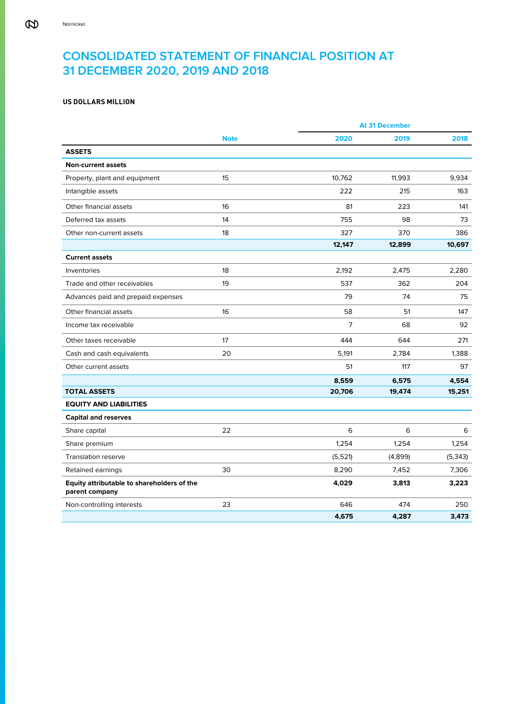# **CONSOLIDATED STATEMENT OF FINANCIAL POSITION AT 31 DECEMBER 2020, 2019 AND 2018**

# **US DOLLARS MILLION**

|                                                              |             |         | <b>At 31 December</b> |          |
|--------------------------------------------------------------|-------------|---------|-----------------------|----------|
|                                                              | <b>Note</b> | 2020    | 2019                  | 2018     |
| <b>ASSETS</b>                                                |             |         |                       |          |
| <b>Non-current assets</b>                                    |             |         |                       |          |
| Property, plant and equipment                                | 15          | 10,762  | 11,993                | 9,934    |
| Intangible assets                                            |             | 222     | 215                   | 163      |
| Other financial assets                                       | 16          | 81      | 223                   | 141      |
| Deferred tax assets                                          | 14          | 755     | 98                    | 73       |
| Other non-current assets                                     | 18          | 327     | 370                   | 386      |
|                                                              |             | 12,147  | 12,899                | 10,697   |
| <b>Current assets</b>                                        |             |         |                       |          |
| Inventories                                                  | 18          | 2,192   | 2,475                 | 2,280    |
| Trade and other receivables                                  | 19          | 537     | 362                   | 204      |
| Advances paid and prepaid expenses                           |             | 79      | 74                    | 75       |
| Other financial assets                                       | 16          | 58      | 51                    | 147      |
| Income tax receivable                                        |             | 7       | 68                    | 92       |
| Other taxes receivable                                       | 17          | 444     | 644                   | 271      |
| Cash and cash equivalents                                    | 20          | 5,191   | 2,784                 | 1,388    |
| Other current assets                                         |             | 51      | 117                   | 97       |
|                                                              |             | 8,559   | 6,575                 | 4,554    |
| <b>TOTAL ASSETS</b>                                          |             | 20,706  | 19,474                | 15,251   |
| <b>EQUITY AND LIABILITIES</b>                                |             |         |                       |          |
| <b>Capital and reserves</b>                                  |             |         |                       |          |
| Share capital                                                | 22          | 6       | 6                     | 6        |
| Share premium                                                |             | 1,254   | 1,254                 | 1.254    |
| <b>Translation reserve</b>                                   |             | (5,521) | (4,899)               | (5, 343) |
| Retained earnings                                            | 30          | 8,290   | 7,452                 | 7,306    |
| Equity attributable to shareholders of the<br>parent company |             | 4,029   | 3,813                 | 3,223    |
| Non-controlling interests                                    | 23          | 646     | 474                   | 250      |
|                                                              |             | 4,675   | 4,287                 | 3,473    |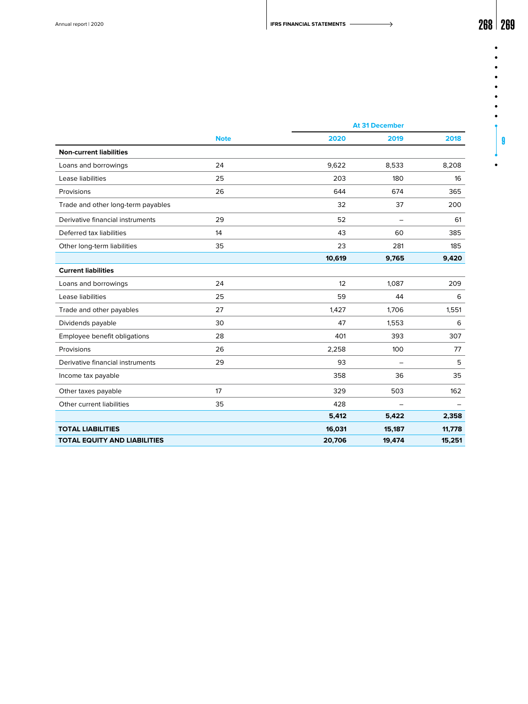$\bullet$  $\bullet$  $\bullet$  $\bullet$  $\bullet$ 

| ż      |   |
|--------|---|
| j<br>ш |   |
|        |   |
| ľ      |   |
|        | q |
|        |   |

|                                     |             |        | <b>At 31 December</b> |        |  |
|-------------------------------------|-------------|--------|-----------------------|--------|--|
|                                     | <b>Note</b> | 2020   | 2019                  | 2018   |  |
| <b>Non-current liabilities</b>      |             |        |                       |        |  |
| Loans and borrowings                | 24          | 9,622  | 8,533                 | 8,208  |  |
| Lease liabilities                   | 25          | 203    | 180                   | 16     |  |
| Provisions                          | 26          | 644    | 674                   | 365    |  |
| Trade and other long-term payables  |             | 32     | 37                    | 200    |  |
| Derivative financial instruments    | 29          | 52     |                       | 61     |  |
| Deferred tax liabilities            | 14          | 43     | 60                    | 385    |  |
| Other long-term liabilities         | 35          | 23     | 281                   | 185    |  |
|                                     |             | 10,619 | 9,765                 | 9,420  |  |
| <b>Current liabilities</b>          |             |        |                       |        |  |
| Loans and borrowings                | 24          | 12     | 1,087                 | 209    |  |
| Lease liabilities                   | 25          | 59     | 44                    | 6      |  |
| Trade and other payables            | 27          | 1,427  | 1,706                 | 1,551  |  |
| Dividends payable                   | 30          | 47     | 1,553                 | 6      |  |
| Employee benefit obligations        | 28          | 401    | 393                   | 307    |  |
| Provisions                          | 26          | 2,258  | 100                   | 77     |  |
| Derivative financial instruments    | 29          | 93     |                       | 5      |  |
| Income tax payable                  |             | 358    | 36                    | 35     |  |
| Other taxes payable                 | 17          | 329    | 503                   | 162    |  |
| Other current liabilities           | 35          | 428    |                       |        |  |
|                                     |             | 5,412  | 5,422                 | 2,358  |  |
| <b>TOTAL LIABILITIES</b>            |             | 16,031 | 15,187                | 11,778 |  |
| <b>TOTAL EQUITY AND LIABILITIES</b> |             | 20,706 | 19,474                | 15,251 |  |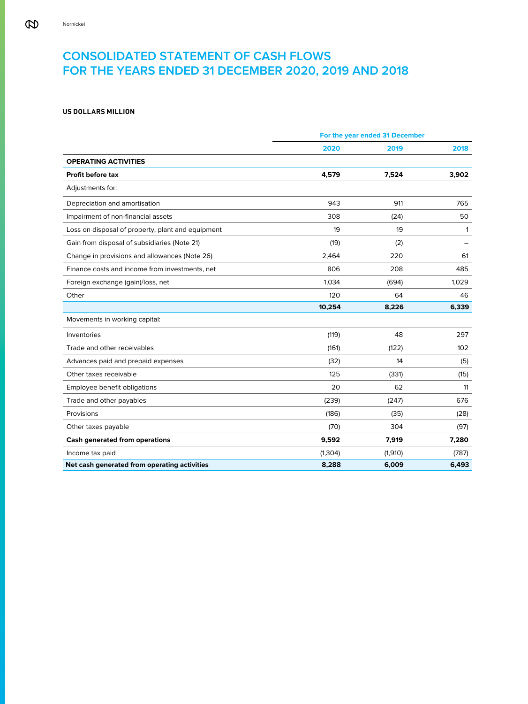# **CONSOLIDATED STATEMENT OF CASH FLOWS FOR THE YEARS ENDED 31 DECEMBER 2020, 2019 AND 2018**

# **US DOLLARS MILLION**

|                                                   | For the year ended 31 December |         |              |  |
|---------------------------------------------------|--------------------------------|---------|--------------|--|
|                                                   | 2020                           | 2019    | 2018         |  |
| <b>OPERATING ACTIVITIES</b>                       |                                |         |              |  |
| <b>Profit before tax</b>                          | 4,579                          | 7,524   | 3,902        |  |
| Adjustments for:                                  |                                |         |              |  |
| Depreciation and amortisation                     | 943                            | 911     | 765          |  |
| Impairment of non-financial assets                | 308                            | (24)    | 50           |  |
| Loss on disposal of property, plant and equipment | 19                             | 19      | $\mathbf{1}$ |  |
| Gain from disposal of subsidiaries (Note 21)      | (19)                           | (2)     |              |  |
| Change in provisions and allowances (Note 26)     | 2,464                          | 220     | 61           |  |
| Finance costs and income from investments, net    | 806                            | 208     | 485          |  |
| Foreign exchange (gain)/loss, net                 | 1.034                          | (694)   | 1,029        |  |
| Other                                             | 120                            | 64      | 46           |  |
|                                                   | 10,254                         | 8,226   | 6,339        |  |
| Movements in working capital:                     |                                |         |              |  |
| Inventories                                       | (119)                          | 48      | 297          |  |
| Trade and other receivables                       | (161)                          | (122)   | 102          |  |
| Advances paid and prepaid expenses                | (32)                           | 14      | (5)          |  |
| Other taxes receivable                            | 125                            | (331)   | (15)         |  |
| Employee benefit obligations                      | 20                             | 62      | 11           |  |
| Trade and other payables                          | (239)                          | (247)   | 676          |  |
| Provisions                                        | (186)                          | (35)    | (28)         |  |
| Other taxes payable                               | (70)                           | 304     | (97)         |  |
| <b>Cash generated from operations</b>             | 9,592                          | 7,919   | 7,280        |  |
| Income tax paid                                   | (1, 304)                       | (1,910) | (787)        |  |
| Net cash generated from operating activities      | 8,288                          | 6,009   | 6,493        |  |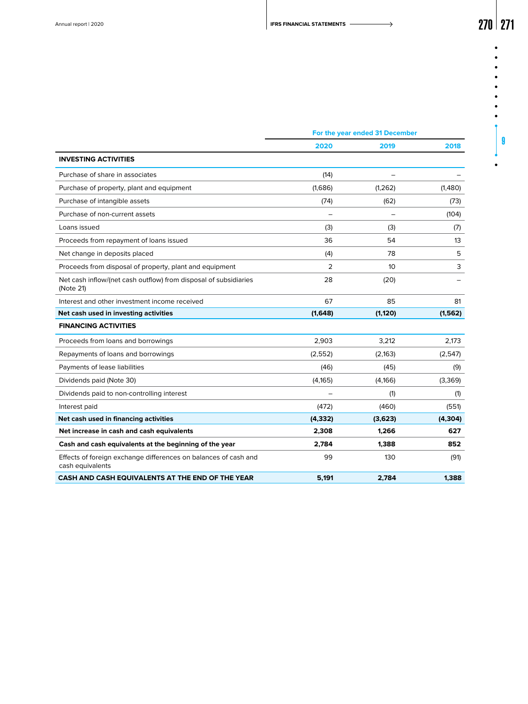$\bullet$  $\bullet$ 

 $\bullet$ 

| ۰ |  |   |
|---|--|---|
| ٠ |  |   |
|   |  |   |
|   |  |   |
|   |  |   |
|   |  | 9 |
|   |  |   |

 $\bullet$ 

|                                                                                     | For the year ended 31 December |                 |          |  |
|-------------------------------------------------------------------------------------|--------------------------------|-----------------|----------|--|
|                                                                                     | 2020                           | 2019            | 2018     |  |
| <b>INVESTING ACTIVITIES</b>                                                         |                                |                 |          |  |
| Purchase of share in associates                                                     | (14)                           |                 |          |  |
| Purchase of property, plant and equipment                                           | (1,686)                        | (1, 262)        | (1,480)  |  |
| Purchase of intangible assets                                                       | (74)                           | (62)            | (73)     |  |
| Purchase of non-current assets                                                      |                                |                 | (104)    |  |
| Loans issued                                                                        | (3)                            | (3)             | (7)      |  |
| Proceeds from repayment of loans issued                                             | 36                             | 54              | 13       |  |
| Net change in deposits placed                                                       | (4)                            | 78              | 5        |  |
| Proceeds from disposal of property, plant and equipment                             | 2                              | 10 <sup>°</sup> | 3        |  |
| Net cash inflow/(net cash outflow) from disposal of subsidiaries<br>(Note 21)       | 28                             | (20)            |          |  |
| Interest and other investment income received                                       | 67                             | 85              | 81       |  |
| Net cash used in investing activities                                               | (1,648)                        | (1, 120)        | (1, 562) |  |
| <b>FINANCING ACTIVITIES</b>                                                         |                                |                 |          |  |
| Proceeds from loans and borrowings                                                  | 2.903                          | 3.212           | 2.173    |  |
| Repayments of loans and borrowings                                                  | (2, 552)                       | (2, 163)        | (2,547)  |  |
| Payments of lease liabilities                                                       | (46)                           | (45)            | (9)      |  |
| Dividends paid (Note 30)                                                            | (4, 165)                       | (4,166)         | (3,369)  |  |
| Dividends paid to non-controlling interest                                          |                                | (1)             | (1)      |  |
| Interest paid                                                                       | (472)                          | (460)           | (551)    |  |
| Net cash used in financing activities                                               | (4, 332)                       | (3,623)         | (4, 304) |  |
| Net increase in cash and cash equivalents                                           | 2,308                          | 1,266           | 627      |  |
| Cash and cash equivalents at the beginning of the year                              | 2,784                          | 1,388           | 852      |  |
| Effects of foreign exchange differences on balances of cash and<br>cash equivalents | 99                             | 130             | (91)     |  |
| CASH AND CASH EQUIVALENTS AT THE END OF THE YEAR                                    | 5.191                          | 2.784           | 1.388    |  |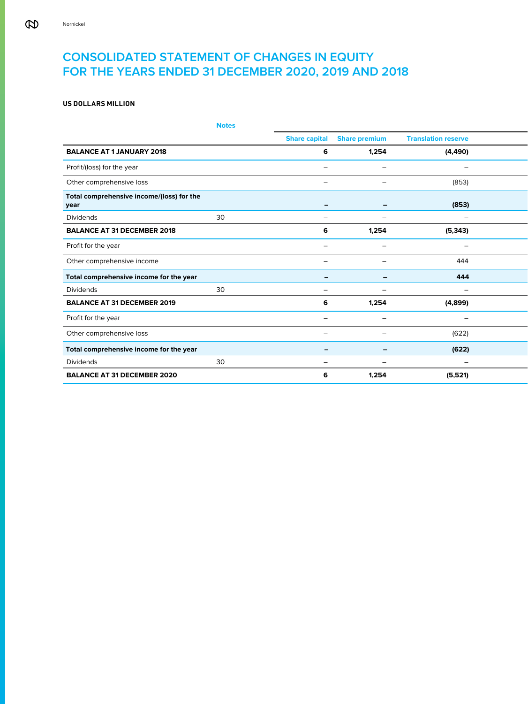# **CONSOLIDATED STATEMENT OF CHANGES IN EQUITY FOR THE YEARS ENDED 31 DECEMBER 2020, 2019 AND 2018**

# **US DOLLARS MILLION**

|                                                   | <b>Notes</b> |                          |                                    |                                 |  |
|---------------------------------------------------|--------------|--------------------------|------------------------------------|---------------------------------|--|
|                                                   |              |                          | <b>Share capital Share premium</b> | <b>Translation reserve</b>      |  |
| <b>BALANCE AT 1 JANUARY 2018</b>                  |              | 6                        | 1,254                              | (4, 490)                        |  |
| Profit/(loss) for the year                        |              | $\overline{\phantom{0}}$ | $-$                                | $\overline{\phantom{0}}$        |  |
| Other comprehensive loss                          |              | $\overline{\phantom{m}}$ | $\qquad \qquad -$                  | (853)                           |  |
| Total comprehensive income/(loss) for the<br>year |              | $\overline{\phantom{0}}$ | $\overline{\phantom{m}}$           | (853)                           |  |
| Dividends                                         | 30           | $\overline{\phantom{0}}$ | $\overline{\phantom{0}}$           | $\overline{\phantom{0}}$        |  |
| <b>BALANCE AT 31 DECEMBER 2018</b>                |              | 6                        | 1,254                              | (5, 343)                        |  |
| Profit for the year                               |              | $\overline{\phantom{m}}$ | $\overline{\phantom{0}}$           | $\overline{\phantom{0}}$        |  |
| Other comprehensive income                        |              | $\overline{\phantom{0}}$ | $-$                                | 444                             |  |
| Total comprehensive income for the year           |              | $\overline{\phantom{0}}$ | $\overline{\phantom{a}}$           | 444                             |  |
| Dividends                                         | 30           | $\overline{\phantom{0}}$ | $\overline{\phantom{0}}$           | $\overline{\phantom{0}}$        |  |
| <b>BALANCE AT 31 DECEMBER 2019</b>                |              | 6                        | 1,254                              | (4,899)                         |  |
| Profit for the year                               |              | $\overline{\phantom{0}}$ | $-$                                | $\overline{\phantom{0}}$        |  |
| Other comprehensive loss                          |              | $\overline{\phantom{m}}$ | $\overline{\phantom{0}}$           | (622)                           |  |
| Total comprehensive income for the year           |              | $\overline{\phantom{0}}$ | $\sim$                             | (622)                           |  |
| Dividends                                         | 30           | $\overline{\phantom{m}}$ | $\overline{\phantom{0}}$           | $\hspace{0.1mm}-\hspace{0.1mm}$ |  |
| <b>BALANCE AT 31 DECEMBER 2020</b>                |              | 6                        | 1,254                              | (5,521)                         |  |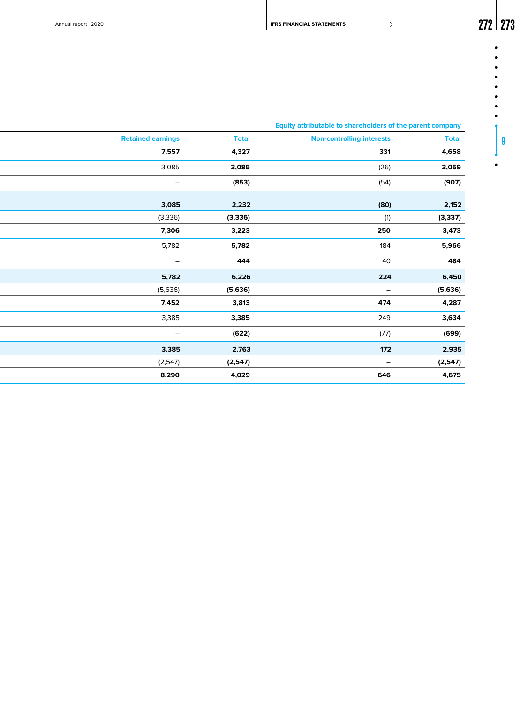$\bullet$  $\bullet$  $\bullet$  $\bullet$ .

> $\bullet$  $\bullet$  $\bullet$ 9

 $\bullet$ 

# **Notes Equity attributable to shareholders of the parent company**

| <b>Retained earnings</b><br><b>Non-controlling interests</b><br><b>Total</b><br>331<br>7,557<br>4,327<br>3,085<br>(26)<br>3,085<br>(54)<br>(907)<br>(853)<br>$ \,$<br>2,152<br>3,085<br>2,232<br>(80)<br>(3,337)<br>(1)<br>(3,336)<br>(3, 336)<br>250<br>3,473<br>7,306<br>3,223<br>5,966<br>5,782<br>184<br>5,782<br>40<br>484<br>444<br>$\sim$<br>6,450<br>224<br>5,782<br>6,226<br>(5,636)<br>(5,636)<br>(5,636)<br>$\sim$<br>4,287<br>3,813<br>474<br>7,452<br>249<br>3,634<br>3,385<br>3,385<br>(699)<br>(77)<br>(622)<br>$-$<br>2,935<br>3,385<br>2,763<br>172<br>(2,547)<br>(2,547)<br>(2,547)<br>$\sim$<br>646<br>4,675<br>8,290<br>4,029 | $\sim$ $\sim$ $\sim$ | and the contract of<br><b>START</b> |  |
|---------------------------------------------------------------------------------------------------------------------------------------------------------------------------------------------------------------------------------------------------------------------------------------------------------------------------------------------------------------------------------------------------------------------------------------------------------------------------------------------------------------------------------------------------------------------------------------------------------------------------------------------------|----------------------|-------------------------------------|--|
|                                                                                                                                                                                                                                                                                                                                                                                                                                                                                                                                                                                                                                                   | <b>Total</b>         |                                     |  |
|                                                                                                                                                                                                                                                                                                                                                                                                                                                                                                                                                                                                                                                   | 4,658                |                                     |  |
|                                                                                                                                                                                                                                                                                                                                                                                                                                                                                                                                                                                                                                                   | 3,059                |                                     |  |
|                                                                                                                                                                                                                                                                                                                                                                                                                                                                                                                                                                                                                                                   |                      |                                     |  |
|                                                                                                                                                                                                                                                                                                                                                                                                                                                                                                                                                                                                                                                   |                      |                                     |  |
|                                                                                                                                                                                                                                                                                                                                                                                                                                                                                                                                                                                                                                                   |                      |                                     |  |
|                                                                                                                                                                                                                                                                                                                                                                                                                                                                                                                                                                                                                                                   |                      |                                     |  |
|                                                                                                                                                                                                                                                                                                                                                                                                                                                                                                                                                                                                                                                   |                      |                                     |  |
|                                                                                                                                                                                                                                                                                                                                                                                                                                                                                                                                                                                                                                                   |                      |                                     |  |
|                                                                                                                                                                                                                                                                                                                                                                                                                                                                                                                                                                                                                                                   |                      |                                     |  |
|                                                                                                                                                                                                                                                                                                                                                                                                                                                                                                                                                                                                                                                   |                      |                                     |  |
|                                                                                                                                                                                                                                                                                                                                                                                                                                                                                                                                                                                                                                                   |                      |                                     |  |
|                                                                                                                                                                                                                                                                                                                                                                                                                                                                                                                                                                                                                                                   |                      |                                     |  |
|                                                                                                                                                                                                                                                                                                                                                                                                                                                                                                                                                                                                                                                   |                      |                                     |  |
|                                                                                                                                                                                                                                                                                                                                                                                                                                                                                                                                                                                                                                                   |                      |                                     |  |
|                                                                                                                                                                                                                                                                                                                                                                                                                                                                                                                                                                                                                                                   |                      |                                     |  |
|                                                                                                                                                                                                                                                                                                                                                                                                                                                                                                                                                                                                                                                   |                      |                                     |  |
|                                                                                                                                                                                                                                                                                                                                                                                                                                                                                                                                                                                                                                                   |                      |                                     |  |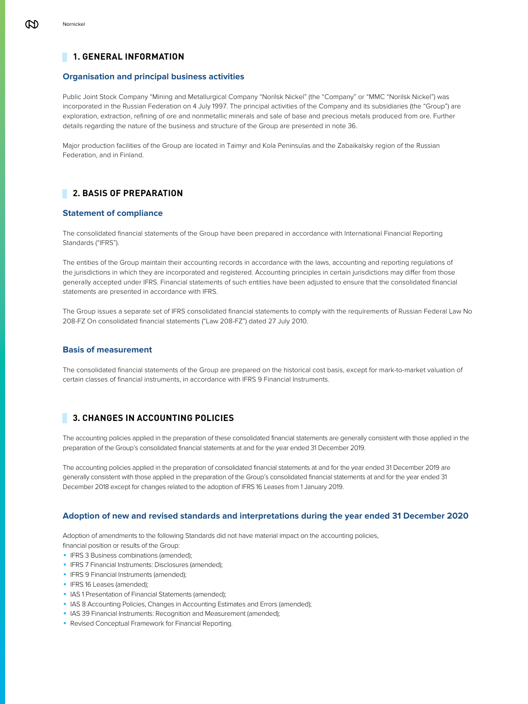# **1. GENERAL INFORMATION**

# **Organisation and principal business activities**

Public Joint Stock Company "Mining and Metallurgical Company "Norilsk Nickel" (the "Company" or "MMC "Norilsk Nickel") was incorporated in the Russian Federation on 4 July 1997. The principal activities of the Company and its subsidiaries (the "Group") are exploration, extraction, refining of ore and nonmetallic minerals and sale of base and precious metals produced from ore. Further details regarding the nature of the business and structure of the Group are presented in note 36.

Major production facilities of the Group are located in Taimyr and Kola Peninsulas and the Zabaikalsky region of the Russian Federation, and in Finland.

# **2. BASIS OF PREPARATION**

# **Statement of compliance**

The consolidated financial statements of the Group have been prepared in accordance with International Financial Reporting Standards ("IFRS").

The entities of the Group maintain their accounting records in accordance with the laws, accounting and reporting regulations of the jurisdictions in which they are incorporated and registered. Accounting principles in certain jurisdictions may differ from those generally accepted under IFRS. Financial statements of such entities have been adjusted to ensure that the consolidated financial statements are presented in accordance with IFRS.

The Group issues a separate set of IFRS consolidated financial statements to comply with the requirements of Russian Federal Law No 208-FZ On consolidated financial statements ("Law 208-FZ") dated 27 July 2010.

# **Basis of measurement**

The consolidated financial statements of the Group are prepared on the historical cost basis, except for mark-to-market valuation of certain classes of financial instruments, in accordance with IFRS 9 Financial Instruments.

# **3. CHANGES IN ACCOUNTING POLICIES**

The accounting policies applied in the preparation of these consolidated financial statements are generally consistent with those applied in the preparation of the Group's consolidated financial statements at and for the year ended 31 December 2019.

The accounting policies applied in the preparation of consolidated financial statements at and for the year ended 31 December 2019 are generally consistent with those applied in the preparation of the Group's consolidated financial statements at and for the year ended 31 December 2018 except for changes related to the adoption of IFRS 16 Leases from 1 January 2019.

# **Adoption of new and revised standards and interpretations during the year ended 31 December 2020**

Adoption of amendments to the following Standards did not have material impact on the accounting policies, financial position or results of the Group:

**·** IFRS 3 Business combinations (amended);

- **·** IFRS 7 Financial Instruments: Disclosures (amended);
- **·** IFRS 9 Financial Instruments (amended);
- **· IFRS 16 Leases (amended);**
- **· IAS 1 Presentation of Financial Statements (amended);**
- **EXECO 2 Accounting Policies, Changes in Accounting Estimates and Errors (amended);**
- **· IAS 39 Financial Instruments: Recognition and Measurement (amended);**
- Revised Conceptual Framework for Financial Reporting.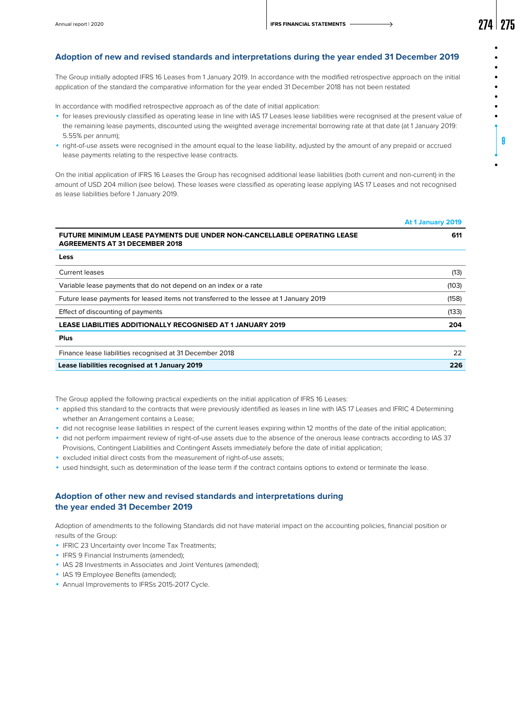9

# **Adoption of new and revised standards and interpretations during the year ended 31 December 2019**

The Group initially adopted IFRS 16 Leases from 1 January 2019. In accordance with the modified retrospective approach on the initial application of the standard the comparative information for the year ended 31 December 2018 has not been restated

In accordance with modified retrospective approach as of the date of initial application:

- ◾ for leases previously classified as operating lease in line with IAS 17 Leases lease liabilities were recognised at the present value of the remaining lease payments, discounted using the weighted average incremental borrowing rate at that date (at 1 January 2019: 5.55% per annum);
- ◾ right-of-use assets were recognised in the amount equal to the lease liability, adjusted by the amount of any prepaid or accrued lease payments relating to the respective lease contracts.

On the initial application of IFRS 16 Leases the Group has recognised additional lease liabilities (both current and non-current) in the amount of USD 204 million (see below). These leases were classified as operating lease applying IAS 17 Leases and not recognised as lease liabilities before 1 January 2019.

|                                                                                                                  | At 1 January 2019 |
|------------------------------------------------------------------------------------------------------------------|-------------------|
| FUTURE MINIMUM LEASE PAYMENTS DUE UNDER NON-CANCELLABLE OPERATING LEASE<br><b>AGREEMENTS AT 31 DECEMBER 2018</b> | 611               |
| Less                                                                                                             |                   |
| <b>Current leases</b>                                                                                            | (13)              |
| Variable lease payments that do not depend on an index or a rate                                                 | (103)             |
| Future lease payments for leased items not transferred to the lessee at 1 January 2019                           | (158)             |
| Effect of discounting of payments                                                                                | (133)             |
| <b>LEASE LIABILITIES ADDITIONALLY RECOGNISED AT 1 JANUARY 2019</b>                                               | 204               |
| Plus                                                                                                             |                   |
| Finance lease liabilities recognised at 31 December 2018                                                         | 22                |
| Lease liabilities recognised at 1 January 2019                                                                   | 226               |

The Group applied the following practical expedients on the initial application of IFRS 16 Leases:

- ◾ applied this standard to the contracts that were previously identified as leases in line with IAS 17 Leases and IFRIC 4 Determining whether an Arrangement contains a Lease;
- ◾ did not recognise lease liabilities in respect of the current leases expiring within 12 months of the date of the initial application;
- ◾ did not perform impairment review of right-of-use assets due to the absence of the onerous lease contracts according to IAS 37 Provisions, Contingent Liabilities and Contingent Assets immediately before the date of initial application;
- excluded initial direct costs from the measurement of right-of-use assets;
- ◾ used hindsight, such as determination of the lease term if the contract contains options to extend or terminate the lease.

# **Adoption of other new and revised standards and interpretations during the year ended 31 December 2019**

Adoption of amendments to the following Standards did not have material impact on the accounting policies, financial position or results of the Group:

- **·** IFRIC 23 Uncertainty over Income Tax Treatments;
- **·** IFRS 9 Financial Instruments (amended);
- **· IAS 28 Investments in Associates and Joint Ventures (amended);**
- **· IAS 19 Employee Benefits (amended);**
- **Annual Improvements to IFRSs 2015-2017 Cycle.**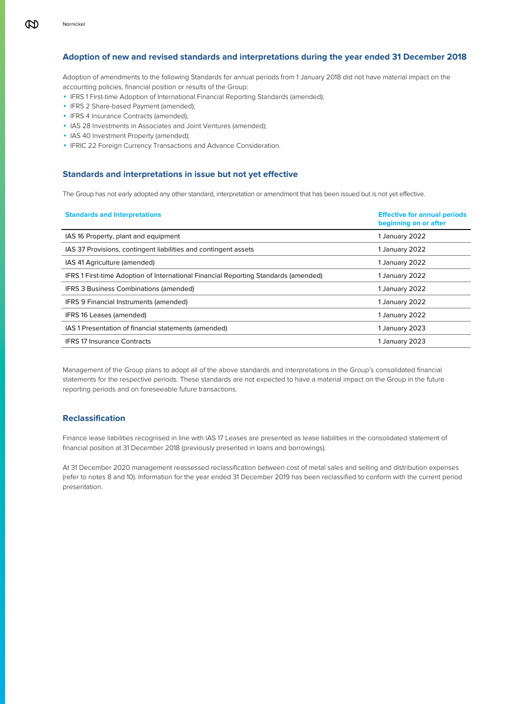# **Adoption of new and revised standards and interpretations during the year ended 31 December 2018**

Adoption of amendments to the following Standards for annual periods from 1 January 2018 did not have material impact on the accounting policies, financial position or results of the Group:

- **IFRS 1 First-time Adoption of International Financial Reporting Standards (amended);**
- **·** IFRS 2 Share-based Payment (amended);
- **· IFRS 4 Insurance Contracts (amended);**
- **EXECTS 28 Investments in Associates and Joint Ventures (amended);**
- **· IAS 40 Investment Property (amended);**
- **IFRIC 22 Foreign Currency Transactions and Advance Consideration.**

# **Standards and interpretations in issue but not yet effective**

The Group has not early adopted any other standard, interpretation or amendment that has been issued but is not yet effective.

| <b>Standards and Interpretations</b>                                                | <b>Effective for annual periods</b><br>beginning on or after |
|-------------------------------------------------------------------------------------|--------------------------------------------------------------|
| IAS 16 Property, plant and equipment                                                | 1 January 2022                                               |
| IAS 37 Provisions, contingent liabilities and contingent assets                     | 1 January 2022                                               |
| IAS 41 Agriculture (amended)                                                        | 1 January 2022                                               |
| IFRS 1 First-time Adoption of International Financial Reporting Standards (amended) | 1 January 2022                                               |
| <b>IFRS 3 Business Combinations (amended)</b>                                       | 1 January 2022                                               |
| IFRS 9 Financial Instruments (amended)                                              | 1 January 2022                                               |
| IFRS 16 Leases (amended)                                                            | 1 January 2022                                               |
| IAS 1 Presentation of financial statements (amended)                                | 1 January 2023                                               |
| <b>IFRS 17 Insurance Contracts</b>                                                  | 1 January 2023                                               |

Management of the Group plans to adopt all of the above standards and interpretations in the Group's consolidated financial statements for the respective periods. These standards are not expected to have a material impact on the Group in the future reporting periods and on foreseeable future transactions.

### **Reclassification**

Finance lease liabilities recognised in line with IAS 17 Leases are presented as lease liabilities in the consolidated statement of financial position at 31 December 2018 (previously presented in loans and borrowings).

At 31 December 2020 management reassessed reclassification between cost of metal sales and selling and distribution expenses (refer to notes 8 and 10). Information for the year ended 31 December 2019 has been reclassified to conform with the current period presentation.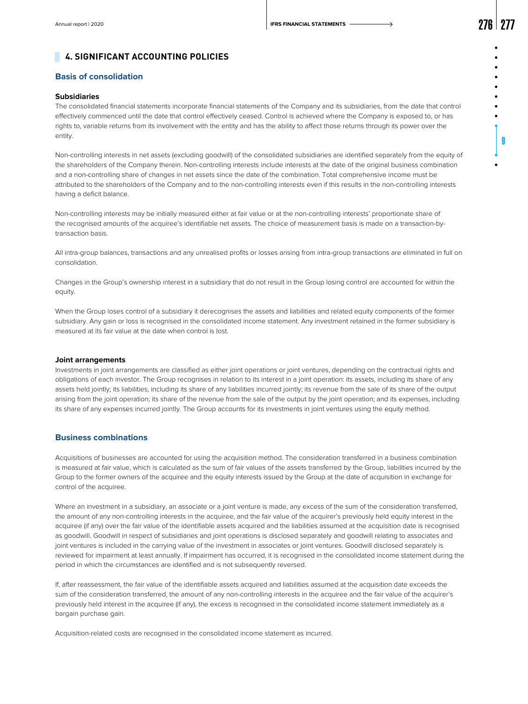9

# **4. SIGNIFICANT ACCOUNTING POLICIES**

# **Basis of consolidation**

### **Subsidiaries**

The consolidated financial statements incorporate financial statements of the Company and its subsidiaries, from the date that control effectively commenced until the date that control effectively ceased. Control is achieved where the Company is exposed to, or has rights to, variable returns from its involvement with the entity and has the ability to affect those returns through its power over the entity.

Non-controlling interests in net assets (excluding goodwill) of the consolidated subsidiaries are identified separately from the equity of the shareholders of the Company therein. Non-controlling interests include interests at the date of the original business combination and a non-controlling share of changes in net assets since the date of the combination. Total comprehensive income must be attributed to the shareholders of the Company and to the non-controlling interests even if this results in the non-controlling interests having a deficit balance.

Non-controlling interests may be initially measured either at fair value or at the non-controlling interests' proportionate share of the recognised amounts of the acquiree's identifiable net assets. The choice of measurement basis is made on a transaction-bytransaction basis.

All intra-group balances, transactions and any unrealised profits or losses arising from intra-group transactions are eliminated in full on consolidation.

Changes in the Group's ownership interest in a subsidiary that do not result in the Group losing control are accounted for within the equity.

When the Group loses control of a subsidiary it derecognises the assets and liabilities and related equity components of the former subsidiary. Any gain or loss is recognised in the consolidated income statement. Any investment retained in the former subsidiary is measured at its fair value at the date when control is lost.

#### **Joint arrangements**

Investments in joint arrangements are classified as either joint operations or joint ventures, depending on the contractual rights and obligations of each investor. The Group recognises in relation to its interest in a joint operation: its assets, including its share of any assets held jointly; its liabilities, including its share of any liabilities incurred jointly; its revenue from the sale of its share of the output arising from the joint operation; its share of the revenue from the sale of the output by the joint operation; and its expenses, including its share of any expenses incurred jointly. The Group accounts for its investments in joint ventures using the equity method.

### **Business combinations**

Acquisitions of businesses are accounted for using the acquisition method. The consideration transferred in a business combination is measured at fair value, which is calculated as the sum of fair values of the assets transferred by the Group, liabilities incurred by the Group to the former owners of the acquiree and the equity interests issued by the Group at the date of acquisition in exchange for control of the acquiree.

Where an investment in a subsidiary, an associate or a joint venture is made, any excess of the sum of the consideration transferred, the amount of any non-controlling interests in the acquiree, and the fair value of the acquirer's previously held equity interest in the acquiree (if any) over the fair value of the identifiable assets acquired and the liabilities assumed at the acquisition date is recognised as goodwill. Goodwill in respect of subsidiaries and joint operations is disclosed separately and goodwill relating to associates and joint ventures is included in the carrying value of the investment in associates or joint ventures. Goodwill disclosed separately is reviewed for impairment at least annually. If impairment has occurred, it is recognised in the consolidated income statement during the period in which the circumstances are identified and is not subsequently reversed.

If, after reassessment, the fair value of the identifiable assets acquired and liabilities assumed at the acquisition date exceeds the sum of the consideration transferred, the amount of any non-controlling interests in the acquiree and the fair value of the acquirer's previously held interest in the acquiree (if any), the excess is recognised in the consolidated income statement immediately as a bargain purchase gain.

Acquisition-related costs are recognised in the consolidated income statement as incurred.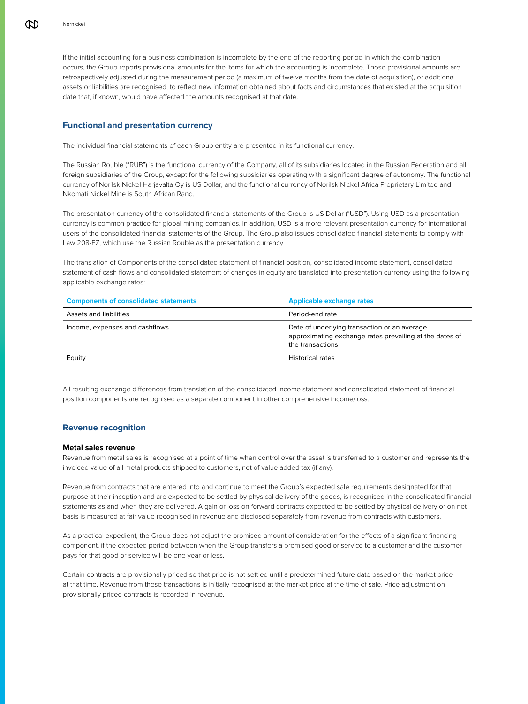If the initial accounting for a business combination is incomplete by the end of the reporting period in which the combination occurs, the Group reports provisional amounts for the items for which the accounting is incomplete. Those provisional amounts are retrospectively adjusted during the measurement period (a maximum of twelve months from the date of acquisition), or additional assets or liabilities are recognised, to reflect new information obtained about facts and circumstances that existed at the acquisition date that, if known, would have affected the amounts recognised at that date.

# **Functional and presentation currency**

The individual financial statements of each Group entity are presented in its functional currency.

The Russian Rouble ("RUB") is the functional currency of the Company, all of its subsidiaries located in the Russian Federation and all foreign subsidiaries of the Group, except for the following subsidiaries operating with a significant degree of autonomy. The functional currency of Norilsk Nickel Harjavalta Oy is US Dollar, and the functional currency of Norilsk Nickel Africa Proprietary Limited and Nkomati Nickel Mine is South African Rand.

The presentation currency of the consolidated financial statements of the Group is US Dollar ("USD"). Using USD as a presentation currency is common practice for global mining companies. In addition, USD is a more relevant presentation currency for international users of the consolidated financial statements of the Group. The Group also issues consolidated financial statements to comply with Law 208-FZ, which use the Russian Rouble as the presentation currency.

The translation of Сomponents of the consolidated statement of financial position, consolidated income statement, consolidated statement of cash flows and consolidated statement of changes in equity are translated into presentation currency using the following applicable exchange rates:

| <b>Components of consolidated statements</b> | <b>Applicable exchange rates</b>                                                                                            |
|----------------------------------------------|-----------------------------------------------------------------------------------------------------------------------------|
| Assets and liabilities                       | Period-end rate                                                                                                             |
| Income, expenses and cashflows               | Date of underlying transaction or an average<br>approximating exchange rates prevailing at the dates of<br>the transactions |
| Equity                                       | <b>Historical rates</b>                                                                                                     |

All resulting exchange differences from translation of the consolidated income statement and consolidated statement of financial position components are recognised as a separate component in other comprehensive income/loss.

# **Revenue recognition**

### **Metal sales revenue**

Revenue from metal sales is recognised at a point of time when control over the asset is transferred to a customer and represents the invoiced value of all metal products shipped to customers, net of value added tax (if any).

Revenue from contracts that are entered into and continue to meet the Group's expected sale requirements designated for that purpose at their inception and are expected to be settled by physical delivery of the goods, is recognised in the consolidated financial statements as and when they are delivered. A gain or loss on forward contracts expected to be settled by physical delivery or on net basis is measured at fair value recognised in revenue and disclosed separately from revenue from contracts with customers.

As a practical expedient, the Group does not adjust the promised amount of consideration for the effects of a significant financing component, if the expected period between when the Group transfers a promised good or service to a customer and the customer pays for that good or service will be one year or less.

Certain contracts are provisionally priced so that price is not settled until a predetermined future date based on the market price at that time. Revenue from these transactions is initially recognised at the market price at the time of sale. Price adjustment on provisionally priced contracts is recorded in revenue.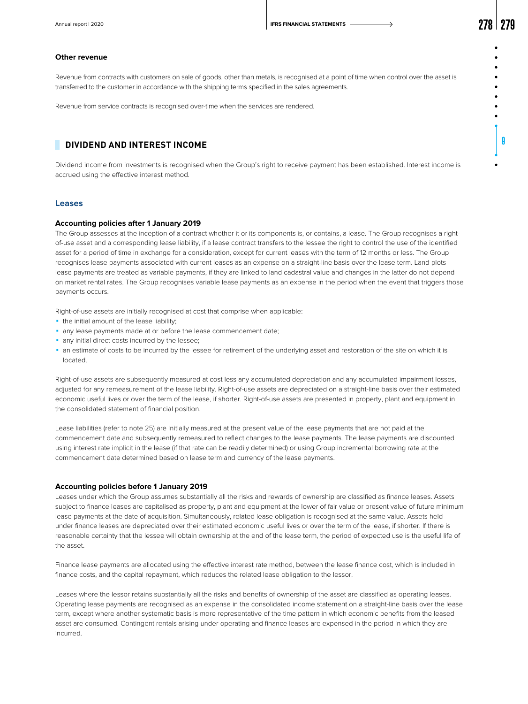9

### **Other revenue**

Revenue from contracts with customers on sale of goods, other than metals, is recognised at a point of time when control over the asset is transferred to the customer in accordance with the shipping terms specified in the sales agreements.

Revenue from service contracts is recognised over-time when the services are rendered.

# **DIVIDEND AND INTEREST INCOME**

Dividend income from investments is recognised when the Group's right to receive payment has been established. Interest income is accrued using the effective interest method.

### **Leases**

### **Accounting policies after 1 January 2019**

The Group assesses at the inception of a contract whether it or its components is, or contains, a lease. The Group recognises a rightof-use asset and a corresponding lease liability, if a lease contract transfers to the lessee the right to control the use of the identified asset for a period of time in exchange for a consideration, except for current leases with the term of 12 months or less. The Group recognises lease payments associated with current leases as an expense on a straight-line basis over the lease term. Land plots lease payments are treated as variable payments, if they are linked to land cadastral value and changes in the latter do not depend on market rental rates. The Group recognises variable lease payments as an expense in the period when the event that triggers those payments occurs.

Right-of-use assets are initially recognised at cost that comprise when applicable:

- the initial amount of the lease liability;
- any lease payments made at or before the lease commencement date;
- any initial direct costs incurred by the lessee;
- ◾ an estimate of costs to be incurred by the lessee for retirement of the underlying asset and restoration of the site on which it is located.

Right-of-use assets are subsequently measured at cost less any accumulated depreciation and any accumulated impairment losses, adjusted for any remeasurement of the lease liability. Right-of-use assets are depreciated on a straight-line basis over their estimated economic useful lives or over the term of the lease, if shorter. Right-of-use assets are presented in property, plant and equipment in the consolidated statement of financial position.

Lease liabilities (refer to note 25) are initially measured at the present value of the lease payments that are not paid at the commencement date and subsequently remeasured to reflect changes to the lease payments. The lease payments are discounted using interest rate implicit in the lease (if that rate can be readily determined) or using Group incremental borrowing rate at the сommencement date determined based on lease term and currency of the lease payments.

#### **Accounting policies before 1 January 2019**

Leases under which the Group assumes substantially all the risks and rewards of ownership are classified as finance leases. Assets subject to finance leases are capitalised as property, plant and equipment at the lower of fair value or present value of future minimum lease payments at the date of acquisition. Simultaneously, related lease obligation is recognised at the same value. Assets held under finance leases are depreciated over their estimated economic useful lives or over the term of the lease, if shorter. If there is reasonable certainty that the lessee will obtain ownership at the end of the lease term, the period of expected use is the useful life of the asset.

Finance lease payments are allocated using the effective interest rate method, between the lease finance cost, which is included in finance costs, and the capital repayment, which reduces the related lease obligation to the lessor.

Leases where the lessor retains substantially all the risks and benefits of ownership of the asset are classified as operating leases. Operating lease payments are recognised as an expense in the consolidated income statement on a straight-line basis over the lease term, except where another systematic basis is more representative of the time pattern in which economic benefits from the leased asset are consumed. Contingent rentals arising under operating and finance leases are expensed in the period in which they are incurred.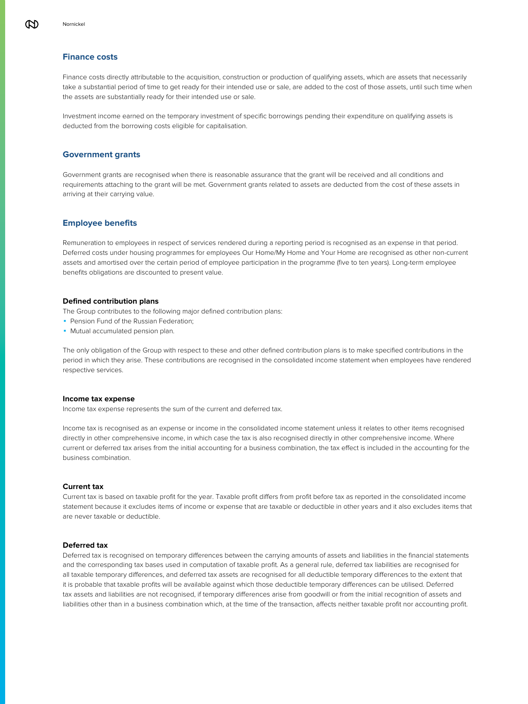Finance costs directly attributable to the acquisition, construction or production of qualifying assets, which are assets that necessarily take a substantial period of time to get ready for their intended use or sale, are added to the cost of those assets, until such time when the assets are substantially ready for their intended use or sale.

Investment income earned on the temporary investment of specific borrowings pending their expenditure on qualifying assets is deducted from the borrowing costs eligible for capitalisation.

## **Government grants**

Government grants are recognised when there is reasonable assurance that the grant will be received and all conditions and requirements attaching to the grant will be met. Government grants related to assets are deducted from the cost of these assets in arriving at their carrying value.

# **Employee benefits**

Remuneration to employees in respect of services rendered during a reporting period is recognised as an expense in that period. Deferred costs under housing programmes for employees Our Home/My Home and Your Home are recognised as other non-current assets and amortised over the certain period of employee participation in the programme (five to ten years). Long-term employee benefits obligations are discounted to present value.

### **Defined contribution plans**

The Group contributes to the following major defined contribution plans:

- Pension Fund of the Russian Federation;
- **Mutual accumulated pension plan.**

The only obligation of the Group with respect to these and other defined contribution plans is to make specified contributions in the period in which they arise. These contributions are recognised in the consolidated income statement when employees have rendered respective services.

#### **Income tax expense**

Income tax expense represents the sum of the current and deferred tax.

Income tax is recognised as an expense or income in the consolidated income statement unless it relates to other items recognised directly in other comprehensive income, in which case the tax is also recognised directly in other comprehensive income. Where current or deferred tax arises from the initial accounting for a business combination, the tax effect is included in the accounting for the business combination.

### **Current tax**

Current tax is based on taxable profit for the year. Taxable profit differs from profit before tax as reported in the consolidated income statement because it excludes items of income or expense that are taxable or deductible in other years and it also excludes items that are never taxable or deductible.

### **Deferred tax**

Deferred tax is recognised on temporary differences between the carrying amounts of assets and liabilities in the financial statements and the corresponding tax bases used in computation of taxable profit. As a general rule, deferred tax liabilities are recognised for all taxable temporary differences, and deferred tax assets are recognised for all deductible temporary differences to the extent that it is probable that taxable profits will be available against which those deductible temporary differences can be utilised. Deferred tax assets and liabilities are not recognised, if temporary differences arise from goodwill or from the initial recognition of assets and liabilities other than in a business combination which, at the time of the transaction, affects neither taxable profit nor accounting profit.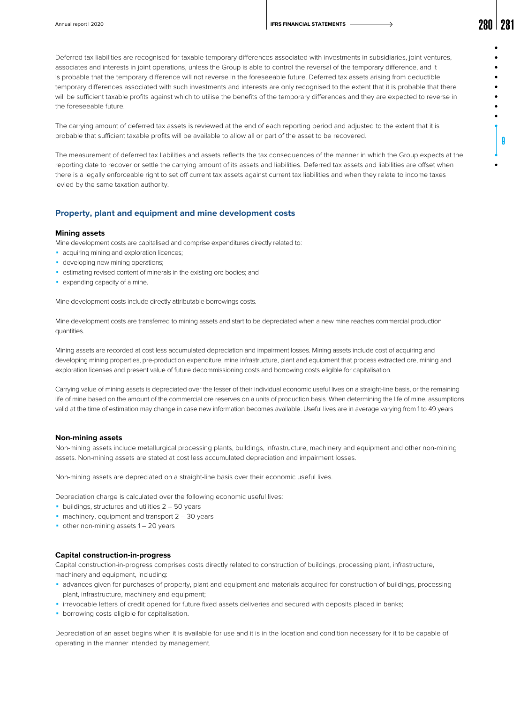9

Deferred tax liabilities are recognised for taxable temporary differences associated with investments in subsidiaries, joint ventures, associates and interests in joint operations, unless the Group is able to control the reversal of the temporary difference, and it is probable that the temporary difference will not reverse in the foreseeable future. Deferred tax assets arising from deductible temporary differences associated with such investments and interests are only recognised to the extent that it is probable that there will be sufficient taxable profits against which to utilise the benefits of the temporary differences and they are expected to reverse in the foreseeable future.

The carrying amount of deferred tax assets is reviewed at the end of each reporting period and adjusted to the extent that it is probable that sufficient taxable profits will be available to allow all or part of the asset to be recovered.

The measurement of deferred tax liabilities and assets reflects the tax consequences of the manner in which the Group expects at the reporting date to recover or settle the carrying amount of its assets and liabilities. Deferred tax assets and liabilities are offset when there is a legally enforceable right to set off current tax assets against current tax liabilities and when they relate to income taxes levied by the same taxation authority.

### **Property, plant and equipment and mine development costs**

### **Mining assets**

Mine development costs are capitalised and comprise expenditures directly related to:

- **acquiring mining and exploration licences;**
- **developing new mining operations;**
- **Exercised in the intervals** in the existing ore bodies; and
- **expanding capacity of a mine.**

Mine development costs include directly attributable borrowings costs.

Mine development costs are transferred to mining assets and start to be depreciated when a new mine reaches commercial production quantities.

Mining assets are recorded at cost less accumulated depreciation and impairment losses. Mining assets include cost of acquiring and developing mining properties, pre-production expenditure, mine infrastructure, plant and equipment that process extracted ore, mining and exploration licenses and present value of future decommissioning costs and borrowing costs eligible for capitalisation.

Carrying value of mining assets is depreciated over the lesser of their individual economic useful lives on a straight-line basis, or the remaining life of mine based on the amount of the commercial ore reserves on a units of production basis. When determining the life of mine, assumptions valid at the time of estimation may change in case new information becomes available. Useful lives are in average varying from 1 to 49 years

#### **Non-mining assets**

Non-mining assets include metallurgical processing plants, buildings, infrastructure, machinery and equipment and other non-mining assets. Non-mining assets are stated at cost less accumulated depreciation and impairment losses.

Non-mining assets are depreciated on a straight-line basis over their economic useful lives.

Depreciation charge is calculated over the following economic useful lives:

- $\bullet$  buildings, structures and utilities 2 50 years
- $\blacksquare$  machinery, equipment and transport  $2 30$  years
- $\bullet$  other non-mining assets  $1 20$  years

### **Capital construction-in-progress**

Capital construction-in-progress comprises costs directly related to construction of buildings, processing plant, infrastructure, machinery and equipment, including:

- ◾ advances given for purchases of property, plant and equipment and materials acquired for construction of buildings, processing plant, infrastructure, machinery and equipment;
- ◾ irrevocable letters of credit opened for future fixed assets deliveries and secured with deposits placed in banks;
- **borrowing costs eligible for capitalisation.**

Depreciation of an asset begins when it is available for use and it is in the location and condition necessary for it to be capable of operating in the manner intended by management.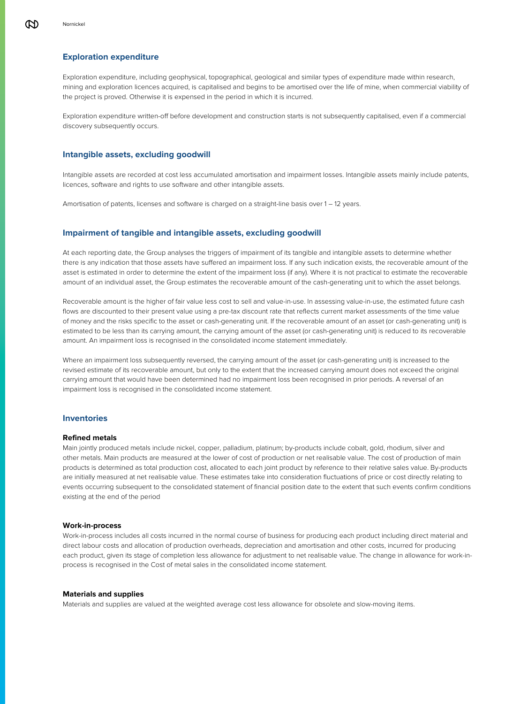## **Exploration expenditure**

Exploration expenditure, including geophysical, topographical, geological and similar types of expenditure made within research, mining and exploration licences acquired, is capitalised and begins to be amortised over the life of mine, when commercial viability of the project is proved. Otherwise it is expensed in the period in which it is incurred.

Exploration expenditure written-off before development and construction starts is not subsequently capitalised, even if a commercial discovery subsequently occurs.

### **Intangible assets, excluding goodwill**

Intangible assets are recorded at cost less accumulated amortisation and impairment losses. Intangible assets mainly include patents, licences, software and rights to use software and other intangible assets.

Amortisation of patents, licenses and software is charged on a straight-line basis over 1 – 12 years.

### **Impairment of tangible and intangible assets, excluding goodwill**

At each reporting date, the Group analyses the triggers of impairment of its tangible and intangible assets to determine whether there is any indication that those assets have suffered an impairment loss. If any such indication exists, the recoverable amount of the asset is estimated in order to determine the extent of the impairment loss (if any). Where it is not practical to estimate the recoverable amount of an individual asset, the Group estimates the recoverable amount of the cash-generating unit to which the asset belongs.

Recoverable amount is the higher of fair value less cost to sell and value-in-use. In assessing value-in-use, the estimated future cash flows are discounted to their present value using a pre-tax discount rate that reflects current market assessments of the time value of money and the risks specific to the asset or cash-generating unit. If the recoverable amount of an asset (or cash-generating unit) is estimated to be less than its carrying amount, the carrying amount of the asset (or cash-generating unit) is reduced to its recoverable amount. An impairment loss is recognised in the consolidated income statement immediately.

Where an impairment loss subsequently reversed, the carrying amount of the asset (or cash-generating unit) is increased to the revised estimate of its recoverable amount, but only to the extent that the increased carrying amount does not exceed the original carrying amount that would have been determined had no impairment loss been recognised in prior periods. A reversal of an impairment loss is recognised in the consolidated income statement.

### **Inventories**

### **Refined metals**

Main jointly produced metals include nickel, copper, palladium, platinum; by-products include cobalt, gold, rhodium, silver and other metals. Main products are measured at the lower of cost of production or net realisable value. The cost of production of main products is determined as total production cost, allocated to each joint product by reference to their relative sales value. By-products are initially measured at net realisable value. These estimates take into consideration fluctuations of price or cost directly relating to events occurring subsequent to the consolidated statement of financial position date to the extent that such events confirm conditions existing at the end of the period

### **Work-in-process**

Work-in-process includes all costs incurred in the normal course of business for producing each product including direct material and direct labour costs and allocation of production overheads, depreciation and amortisation and other costs, incurred for producing each product, given its stage of completion less allowance for adjustment to net realisable value. The change in allowance for work-inprocess is recognised in the Cost of metal sales in the consolidated income statement.

### **Materials and supplies**

Materials and supplies are valued at the weighted average cost less allowance for obsolete and slow-moving items.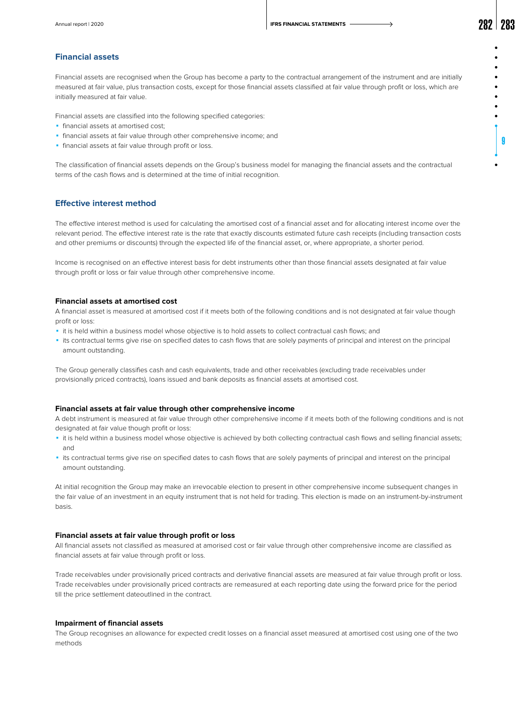Annual report | 2020 **2021** 2010 **2010 IFRS FINANCIAL STATEMENTS**  $\longrightarrow$  **2022 201** 

9

### **Financial assets**

Financial assets are recognised when the Group has become a party to the contractual arrangement of the instrument and are initially measured at fair value, plus transaction costs, except for those financial assets classified at fair value through profit or loss, which are initially measured at fair value.

Financial assets are classified into the following specified categories:

- **·** financial assets at amortised cost;
- **·** financial assets at fair value through other comprehensive income; and
- **·** financial assets at fair value through profit or loss.

The classification of financial assets depends on the Group's business model for managing the financial assets and the contractual terms of the cash flows and is determined at the time of initial recognition.

# **Effective interest method**

The effective interest method is used for calculating the amortised cost of a financial asset and for allocating interest income over the relevant period. The effective interest rate is the rate that exactly discounts estimated future cash receipts (including transaction costs and other premiums or discounts) through the expected life of the financial asset, or, where appropriate, a shorter period.

Income is recognised on an effective interest basis for debt instruments other than those financial assets designated at fair value through profit or loss or fair value through other comprehensive income.

### **Financial assets at amortised cost**

A financial asset is measured at amortised cost if it meets both of the following conditions and is not designated at fair value though profit or loss:

- ◾ it is held within a business model whose objective is to hold assets to collect contractual cash flows; and
- ◾ its contractual terms give rise on specified dates to cash flows that are solely payments of principal and interest on the principal amount outstanding.

The Group generally classifies cash and cash equivalents, trade and other receivables (excluding trade receivables under provisionally priced contracts), loans issued and bank deposits as financial assets at amortised cost.

#### **Financial assets at fair value through other comprehensive income**

A debt instrument is measured at fair value through other comprehensive income if it meets both of the following conditions and is not designated at fair value though profit or loss:

- ◾ it is held within a business model whose objective is achieved by both collecting contractual cash flows and selling financial assets; and
- ◾ its contractual terms give rise on specified dates to cash flows that are solely payments of principal and interest on the principal amount outstanding.

At initial recognition the Group may make an irrevocable election to present in other comprehensive income subsequent changes in the fair value of an investment in an equity instrument that is not held for trading. This election is made on an instrument-by-instrument basis.

### **Financial assets at fair value through profit or loss**

All financial assets not classified as measured at amorised cost or fair value through other comprehensive income are classified as financial assets at fair value through profit or loss.

Trade receivables under provisionally priced contracts and derivative financial assets are measured at fair value through profit or loss. Trade receivables under provisionally priced contracts are remeasured at each reporting date using the forward price for the period till the price settlement dateoutlined in the contract.

### **Impairment of financial assets**

The Group recognises an allowance for expected credit losses on a financial asset measured at amortised cost using one of the two methods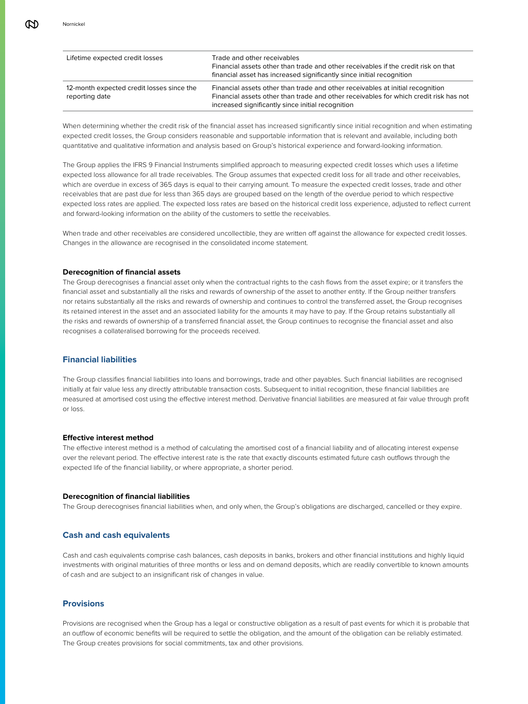| Lifetime expected credit losses                             | Trade and other receivables<br>Financial assets other than trade and other receivables if the credit risk on that<br>financial asset has increased significantly since initial recognition                                   |
|-------------------------------------------------------------|------------------------------------------------------------------------------------------------------------------------------------------------------------------------------------------------------------------------------|
| 12-month expected credit losses since the<br>reporting date | Financial assets other than trade and other receivables at initial recognition<br>Financial assets other than trade and other receivables for which credit risk has not<br>increased significantly since initial recognition |

When determining whether the credit risk of the financial asset has increased significantly since initial recognition and when estimating expected credit losses, the Group considers reasonable and supportable information that is relevant and available, including both quantitative and qualitative information and analysis based on Group's historical experience and forward-looking information.

The Group applies the IFRS 9 Financial Instruments simplified approach to measuring expected credit losses which uses a lifetime expected loss allowance for all trade receivables. The Group assumes that expected credit loss for all trade and other receivables, which are overdue in excess of 365 days is equal to their carrying amount. To measure the expected credit losses, trade and other receivables that are past due for less than 365 days are grouped based on the length of the overdue period to which respective expected loss rates are applied. The expected loss rates are based on the historical credit loss experience, adjusted to reflect current and forward-looking information on the ability of the customers to settle the receivables.

When trade and other receivables are considered uncollectible, they are written off against the allowance for expected credit losses. Changes in the allowance are recognised in the consolidated income statement.

### **Derecognition of financial assets**

The Group derecognises a financial asset only when the contractual rights to the cash flows from the asset expire; or it transfers the financial asset and substantially all the risks and rewards of ownership of the asset to another entity. If the Group neither transfers nor retains substantially all the risks and rewards of ownership and continues to control the transferred asset, the Group recognises its retained interest in the asset and an associated liability for the amounts it may have to pay. If the Group retains substantially all the risks and rewards of ownership of a transferred financial asset, the Group continues to recognise the financial asset and also recognises a collateralised borrowing for the proceeds received.

# **Financial liabilities**

The Group classifies financial liabilities into loans and borrowings, trade and other payables. Such financial liabilities are recognised initially at fair value less any directly attributable transaction costs. Subsequent to initial recognition, these financial liabilities are measured at amortised cost using the effective interest method. Derivative financial liabilities are measured at fair value through profit or loss.

### **Effective interest method**

The effective interest method is a method of calculating the amortised cost of a financial liability and of allocating interest expense over the relevant period. The effective interest rate is the rate that exactly discounts estimated future cash outflows through the expected life of the financial liability, or where appropriate, a shorter period.

#### **Derecognition of financial liabilities**

The Group derecognises financial liabilities when, and only when, the Group's obligations are discharged, cancelled or they expire.

### **Cash and cash equivalents**

Cash and cash equivalents comprise cash balances, cash deposits in banks, brokers and other financial institutions and highly liquid investments with original maturities of three months or less and on demand deposits, which are readily convertible to known amounts of cash and are subject to an insignificant risk of changes in value.

# **Provisions**

Provisions are recognised when the Group has a legal or constructive obligation as a result of past events for which it is probable that an outflow of economic benefits will be required to settle the obligation, and the amount of the obligation can be reliably estimated. The Group creates provisions for social commitments, tax and other provisions.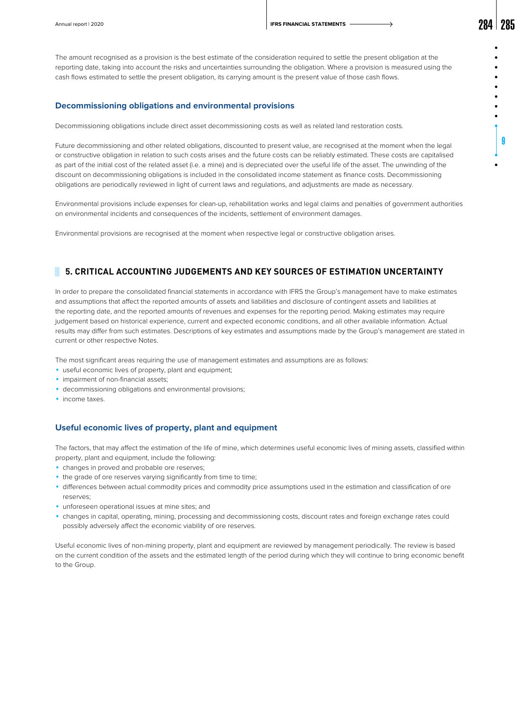The amount recognised as a provision is the best estimate of the consideration required to settle the present obligation at the reporting date, taking into account the risks and uncertainties surrounding the obligation. Where a provision is measured using the cash flows estimated to settle the present obligation, its carrying amount is the present value of those cash flows.

### **Decommissioning obligations and environmental provisions**

Decommissioning obligations include direct asset decommissioning costs as well as related land restoration costs.

Future decommissioning and other related obligations, discounted to present value, are recognised at the moment when the legal or constructive obligation in relation to such costs arises and the future costs can be reliably estimated. These costs are capitalised as part of the initial cost of the related asset (i.e. a mine) and is depreciated over the useful life of the asset. The unwinding of the discount on decommissioning obligations is included in the consolidated income statement as finance costs. Decommissioning obligations are periodically reviewed in light of current laws and regulations, and adjustments are made as necessary.

Environmental provisions include expenses for clean-up, rehabilitation works and legal claims and penalties of government authorities on environmental incidents and consequences of the incidents, settlement of environment damages.

Environmental provisions are recognised at the moment when respective legal or constructive obligation arises.

# **5. CRITICAL ACCOUNTING JUDGEMENTS AND KEY SOURCES OF ESTIMATION UNCERTAINTY**

In order to prepare the consolidated financial statements in accordance with IFRS the Group's management have to make estimates and assumptions that affect the reported amounts of assets and liabilities and disclosure of contingent assets and liabilities at the reporting date, and the reported amounts of revenues and expenses for the reporting period. Making estimates may require judgement based on historical experience, current and expected economic conditions, and all other available information. Actual results may differ from such estimates. Descriptions of key estimates and assumptions made by the Group's management are stated in current or other respective Notes.

The most significant areas requiring the use of management estimates and assumptions are as follows:

- **·** useful economic lives of property, plant and equipment;
- **·** impairment of non-financial assets;
- **decommissioning obligations and environmental provisions;**
- **·** income taxes.

# **Useful economic lives of property, plant and equipment**

The factors, that may affect the estimation of the life of mine, which determines useful economic lives of mining assets, classified within property, plant and equipment, include the following:

- changes in proved and probable ore reserves;
- the grade of ore reserves varying significantly from time to time;
- ◾ differences between actual commodity prices and commodity price assumptions used in the estimation and classification of ore reserves;
- **·** unforeseen operational issues at mine sites; and
- ◾ changes in capital, operating, mining, processing and decommissioning costs, discount rates and foreign exchange rates could possibly adversely affect the economic viability of ore reserves.

Useful economic lives of non-mining property, plant and equipment are reviewed by management periodically. The review is based on the current condition of the assets and the estimated length of the period during which they will continue to bring economic benefit to the Group.

9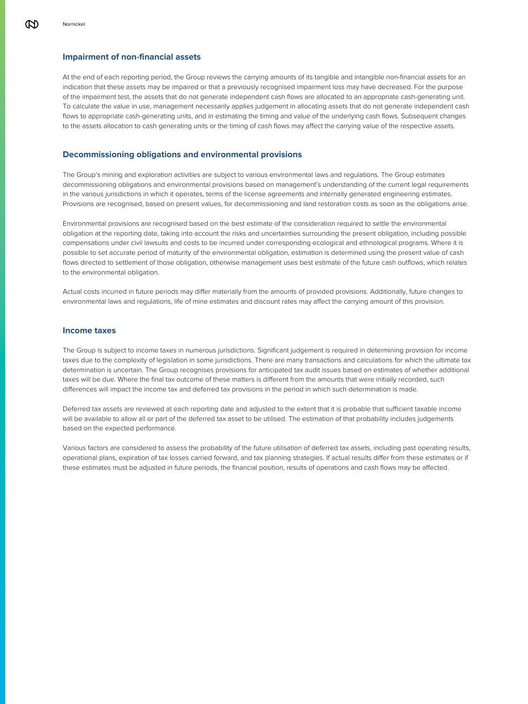### **Impairment of non-financial assets**

At the end of each reporting period, the Group reviews the carrying amounts of its tangible and intangible non-financial assets for an indication that these assets may be impaired or that a previously recognised impairment loss may have decreased. For the purpose of the impairment test, the assets that do not generate independent cash flows are allocated to an appropriate cash-generating unit. To calculate the value in use, management necessarily applies judgement in allocating assets that do not generate independent cash flows to appropriate cash-generating units, and in estimating the timing and value of the underlying cash flows. Subsequent changes to the assets allocation to cash generating units or the timing of cash flows may affect the carrying value of the respective assets.

### **Decommissioning obligations and environmental provisions**

The Group's mining and exploration activities are subject to various environmental laws and regulations. The Group estimates decommissioning obligations and environmental provisions based on management's understanding of the current legal requirements in the various jurisdictions in which it operates, terms of the license agreements and internally generated engineering estimates. Provisions are recognised, based on present values, for decommissioning and land restoration costs as soon as the obligations arise.

Environmental provisions are recognised based on the best estimate of the consideration required to settle the environmental obligation at the reporting date, taking into account the risks and uncertainties surrounding the present obligation, including possible compensations under civil lawsuits and costs to be incurred under corresponding ecological and ethnological programs. Where it is possible to set accurate period of maturity of the environmental obligation, estimation is determined using the present value of cash flows directed to settlement of those obligation, otherwise management uses best estimate of the future cash outflows, which relates to the environmental obligation.

Actual costs incurred in future periods may differ materially from the amounts of provided provisions. Additionally, future changes to environmental laws and regulations, life of mine estimates and discount rates may affect the carrying amount of this provision.

### **Income taxes**

The Group is subject to income taxes in numerous jurisdictions. Significant judgement is required in determining provision for income taxes due to the complexity of legislation in some jurisdictions. There are many transactions and calculations for which the ultimate tax determination is uncertain. The Group recognises provisions for anticipated tax audit issues based on estimates of whether additional taxes will be due. Where the final tax outcome of these matters is different from the amounts that were initially recorded, such differences will impact the income tax and deferred tax provisions in the period in which such determination is made.

Deferred tax assets are reviewed at each reporting date and adjusted to the extent that it is probable that sufficient taxable income will be available to allow all or part of the deferred tax asset to be utilised. The estimation of that probability includes judgements based on the expected performance.

Various factors are considered to assess the probability of the future utilisation of deferred tax assets, including past operating results, operational plans, expiration of tax losses carried forward, and tax planning strategies. If actual results differ from these estimates or if these estimates must be adjusted in future periods, the financial position, results of operations and cash flows may be affected.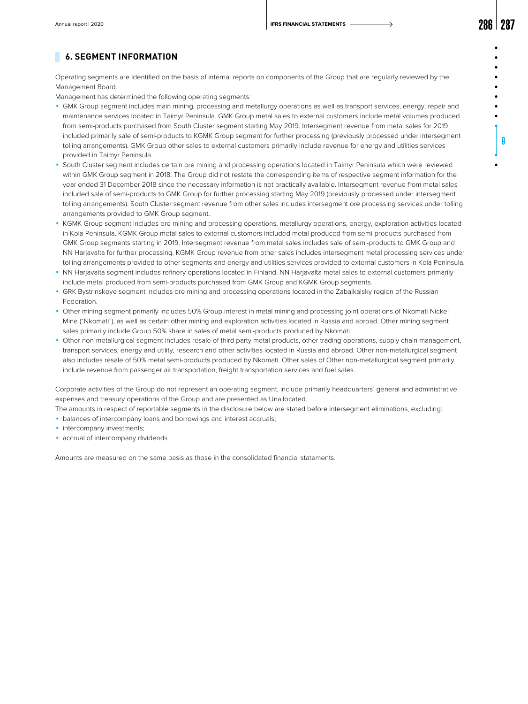9

# **6. SEGMENT INFORMATION**

Operating segments are identified on the basis of internal reports on components of the Group that are regularly reviewed by the Management Board.

Management has determined the following operating segments:

- ◾ GMK Group segment includes main mining, processing and metallurgy operations as well as transport services, energy, repair and maintenance services located in Taimyr Peninsula. GMK Group metal sales to external customers include metal volumes produced from semi-products purchased from South Cluster segment starting May 2019. Intersegment revenue from metal sales for 2019 included primarily sale of semi-products to KGMK Group segment for further processing (previously processed under intersegment tolling arrangements). GMK Group other sales to external customers primarily include revenue for energy and utilities services provided in Taimyr Peninsula.
- South Cluster segment includes certain ore mining and processing operations located in Taimyr Peninsula which were reviewed within GMK Group segment in 2018. The Group did not restate the corresponding items of respective segment information for the year ended 31 December 2018 since the necessary information is not practically available. Intersegment revenue from metal sales included sale of semi-products to GMK Group for further processing starting May 2019 (previously processed under intersegment tolling arrangements). South Cluster segment revenue from other sales includes intersegment ore processing services under tolling arrangements provided to GMK Group segment.
- ◾ KGMK Group segment includes ore mining and processing operations, metallurgy operations, energy, exploration activities located in Kola Peninsula. KGMK Group metal sales to external customers included metal produced from semi-products purchased from GMK Group segments starting in 2019. Intersegment revenue from metal sales includes sale of semi-products to GMK Group and NN Harjavalta for further processing. KGMK Group revenue from other sales includes intersegment metal processing services under tolling arrangements provided to other segments and energy and utilities services provided to external customers in Kola Peninsula.
- NN Harjavalta segment includes refinery operations located in Finland. NN Harjavalta metal sales to external customers primarily include metal produced from semi-products purchased from GMK Group and KGMK Group segments.
- ◾ GRK Bystrinskoye segment includes ore mining and processing operations located in the Zabaikalsky region of the Russian Federation.
- ◾ Other mining segment primarily includes 50% Group interest in metal mining and processing joint operations of Nkomati Nickel Mine ("Nkomati"), as well as certain other mining and exploration activities located in Russia and abroad. Other mining segment sales primarily include Group 50% share in sales of metal semi-products produced by Nkomati.
- ◾ Other non-metallurgical segment includes resale of third party metal products, other trading operations, supply chain management, transport services, energy and utility, research and other activities located in Russia and abroad. Other non-metallurgical segment also includes resale of 50% metal semi-products produced by Nkomati. Other sales of Other non-metallurgical segment primarily include revenue from passenger air transportation, freight transportation services and fuel sales.

Corporate activities of the Group do not represent an operating segment, include primarily headquarters' general and administrative expenses and treasury operations of the Group and are presented as Unallocated.

- The amounts in respect of reportable segments in the disclosure below are stated before intersegment eliminations, excluding:
- **balances of intercompany loans and borrowings and interest accruals;**
- **·** intercompany investments;
- **accrual of intercompany dividends.**

Amounts are measured on the same basis as those in the consolidated financial statements.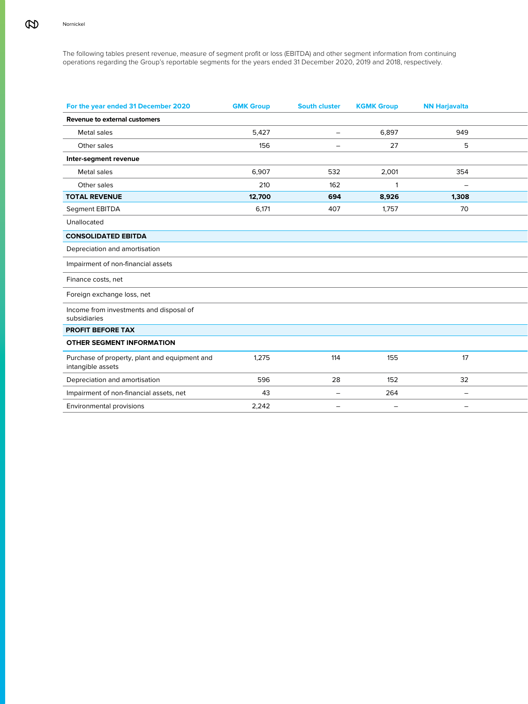The following tables present revenue, measure of segment profit or loss (EBITDA) and other segment information from continuing operations regarding the Group's reportable segments for the years ended 31 December 2020, 2019 and 2018, respectively.

| For the year ended 31 December 2020                                | <b>GMK Group</b> | <b>South cluster</b>     | <b>KGMK Group</b> | <b>NN Harjavalta</b>     |  |
|--------------------------------------------------------------------|------------------|--------------------------|-------------------|--------------------------|--|
| Revenue to external customers                                      |                  |                          |                   |                          |  |
| Metal sales                                                        | 5,427            | $\sim$                   | 6,897             | 949                      |  |
| Other sales                                                        | 156              | $\overline{\phantom{a}}$ | 27                | 5                        |  |
| Inter-segment revenue                                              |                  |                          |                   |                          |  |
| Metal sales                                                        | 6,907            | 532                      | 2,001             | 354                      |  |
| Other sales                                                        | 210              | 162                      |                   | $\overline{\phantom{a}}$ |  |
| <b>TOTAL REVENUE</b>                                               | 12,700           | 694                      | 8,926             | 1,308                    |  |
| Segment EBITDA                                                     | 6,171            | 407                      | 1,757             | 70                       |  |
| Unallocated                                                        |                  |                          |                   |                          |  |
| <b>CONSOLIDATED EBITDA</b>                                         |                  |                          |                   |                          |  |
| Depreciation and amortisation                                      |                  |                          |                   |                          |  |
| Impairment of non-financial assets                                 |                  |                          |                   |                          |  |
| Finance costs, net                                                 |                  |                          |                   |                          |  |
| Foreign exchange loss, net                                         |                  |                          |                   |                          |  |
| Income from investments and disposal of<br>subsidiaries            |                  |                          |                   |                          |  |
| PROFIT BEFORE TAX                                                  |                  |                          |                   |                          |  |
| OTHER SEGMENT INFORMATION                                          |                  |                          |                   |                          |  |
| Purchase of property, plant and equipment and<br>intangible assets | 1,275            | 114                      | 155               | 17                       |  |
| Depreciation and amortisation                                      | 596              | 28                       | 152               | 32                       |  |
| Impairment of non-financial assets, net                            | 43               | $\sim$                   | 264               | $\overline{\phantom{a}}$ |  |
| Environmental provisions                                           | 2,242            | $\sim$                   | $\equiv$          | $\overline{\phantom{m}}$ |  |
|                                                                    |                  |                          |                   |                          |  |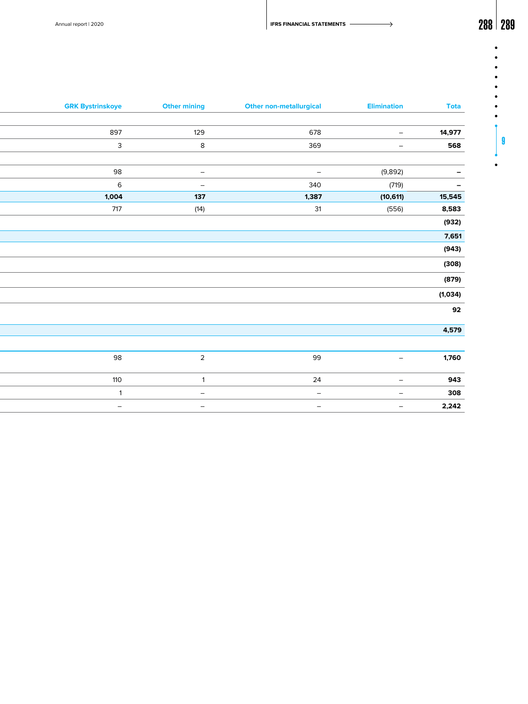$\bullet$  $\bullet$  $\bullet$  $\bullet$  $\bullet$  $\bullet$  $\bullet$  $\bullet$ 

9

 $\bullet$ 

| <b>Tota</b>              | <b>Elimination</b>       | <b>Other non-metallurgical</b> | <b>Other mining</b>             | <b>GRK Bystrinskoye</b>  |
|--------------------------|--------------------------|--------------------------------|---------------------------------|--------------------------|
|                          |                          |                                |                                 |                          |
| 14,977                   | $\equiv$                 | 678                            | 129                             | 897                      |
| 568                      | $\sim$                   | 369                            | $8\phantom{.0}$                 | $\mathbf{3}$             |
|                          |                          |                                |                                 |                          |
| $\overline{\phantom{0}}$ | (9,892)                  | $\sim$                         | $\sim$                          | 98                       |
| $\overline{\phantom{m}}$ | (719)                    | 340                            | $\hspace{0.1mm}-\hspace{0.1mm}$ | $6\overline{6}$          |
| 15,545                   | (10, 611)                | 1,387                          | 137                             | 1,004                    |
| 8,583                    | (556)                    | 31                             | (14)                            | 717                      |
| (932)                    |                          |                                |                                 |                          |
| 7,651                    |                          |                                |                                 |                          |
| (943)                    |                          |                                |                                 |                          |
| (308)                    |                          |                                |                                 |                          |
| (879)                    |                          |                                |                                 |                          |
| (1,034)                  |                          |                                |                                 |                          |
| 92                       |                          |                                |                                 |                          |
|                          |                          |                                |                                 |                          |
| 4,579                    |                          |                                |                                 |                          |
|                          |                          |                                |                                 |                          |
| 1,760                    | $\overline{\phantom{a}}$ | 99                             | $\overline{2}$                  | 98                       |
| 943                      | $ \,$                    | 24                             | $\overline{1}$                  | 110                      |
| 308                      | $\overline{\phantom{0}}$ | $\sim$                         | $\overline{\phantom{a}}$        | $\overline{1}$           |
| 2,242                    | $\overline{\phantom{a}}$ | $\equiv$                       | $\overline{\phantom{a}}$        | $\overline{\phantom{a}}$ |
|                          |                          |                                |                                 |                          |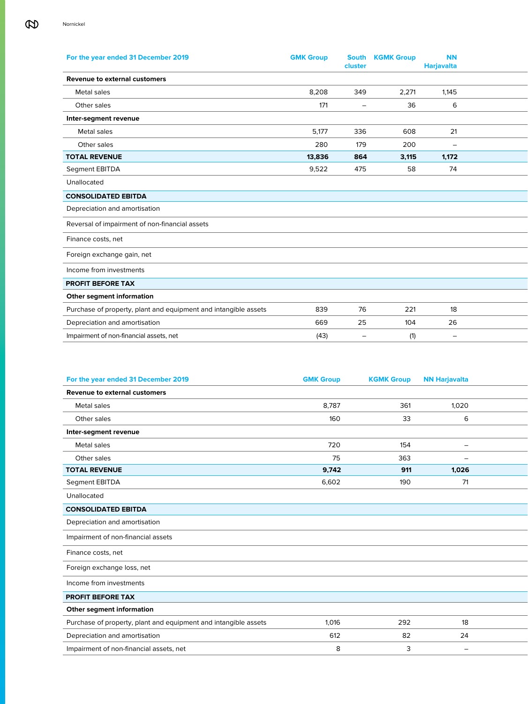| For the year ended 31 December 2019                             | <b>GMK Group</b> | cluster                  | <b>South KGMK Group</b> | <b>NN</b><br><b>Harjavalta</b> |  |
|-----------------------------------------------------------------|------------------|--------------------------|-------------------------|--------------------------------|--|
| Revenue to external customers                                   |                  |                          |                         |                                |  |
| Metal sales                                                     | 8,208            | 349                      | 2,271                   | 1,145                          |  |
| Other sales                                                     | 171              | $\overline{\phantom{a}}$ | 36                      | 6                              |  |
| Inter-segment revenue                                           |                  |                          |                         |                                |  |
| Metal sales                                                     | 5,177            | 336                      | 608                     | 21                             |  |
| Other sales                                                     | 280              | 179                      | 200                     | $\overline{\phantom{m}}$       |  |
| <b>TOTAL REVENUE</b>                                            | 13,836           | 864                      | 3,115                   | 1,172                          |  |
| Segment EBITDA                                                  | 9,522            | 475                      | 58                      | 74                             |  |
| Unallocated                                                     |                  |                          |                         |                                |  |
| <b>CONSOLIDATED EBITDA</b>                                      |                  |                          |                         |                                |  |
| Depreciation and amortisation                                   |                  |                          |                         |                                |  |
| Reversal of impairment of non-financial assets                  |                  |                          |                         |                                |  |
| Finance costs, net                                              |                  |                          |                         |                                |  |
| Foreign exchange gain, net                                      |                  |                          |                         |                                |  |
| Income from investments                                         |                  |                          |                         |                                |  |
| PROFIT BEFORE TAX                                               |                  |                          |                         |                                |  |
| Other segment information                                       |                  |                          |                         |                                |  |
| Purchase of property, plant and equipment and intangible assets | 839              | 76                       | 221                     | 18                             |  |
| Depreciation and amortisation                                   | 669              | 25                       | 104                     | 26                             |  |
| Impairment of non-financial assets, net                         | (43)             | $\overline{\phantom{m}}$ | (1)                     | $\overline{\phantom{m}}$       |  |

| For the year ended 31 December 2019                             | <b>GMK Group</b> | <b>KGMK Group</b> | <b>NN Harjavalta</b>            |  |
|-----------------------------------------------------------------|------------------|-------------------|---------------------------------|--|
| <b>Revenue to external customers</b>                            |                  |                   |                                 |  |
| Metal sales                                                     | 8,787            | 361               | 1,020                           |  |
| Other sales                                                     | 160              | 33                | 6                               |  |
| Inter-segment revenue                                           |                  |                   |                                 |  |
| Metal sales                                                     | 720              | 154               | $\hspace{0.1mm}-\hspace{0.1mm}$ |  |
| Other sales                                                     | 75               | 363               | $\overline{\phantom{a}}$        |  |
| <b>TOTAL REVENUE</b>                                            | 9,742            | 911               | 1,026                           |  |
| Segment EBITDA                                                  | 6,602            | 190               | 71                              |  |
| Unallocated                                                     |                  |                   |                                 |  |
| <b>CONSOLIDATED EBITDA</b>                                      |                  |                   |                                 |  |
| Depreciation and amortisation                                   |                  |                   |                                 |  |
| Impairment of non-financial assets                              |                  |                   |                                 |  |
| Finance costs, net                                              |                  |                   |                                 |  |
| Foreign exchange loss, net                                      |                  |                   |                                 |  |
| Income from investments                                         |                  |                   |                                 |  |
| <b>PROFIT BEFORE TAX</b>                                        |                  |                   |                                 |  |
| Other segment information                                       |                  |                   |                                 |  |
| Purchase of property, plant and equipment and intangible assets | 1,016            | 292               | 18                              |  |
| Depreciation and amortisation                                   | 612              | 82                | 24                              |  |
| Impairment of non-financial assets, net                         | 8                | 3                 | $\hspace{0.1mm}-\hspace{0.1mm}$ |  |
|                                                                 |                  |                   |                                 |  |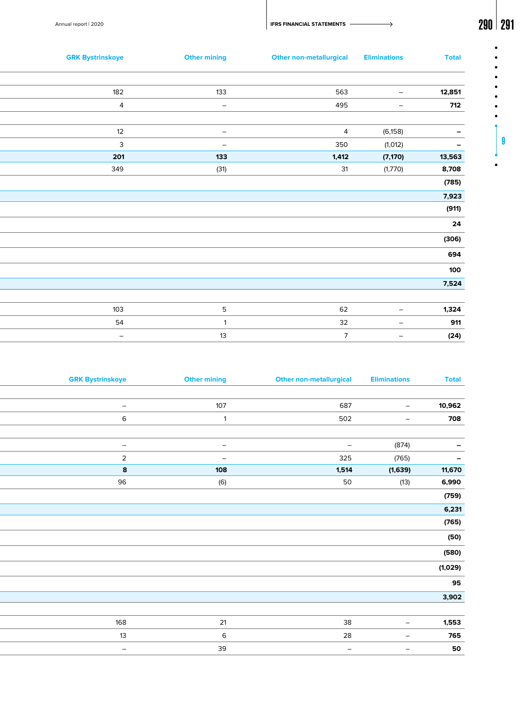Annual report | 2020 **291 PRS FINANCIAL STATEMENTS** 

| <b>Total</b>             | <b>Eliminations</b>      |                | <b>Other non-metallurgical</b> | <b>Other mining</b>             | <b>GRK Bystrinskoye</b> |
|--------------------------|--------------------------|----------------|--------------------------------|---------------------------------|-------------------------|
| 12,851                   | $\sim$                   | 563            |                                | 133                             | 182                     |
| 712                      | $\sim$                   | 495            |                                | $\hspace{0.1mm}-\hspace{0.1mm}$ | $\overline{4}$          |
| $\equiv$                 | (6, 158)                 | $\overline{4}$ |                                | $\sim$                          | 12                      |
| $\overline{\phantom{a}}$ | (1, 012)                 | 350            |                                | $\overline{\phantom{a}}$        | $\mathbf{3}$            |
| 13,563                   | (7, 170)                 | 1,412          |                                | 133                             | 201                     |
| 8,708                    | (1,770)                  | 31             |                                | (31)                            | 349                     |
| (785)                    |                          |                |                                |                                 |                         |
| 7,923                    |                          |                |                                |                                 |                         |
| (911)                    |                          |                |                                |                                 |                         |
| 24                       |                          |                |                                |                                 |                         |
| (306)                    |                          |                |                                |                                 |                         |
| 694                      |                          |                |                                |                                 |                         |
| 100                      |                          |                |                                |                                 |                         |
| 7,524                    |                          |                |                                |                                 |                         |
| 1,324                    | $\sim$                   | 62             |                                | $5\phantom{.0}$                 | 103                     |
| 911                      | $\sim$                   | 32             |                                |                                 | 54                      |
| (24)                     | $\overline{\phantom{0}}$ | $\overline{7}$ |                                | 13                              | $\sim$                  |

| <b>Eliminations</b> | <b>Other non-metallurgical</b> | <b>Other mining</b>      | <b>GRK Bystrinskoye</b>         |
|---------------------|--------------------------------|--------------------------|---------------------------------|
|                     |                                |                          |                                 |
| $\sim$              | 687                            | 107                      | $\overline{\phantom{a}}$        |
| $\sim$              | 502                            | $\overline{1}$           | 6                               |
|                     |                                |                          |                                 |
|                     | $\sim$                         | $\sim$                   | $\hspace{0.1mm}-\hspace{0.1mm}$ |
|                     | 325                            | $\overline{\phantom{a}}$ | $\overline{2}$                  |
| (1,639)             | 1,514                          | 108                      | $\boldsymbol{8}$                |
| (13)                | 50                             | (6)                      | 96                              |
|                     |                                |                          |                                 |
|                     |                                |                          |                                 |
|                     |                                |                          |                                 |
|                     |                                |                          |                                 |
|                     |                                |                          |                                 |
|                     |                                |                          |                                 |
|                     |                                |                          |                                 |
|                     |                                |                          |                                 |
|                     |                                |                          |                                 |
|                     |                                |                          |                                 |
| $\sim$              | 38                             | $21$                     | 168                             |
| $ \,$               | 28                             | 6                        | 13                              |
|                     |                                |                          |                                 |
|                     | (874)<br>(765)                 |                          |                                 |

9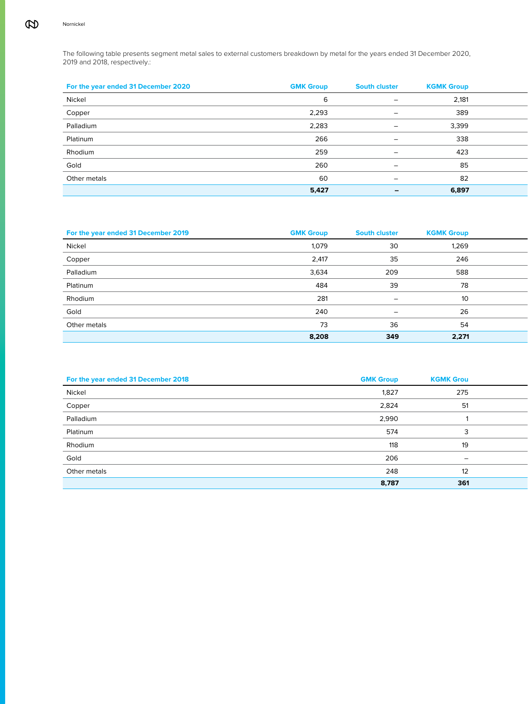The following table presents segment metal sales to external customers breakdown by metal for the years ended 31 December 2020, 2019 and 2018, respectively.:

| For the year ended 31 December 2020 | <b>GMK Group</b> | <b>South cluster</b>     | <b>KGMK Group</b> |  |
|-------------------------------------|------------------|--------------------------|-------------------|--|
| Nickel                              |                  | $\overline{\phantom{m}}$ | 2,181             |  |
| Copper                              | 2,293            | $\overline{\phantom{0}}$ | 389               |  |
| Palladium                           | 2,283            | $-$                      | 3,399             |  |
| Platinum                            | 266              | $\overline{\phantom{0}}$ | 338               |  |
| Rhodium                             | 259              | $\overline{\phantom{m}}$ | 423               |  |
| Gold                                | 260              | $\overline{\phantom{a}}$ | 85                |  |
| Other metals                        | 60               | $\overline{\phantom{0}}$ | 82                |  |
|                                     | 5,427            | $\overline{\phantom{0}}$ | 6,897             |  |

| For the year ended 31 December 2019 | <b>GMK Group</b> | <b>South cluster</b>     | <b>KGMK Group</b> |
|-------------------------------------|------------------|--------------------------|-------------------|
| Nickel                              | 1,079            | 30                       | 1,269             |
| Copper                              | 2,417            | 35                       | 246               |
| Palladium                           | 3,634            | 209                      | 588               |
| Platinum                            | 484              | 39                       | 78                |
| Rhodium                             | 281              | $\equiv$                 | 10                |
| Gold                                | 240              | $\overline{\phantom{m}}$ | 26                |
| Other metals                        | 73               | 36                       | 54                |
|                                     | 8,208            | 349                      | 2,271             |

| For the year ended 31 December 2018 | <b>GMK Group</b> | <b>KGMK Grou</b>         |  |
|-------------------------------------|------------------|--------------------------|--|
| Nickel                              | 1,827            | 275                      |  |
| Copper                              | 2,824            | 51                       |  |
| Palladium                           | 2,990            |                          |  |
| Platinum                            | 574              |                          |  |
| Rhodium                             | 118              | 19                       |  |
| Gold                                | 206              | $\overline{\phantom{0}}$ |  |
| Other metals                        | 248              | 12                       |  |
|                                     | 8,787            | 361                      |  |
|                                     |                  |                          |  |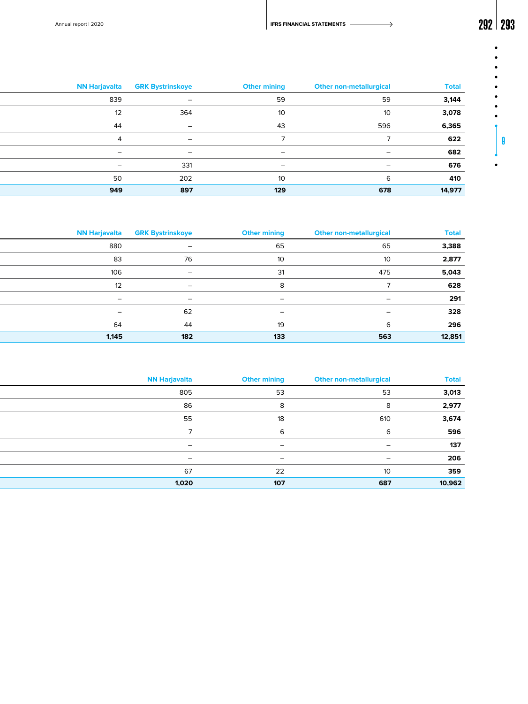Annual report | 2020 **292 | 203** 

| <b>Total</b> | <b>Other non-metallurgical</b> | <b>Other mining</b> | <b>NN Harjavalta GRK Bystrinskoye</b> |                          |
|--------------|--------------------------------|---------------------|---------------------------------------|--------------------------|
| 3,144        | 59                             | 59                  | $\overline{\phantom{m}}$              | 839                      |
| 3,078        | 10                             |                     | 364                                   | 12                       |
| 6,365        | 596                            | 43                  | $\overline{\phantom{m}}$              | 44                       |
| 622          |                                |                     | $\overline{\phantom{0}}$              |                          |
| 682          | $\overline{\phantom{a}}$       | $\sim$              | $\overline{\phantom{0}}$              | $\overline{\phantom{0}}$ |
| 676          | -                              | -                   | 331                                   | -                        |
| 410          |                                |                     | 202                                   | 50                       |
| 14,977       | 678                            | 129                 | 897                                   | 949                      |

| <b>Total</b> | <b>Other non-metallurgical</b> | <b>Other mining</b>      | <b>NN Harjavalta GRK Bystrinskoye</b> |                          |
|--------------|--------------------------------|--------------------------|---------------------------------------|--------------------------|
| 3,388        | 65                             | 65                       | $\sim$                                | 880                      |
| 2,877        | 10 <sup>°</sup>                | 10 <sup>°</sup>          | 76                                    | 83                       |
| 5,043        | 475                            | 31                       | $\overline{\phantom{0}}$              | 106                      |
| 628          |                                |                          | $\overline{\phantom{0}}$              |                          |
| 291          | $\overline{a}$                 | $\overline{\phantom{0}}$ | $\sim$                                | $\sim$                   |
| 328          | $\overline{\phantom{a}}$       |                          | 62                                    | $\overline{\phantom{0}}$ |
| 296          |                                | 19                       | 44                                    | 64                       |
| 12,851       | 563                            | 133                      | 182                                   | 1,145                    |

| <b>Total</b> | <b>Other non-metallurgical</b> | <b>Other mining</b>      | <b>NN Harjavalta</b>     |
|--------------|--------------------------------|--------------------------|--------------------------|
| 3,013        | 53                             | 53                       | 805                      |
| 2,977        |                                |                          | 86                       |
| 3,674        | 610                            | 18                       | 55                       |
| 596          |                                |                          |                          |
| 137          | $\overline{\phantom{0}}$       | $\overline{\phantom{0}}$ | $\sim$                   |
| 206          | $\overline{\phantom{0}}$       | $\overline{\phantom{0}}$ | $\overline{\phantom{0}}$ |
| 359          | 10                             | 22                       | 67                       |
| 10,962       | 687                            | 107                      | 1,020                    |

9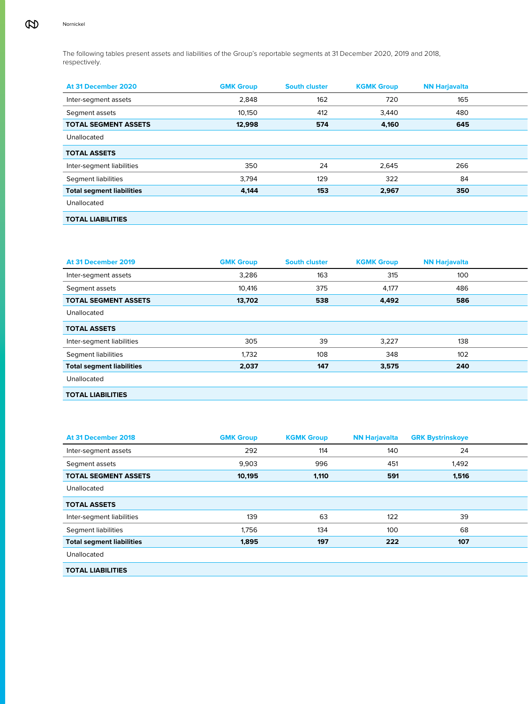The following tables present assets and liabilities of the Group's reportable segments at 31 December 2020, 2019 and 2018, respectively.

| At 31 December 2020              | <b>GMK Group</b> | <b>South cluster</b> | <b>KGMK Group</b> | <b>NN Harjavalta</b> |
|----------------------------------|------------------|----------------------|-------------------|----------------------|
| Inter-segment assets             | 2,848            | 162                  | 720               | 165                  |
| Segment assets                   | 10,150           | 412                  | 3,440             | 480                  |
| <b>TOTAL SEGMENT ASSETS</b>      | 12,998           | 574                  | 4,160             | 645                  |
| Unallocated                      |                  |                      |                   |                      |
| <b>TOTAL ASSETS</b>              |                  |                      |                   |                      |
| Inter-segment liabilities        | 350              | 24                   | 2,645             | 266                  |
| Segment liabilities              | 3,794            | 129                  | 322               | 84                   |
| <b>Total segment liabilities</b> | 4,144            | 153                  | 2,967             | 350                  |
| Unallocated                      |                  |                      |                   |                      |
| <b>TOTAL LIABILITIES</b>         |                  |                      |                   |                      |

| At 31 December 2019              | <b>GMK Group</b> | <b>South cluster</b> | <b>KGMK Group</b> | <b>NN Harjavalta</b> |
|----------------------------------|------------------|----------------------|-------------------|----------------------|
| Inter-segment assets             | 3,286            | 163                  | 315               | 100                  |
| Segment assets                   | 10,416           | 375                  | 4,177             | 486                  |
| <b>TOTAL SEGMENT ASSETS</b>      | 13,702           | 538                  | 4,492             | 586                  |
| Unallocated                      |                  |                      |                   |                      |
| <b>TOTAL ASSETS</b>              |                  |                      |                   |                      |
| Inter-segment liabilities        | 305              | 39                   | 3,227             | 138                  |
| Segment liabilities              | 1,732            | 108                  | 348               | 102                  |
| <b>Total segment liabilities</b> | 2,037            | 147                  | 3,575             | 240                  |
| Unallocated                      |                  |                      |                   |                      |
| <b>TOTAL LIABILITIES</b>         |                  |                      |                   |                      |

| At 31 December 2018              | <b>GMK Group</b> | <b>KGMK Group</b> |     | <b>NN Harjavalta GRK Bystrinskoye</b> |  |
|----------------------------------|------------------|-------------------|-----|---------------------------------------|--|
| Inter-segment assets             | 292              | 114               | 140 | 24                                    |  |
| Segment assets                   | 9,903            | 996               | 451 | 1,492                                 |  |
| <b>TOTAL SEGMENT ASSETS</b>      | 10,195           | 1,110             | 591 | 1,516                                 |  |
| Unallocated                      |                  |                   |     |                                       |  |
| <b>TOTAL ASSETS</b>              |                  |                   |     |                                       |  |
| Inter-segment liabilities        | 139              | 63                | 122 | 39                                    |  |
| Segment liabilities              | 1,756            | 134               | 100 | 68                                    |  |
| <b>Total segment liabilities</b> | 1,895            | 197               | 222 | 107                                   |  |
| Unallocated                      |                  |                   |     |                                       |  |
| <b>TOTAL LIABILITIES</b>         |                  |                   |     |                                       |  |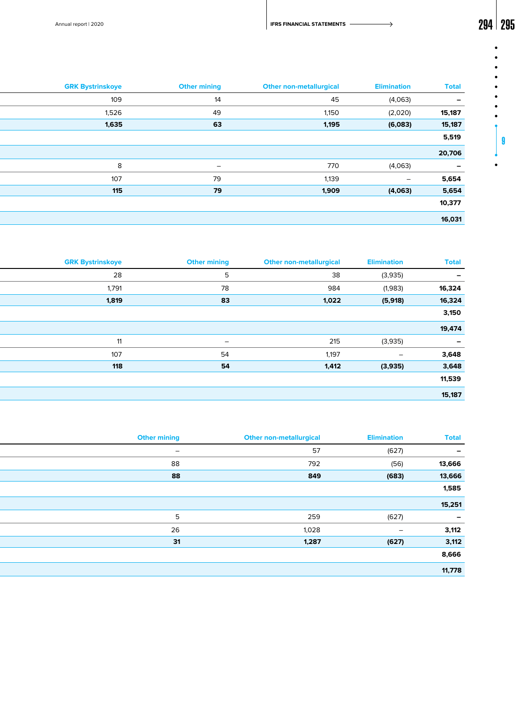$\bullet$  $\bullet$  $\bullet$  $\bullet$  $\bullet$  $\bullet$  $\bullet$  $\bullet$ 

9

 $\bullet$ 

Annual report | 2020 **294 | 295** 

| <b>Total</b>             | <b>Elimination</b>       | <b>Other non-metallurgical</b> | <b>Other mining</b> | <b>GRK Bystrinskoye</b> |
|--------------------------|--------------------------|--------------------------------|---------------------|-------------------------|
| $\overline{\phantom{0}}$ | (4,063)                  | 45                             | 14                  | 109                     |
| 15,187                   | (2,020)                  | 1,150                          | 49                  | 1,526                   |
| 15,187                   | (6,083)                  | 1,195                          | 63                  | 1,635                   |
| 5,519                    |                          |                                |                     |                         |
| 20,706                   |                          |                                |                     |                         |
| $\overline{\phantom{0}}$ | (4,063)                  | 770                            | $ \,$               | 8                       |
| 5,654                    | $\overline{\phantom{0}}$ | 1,139                          | 79                  | 107                     |
| 5,654                    | (4,063)                  | 1,909                          | 79                  | 115                     |
| 10,377                   |                          |                                |                     |                         |
| 16,031                   |                          |                                |                     |                         |
|                          |                          |                                |                     |                         |

| <b>Total</b>             | <b>Elimination</b> | <b>Other non-metallurgical</b> | <b>Other mining</b>      | <b>GRK Bystrinskoye</b> |
|--------------------------|--------------------|--------------------------------|--------------------------|-------------------------|
| $\overline{\phantom{a}}$ | (3,935)            | 38                             | 5                        | 28                      |
| 16,324                   | (1,983)            | 984                            | 78                       | 1,791                   |
| 16,324                   | (5,918)            | 1,022                          | 83                       | 1,819                   |
| 3,150                    |                    |                                |                          |                         |
| 19,474                   |                    |                                |                          |                         |
| $\overline{\phantom{a}}$ | (3,935)            | 215                            | $\overline{\phantom{0}}$ | 11                      |
| 3,648                    | $\sim$             | 1,197                          | 54                       | 107                     |
| 3,648                    | (3,935)            | 1,412                          | 54                       | 118                     |
| 11,539                   |                    |                                |                          |                         |
| 15,187                   |                    |                                |                          |                         |
|                          |                    |                                |                          |                         |

| <b>Total</b> | <b>Elimination</b>       | <b>Other non-metallurgical</b> | <b>Other mining</b>      |
|--------------|--------------------------|--------------------------------|--------------------------|
|              | (627)                    | 57                             | $\overline{\phantom{0}}$ |
| 13,666       | (56)                     | 792                            | 88                       |
| 13,666       | (683)                    | 849                            | 88                       |
| 1,585        |                          |                                |                          |
| 15,251       |                          |                                |                          |
| $\sim$       | (627)                    | 259                            | $\overline{\phantom{0}}$ |
| 3,112        | $\overline{\phantom{a}}$ | 1,028                          | 26                       |
| 3,112        | (627)                    | 1,287                          | 31                       |
| 8,666        |                          |                                |                          |
| 11,778       |                          |                                |                          |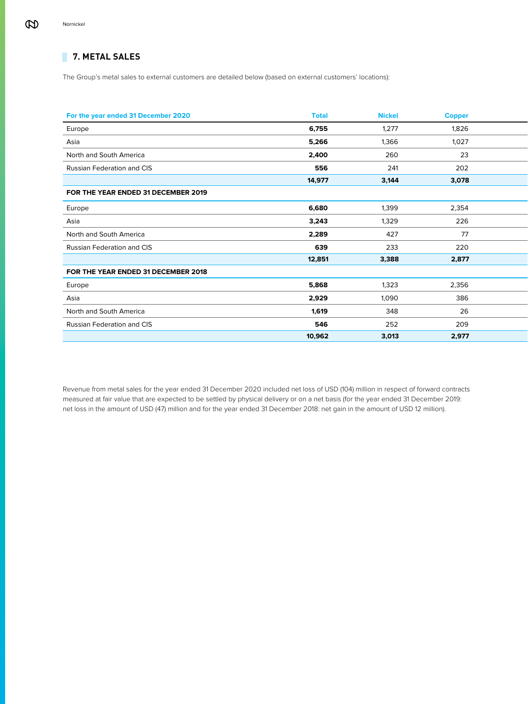# **7. METAL SALES**

The Group's metal sales to external customers are detailed below (based on external customers' locations):

| For the year ended 31 December 2020 | <b>Total</b> | <b>Nickel</b> | <b>Copper</b> |  |
|-------------------------------------|--------------|---------------|---------------|--|
| Europe                              | 6,755        | 1,277         | 1,826         |  |
| Asia                                | 5,266        | 1,366         | 1,027         |  |
| North and South America             | 2,400        | 260           | 23            |  |
| Russian Federation and CIS          | 556          | 241           | 202           |  |
|                                     | 14,977       | 3,144         | 3,078         |  |
| FOR THE YEAR ENDED 31 DECEMBER 2019 |              |               |               |  |
| Europe                              | 6,680        | 1,399         | 2,354         |  |
| Asia                                | 3,243        | 1,329         | 226           |  |
| North and South America             | 2,289        | 427           | 77            |  |
| Russian Federation and CIS          | 639          | 233           | 220           |  |
|                                     | 12,851       | 3,388         | 2,877         |  |
| FOR THE YEAR ENDED 31 DECEMBER 2018 |              |               |               |  |
| Europe                              | 5,868        | 1,323         | 2,356         |  |
| Asia                                | 2,929        | 1,090         | 386           |  |
| North and South America             | 1,619        | 348           | 26            |  |
| Russian Federation and CIS          | 546          | 252           | 209           |  |
|                                     | 10,962       | 3,013         | 2,977         |  |

Revenue from metal sales for the year ended 31 December 2020 included net loss of USD (104) million in respect of forward contracts measured at fair value that are expected to be settled by physical delivery or on a net basis (for the year ended 31 December 2019: net loss in the amount of USD (47) million and for the year ended 31 December 2018: net gain in the amount of USD 12 million).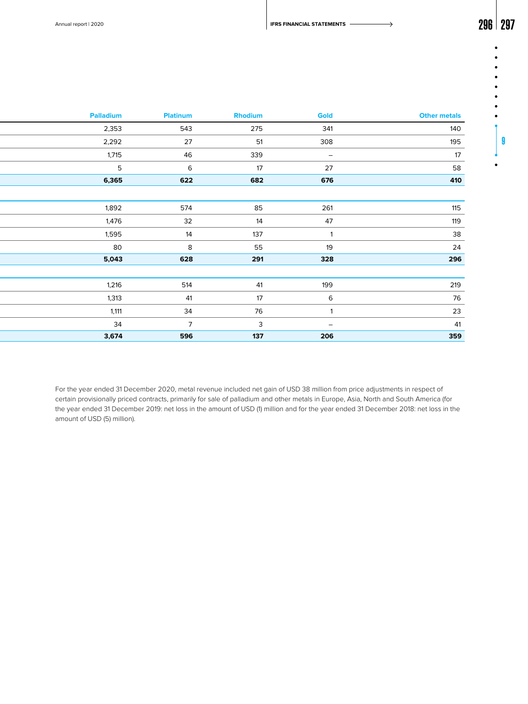Annual report | 2020 **296 | 297 PIPERS FINANCIAL STATEMENTS** 

| 296 | 21 |
|-----|----|
|     |    |

|  | g |  |
|--|---|--|
|  |   |  |
|  |   |  |

| <b>Other metals</b> | Gold                     | Rhodium      | Platinum       | Palladium       |
|---------------------|--------------------------|--------------|----------------|-----------------|
| 140                 | 341                      | 275          | 543            | 2,353           |
| 195                 | 308                      | 51           | 27             | 2,292           |
| 17                  | $\overline{\phantom{0}}$ | 339          | 46             | 1,715           |
| 58                  | 27                       | 17           | 6              | $5\phantom{.0}$ |
| 410                 | 676                      | 682          | 622            | 6,365           |
|                     |                          |              |                |                 |
| 115                 | 261                      | 85           | 574            | 1,892           |
| 119                 | 47                       | 14           | 32             | 1,476           |
| 38                  | $\overline{\mathbf{1}}$  | 137          | 14             | 1,595           |
| 24                  | 19                       | 55           | 8              | 80              |
| 296                 | 328                      | 291          | 628            | 5,043           |
|                     |                          |              |                |                 |
| 219                 | 199                      | 41           | 514            | 1,216           |
| 76                  | 6                        | 17           | 41             | 1,313           |
| 23                  |                          | 76           | 34             | 1,111           |
| 41                  | $\overline{\phantom{0}}$ | $\mathbf{3}$ | $\overline{7}$ | 34              |
| 359                 | 206                      | 137          | 596            | 3,674           |
|                     |                          |              |                |                 |

For the year ended 31 December 2020, metal revenue included net gain of USD 38 million from price adjustments in respect of certain provisionally priced contracts, primarily for sale of palladium and other metals in Europe, Asia, North and South America (for the year ended 31 December 2019: net loss in the amount of USD (1) million and for the year ended 31 December 2018: net loss in the amount of USD (5) million).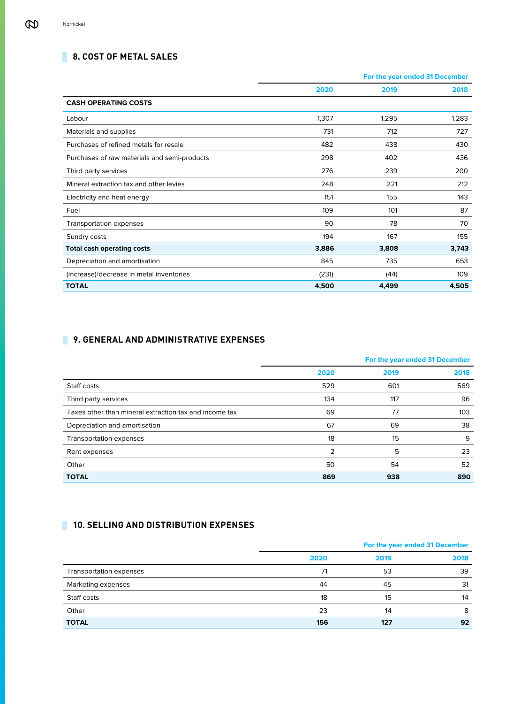# **8. COST OF METAL SALES**

|                                              |       | For the year ended 31 December |       |  |
|----------------------------------------------|-------|--------------------------------|-------|--|
|                                              | 2020  | 2019                           | 2018  |  |
| <b>CASH OPERATING COSTS</b>                  |       |                                |       |  |
| Labour                                       | 1,307 | 1,295                          | 1,283 |  |
| Materials and supplies                       | 731   | 712                            | 727   |  |
| Purchases of refined metals for resale       | 482   | 438                            | 430   |  |
| Purchases of raw materials and semi-products | 298   | 402                            | 436   |  |
| Third party services                         | 276   | 239                            | 200   |  |
| Mineral extraction tax and other levies      | 248   | 221                            | 212   |  |
| Electricity and heat energy                  | 151   | 155                            | 143   |  |
| Fuel                                         | 109   | 101                            | 87    |  |
| Transportation expenses                      | 90    | 78                             | 70    |  |
| Sundry costs                                 | 194   | 167                            | 155   |  |
| <b>Total cash operating costs</b>            | 3,886 | 3,808                          | 3,743 |  |
| Depreciation and amortisation                | 845   | 735                            | 653   |  |
| (Increase)/decrease in metal inventories     | (231) | (44)                           | 109   |  |
| <b>TOTAL</b>                                 | 4,500 | 4,499                          | 4,505 |  |

# **9. GENERAL AND ADMINISTRATIVE EXPENSES**

|                                                        |      | For the year ended 31 December |      |
|--------------------------------------------------------|------|--------------------------------|------|
|                                                        | 2020 | 2019                           | 2018 |
| Staff costs                                            | 529  | 601                            | 569  |
| Third party services                                   | 134  | 117                            | 96   |
| Taxes other than mineral extraction tax and income tax | 69   | 77                             | 103  |
| Depreciation and amortisation                          | 67   | 69                             | 38   |
| Transportation expenses                                | 18   | 15                             | 9    |
| Rent expenses                                          | 2    | 5                              | 23   |
| Other                                                  | 50   | 54                             | 52   |
| <b>TOTAL</b>                                           | 869  | 938                            | 890  |

# **10. SELLING AND DISTRIBUTION EXPENSES**

|                         | For the year ended 31 December |      |      |
|-------------------------|--------------------------------|------|------|
|                         | 2020                           | 2019 | 2018 |
| Transportation expenses | 71                             | 53   | 39   |
| Marketing expenses      | 44                             | 45   | 31   |
| Staff costs             | 18                             | 15   | 14   |
| Other                   | 23                             | 14   | 8    |
| <b>TOTAL</b>            | 156                            | 127  | 92   |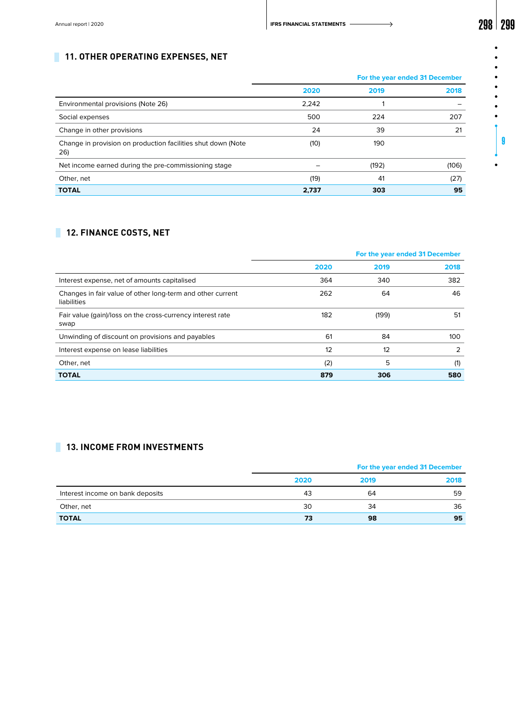$\bullet$  $\bullet$  $\bullet$  $\bullet$ 

9

 $\bullet$ 

# **11. OTHER OPERATING EXPENSES, NET**

|                                                                     |       | For the year ended 31 December |       |
|---------------------------------------------------------------------|-------|--------------------------------|-------|
|                                                                     | 2020  | 2019                           | 2018  |
| Environmental provisions (Note 26)                                  | 2,242 |                                |       |
| Social expenses                                                     | 500   | 224                            | 207   |
| Change in other provisions                                          | 24    | 39                             | 21    |
| Change in provision on production facilities shut down (Note<br>26) | (10)  | 190                            |       |
| Net income earned during the pre-commissioning stage                |       | (192)                          | (106) |
| Other, net                                                          | (19)  | 41                             | (27)  |
| <b>TOTAL</b>                                                        | 2,737 | 303                            | 95    |

# **12. FINANCE COSTS, NET**

|                                                                           | For the year ended 31 December |       |               |
|---------------------------------------------------------------------------|--------------------------------|-------|---------------|
|                                                                           | 2020                           | 2019  | 2018          |
| Interest expense, net of amounts capitalised                              | 364                            | 340   | 382           |
| Changes in fair value of other long-term and other current<br>liabilities | 262                            | 64    | 46            |
| Fair value (gain)/loss on the cross-currency interest rate<br>swap        | 182                            | (199) | 51            |
| Unwinding of discount on provisions and payables                          | 61                             | 84    | 100           |
| Interest expense on lease liabilities                                     | 12                             | 12    | $\mathcal{P}$ |
| Other, net                                                                | (2)                            | 5     | (1)           |
| <b>TOTAL</b>                                                              | 879                            | 306   | 580           |

# **13. INCOME FROM INVESTMENTS**

|                                  | For the year ended 31 December |      |      |  |
|----------------------------------|--------------------------------|------|------|--|
|                                  | 2020                           | 2019 | 2018 |  |
| Interest income on bank deposits | 43                             | 64   | 59   |  |
| Other, net                       | 30                             | 34   | 36   |  |
| <b>TOTAL</b>                     | 73                             | 98   | 95   |  |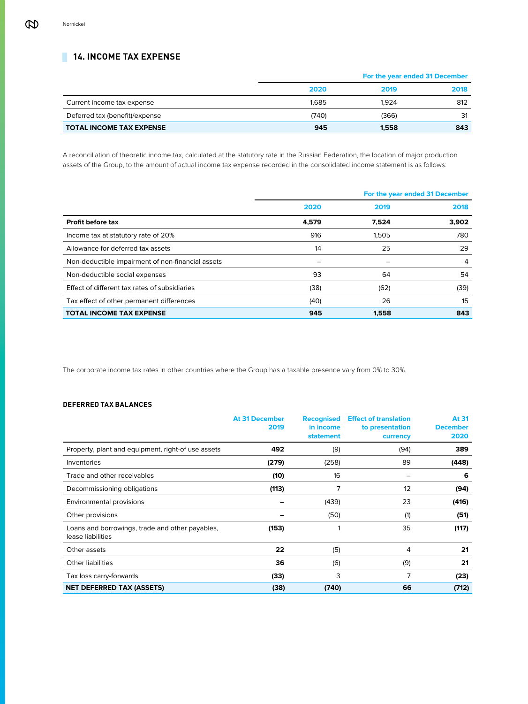# **14. INCOME TAX EXPENSE**

|                                 |       | For the year ended 31 December |      |  |
|---------------------------------|-------|--------------------------------|------|--|
|                                 | 2020  | 2019                           | 2018 |  |
| Current income tax expense      | 1.685 | 1.924                          | 812  |  |
| Deferred tax (benefit)/expense  | (740) | (366)                          | 31   |  |
| <b>TOTAL INCOME TAX EXPENSE</b> | 945   | 1.558                          | 843  |  |

A reconciliation of theoretic income tax, calculated at the statutory rate in the Russian Federation, the location of major production assets of the Group, to the amount of actual income tax expense recorded in the consolidated income statement is as follows:

|                                                   |       | For the year ended 31 December |       |
|---------------------------------------------------|-------|--------------------------------|-------|
|                                                   | 2020  | 2019                           | 2018  |
| Profit before tax                                 | 4,579 | 7,524                          | 3,902 |
| Income tax at statutory rate of 20%               | 916   | 1.505                          | 780   |
| Allowance for deferred tax assets                 | 14    | 25                             | 29    |
| Non-deductible impairment of non-financial assets |       |                                | 4     |
| Non-deductible social expenses                    | 93    | 64                             | 54    |
| Effect of different tax rates of subsidiaries     | (38)  | (62)                           | (39)  |
| Tax effect of other permanent differences         | (40)  | 26                             | 15    |
| <b>TOTAL INCOME TAX EXPENSE</b>                   | 945   | 1.558                          | 843   |

The corporate income tax rates in other countries where the Group has a taxable presence vary from 0% to 30%.

# **DEFERRED TAX BALANCES**

|                                                                      | <b>At 31 December</b><br>2019 | <b>Recognised</b><br>in income<br><b>statement</b> | <b>Effect of translation</b><br>to presentation<br>currency | At 31<br><b>December</b><br>2020 |
|----------------------------------------------------------------------|-------------------------------|----------------------------------------------------|-------------------------------------------------------------|----------------------------------|
| Property, plant and equipment, right-of use assets                   | 492                           | (9)                                                | (94)                                                        | 389                              |
| Inventories                                                          | (279)                         | (258)                                              | 89                                                          | (448)                            |
| Trade and other receivables                                          | (10)                          | 16                                                 |                                                             | 6                                |
| Decommissioning obligations                                          | (113)                         | 7                                                  | 12                                                          | (94)                             |
| Environmental provisions                                             |                               | (439)                                              | 23                                                          | (416)                            |
| Other provisions                                                     |                               | (50)                                               | (1)                                                         | (51)                             |
| Loans and borrowings, trade and other payables,<br>lease liabilities | (153)                         | 1                                                  | 35                                                          | (117)                            |
| Other assets                                                         | 22                            | (5)                                                | 4                                                           | 21                               |
| <b>Other liabilities</b>                                             | 36                            | (6)                                                | (9)                                                         | 21                               |
| Tax loss carry-forwards                                              | (33)                          | 3                                                  | 7                                                           | (23)                             |
| <b>NET DEFERRED TAX (ASSETS)</b>                                     | (38)                          | (740)                                              | 66                                                          | (712)                            |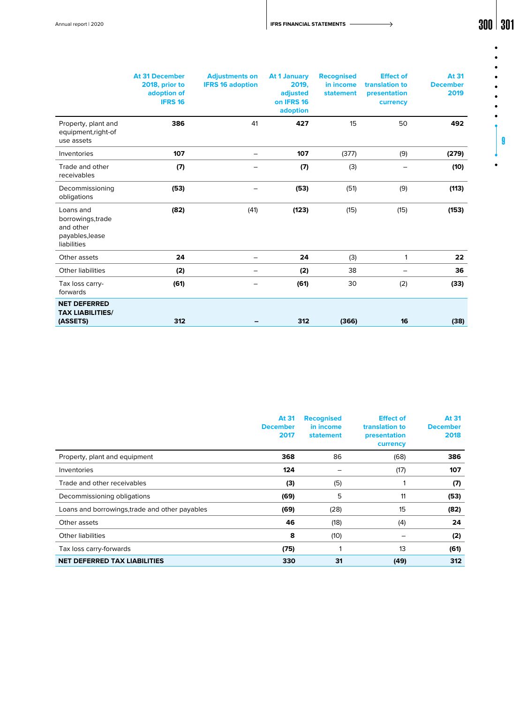Annual report | 2020 **300 | 301 | 301 | 301 | 301 | 301 | 301 | 301 | 301 | 301** | 301 | 301 | 301 | 301 | 301 **| 301** 

 $\bullet$ 

 $\bullet$  $\bullet$  $\bullet$  $\bullet$ 

 $\bullet$ 

9

|                                                                               | <b>At 31 December</b><br>2018, prior to<br>adoption of<br><b>IFRS 16</b> | <b>Adjustments on</b><br><b>IFRS 16 adoption</b> | <b>At 1 January</b><br>2019,<br>adjusted<br>on IFRS 16<br>adoption | <b>Recognised</b><br>in income<br><b>statement</b> | <b>Effect of</b><br>translation to<br>presentation<br>currency | <b>At 31</b><br><b>December</b><br>2019 |
|-------------------------------------------------------------------------------|--------------------------------------------------------------------------|--------------------------------------------------|--------------------------------------------------------------------|----------------------------------------------------|----------------------------------------------------------------|-----------------------------------------|
| Property, plant and<br>equipment, right-of<br>use assets                      | 386                                                                      | 41                                               | 427                                                                | 15                                                 | 50                                                             | 492                                     |
| Inventories                                                                   | 107                                                                      | -                                                | 107                                                                | (377)                                              | (9)                                                            | (279)                                   |
| Trade and other<br>receivables                                                | (7)                                                                      |                                                  | (7)                                                                | (3)                                                |                                                                | (10)                                    |
| Decommissioning<br>obligations                                                | (53)                                                                     |                                                  | (53)                                                               | (51)                                               | (9)                                                            | (113)                                   |
| Loans and<br>borrowings, trade<br>and other<br>payables, lease<br>liabilities | (82)                                                                     | (41)                                             | (123)                                                              | (15)                                               | (15)                                                           | (153)                                   |
| Other assets                                                                  | 24                                                                       | -                                                | 24                                                                 | (3)                                                | $\mathbf{1}$                                                   | 22                                      |
| <b>Other liabilities</b>                                                      | (2)                                                                      | -                                                | (2)                                                                | 38                                                 |                                                                | 36                                      |
| Tax loss carry-<br>forwards                                                   | (61)                                                                     |                                                  | (61)                                                               | 30                                                 | (2)                                                            | (33)                                    |
| <b>NET DEFERRED</b><br><b>TAX LIABILITIES/</b><br>(ASSETS)                    | 312                                                                      |                                                  | 312                                                                | (366)                                              | 16                                                             | (38)                                    |

|                                                | At 31<br><b>December</b><br>2017 | <b>Recognised</b><br>in income<br><b>statement</b> | <b>Effect of</b><br>translation to<br>presentation<br>currency | At 31<br><b>December</b><br>2018 |
|------------------------------------------------|----------------------------------|----------------------------------------------------|----------------------------------------------------------------|----------------------------------|
| Property, plant and equipment                  | 368                              | 86                                                 | (68)                                                           | 386                              |
| Inventories                                    | 124                              |                                                    | (17)                                                           | 107                              |
| Trade and other receivables                    | (3)                              | (5)                                                |                                                                | (7)                              |
| Decommissioning obligations                    | (69)                             | 5                                                  | 11                                                             | (53)                             |
| Loans and borrowings, trade and other payables | (69)                             | (28)                                               | 15                                                             | (82)                             |
| Other assets                                   | 46                               | (18)                                               | (4)                                                            | 24                               |
| <b>Other liabilities</b>                       | 8                                | (10)                                               |                                                                | (2)                              |
| Tax loss carry-forwards                        | (75)                             |                                                    | 13                                                             | (61)                             |
| <b>NET DEFERRED TAX LIABILITIES</b>            | 330                              | 31                                                 | (49)                                                           | 312                              |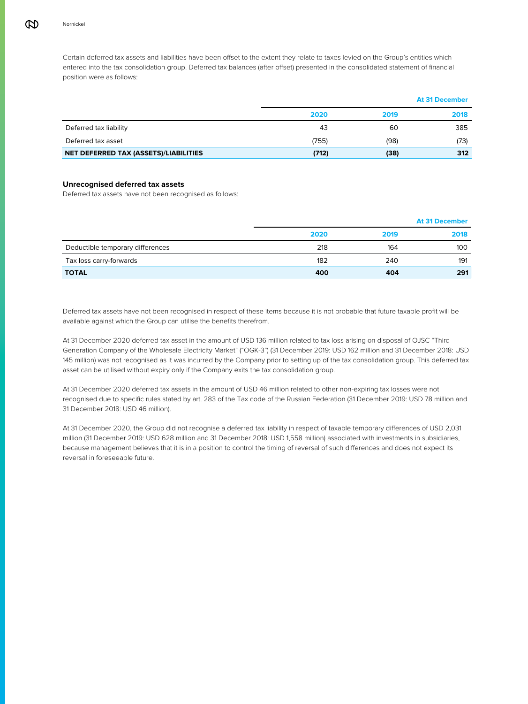Certain deferred tax assets and liabilities have been offset to the extent they relate to taxes levied on the Group's entities which entered into the tax consolidation group. Deferred tax balances (after offset) presented in the consolidated statement of financial position were as follows:

|                                       |       |      | <b>At 31 December</b> |
|---------------------------------------|-------|------|-----------------------|
|                                       | 2020  | 2019 | 2018                  |
| Deferred tax liability                | 43    | 60   | 385                   |
| Deferred tax asset                    | (755) | (98) | (73)                  |
| NET DEFERRED TAX (ASSETS)/LIABILITIES | (712) | (38) | 312                   |

# **Unrecognised deferred tax assets**

Deferred tax assets have not been recognised as follows:

|                                  |      |      | <b>At 31 December</b> |
|----------------------------------|------|------|-----------------------|
|                                  | 2020 | 2019 | 2018                  |
| Deductible temporary differences | 218  | 164  | 100                   |
| Tax loss carry-forwards          | 182  | 240  | 191                   |
| <b>TOTAL</b>                     | 400  | 404  | 291                   |

Deferred tax assets have not been recognised in respect of these items because it is not probable that future taxable profit will be available against which the Group can utilise the benefits therefrom.

At 31 December 2020 deferred tax asset in the amount of USD 136 million related to tax loss arising on disposal of OJSC "Third Generation Company of the Wholesale Electricity Market" ("OGK-3") (31 December 2019: USD 162 million and 31 December 2018: USD 145 million) was not recognised as it was incurred by the Company prior to setting up of the tax consolidation group. This deferred tax asset can be utilised without expiry only if the Company exits the tax consolidation group.

At 31 December 2020 deferred tax assets in the amount of USD 46 million related to other non-expiring tax losses were not recognised due to specific rules stated by art. 283 of the Tax code of the Russian Federation (31 December 2019: USD 78 million and 31 December 2018: USD 46 million).

At 31 December 2020, the Group did not recognise a deferred tax liability in respect of taxable temporary differences of USD 2,031 million (31 December 2019: USD 628 million and 31 December 2018: USD 1,558 million) associated with investments in subsidiaries, because management believes that it is in a position to control the timing of reversal of such differences and does not expect its reversal in foreseeable future.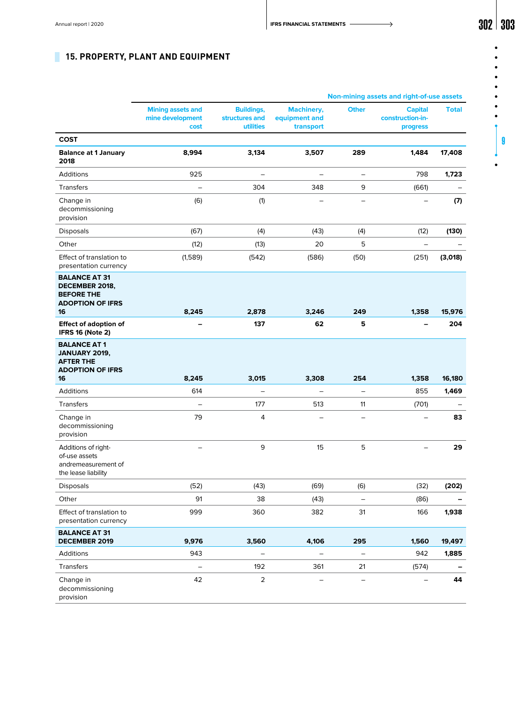**Non-mining assets and right-of-use assets** 

 $\bullet$  $\bullet$  $\bullet$ 

## $\bullet$  $\bullet$ .  $\bullet$  $\bullet$

9

 $\bullet$ 

| 15. PROPERTY, PLANT AND EQUIPMENT |  |
|-----------------------------------|--|
|                                   |  |

|                                                                                              | <b>Mining assets and</b><br>mine development<br>cost | <b>Buildings,</b><br>structures and<br>utilities | <b>Machinery,</b><br>equipment and<br>transport | <b>Other</b>             | <b>Capital</b><br>construction-in-<br>progress | <b>Total</b> |
|----------------------------------------------------------------------------------------------|------------------------------------------------------|--------------------------------------------------|-------------------------------------------------|--------------------------|------------------------------------------------|--------------|
| <b>COST</b>                                                                                  |                                                      |                                                  |                                                 |                          |                                                |              |
| <b>Balance at 1 January</b><br>2018                                                          | 8,994                                                | 3,134                                            | 3,507                                           | 289                      | 1,484                                          | 17,408       |
| Additions                                                                                    | 925                                                  |                                                  | $\qquad \qquad -$                               | $\overline{\phantom{0}}$ | 798                                            | 1,723        |
| <b>Transfers</b>                                                                             | $\overline{\phantom{0}}$                             | 304                                              | 348                                             | 9                        | (661)                                          |              |
| Change in<br>decommissioning<br>provision                                                    | (6)                                                  | (1)                                              |                                                 | $\overline{\phantom{0}}$ |                                                | (7)          |
| <b>Disposals</b>                                                                             | (67)                                                 | (4)                                              | (43)                                            | (4)                      | (12)                                           | (130)        |
| Other                                                                                        | (12)                                                 | (13)                                             | 20                                              | 5                        | $\qquad \qquad -$                              |              |
| Effect of translation to<br>presentation currency                                            | (1,589)                                              | (542)                                            | (586)                                           | (50)                     | (251)                                          | (3,018)      |
| <b>BALANCE AT 31</b><br>DECEMBER 2018,<br><b>BEFORE THE</b><br><b>ADOPTION OF IFRS</b><br>16 | 8,245                                                | 2,878                                            | 3,246                                           | 249                      | 1,358                                          | 15,976       |
| <b>Effect of adoption of</b><br><b>IFRS 16 (Note 2)</b>                                      |                                                      | 137                                              | 62                                              | 5                        |                                                | 204          |
| <b>BALANCE AT 1</b><br><b>JANUARY 2019,</b><br><b>AFTER THE</b><br><b>ADOPTION OF IFRS</b>   |                                                      |                                                  |                                                 |                          |                                                |              |
| 16                                                                                           | 8,245                                                | 3,015                                            | 3,308                                           | 254                      | 1,358                                          | 16,180       |
| Additions                                                                                    | 614                                                  | $\qquad \qquad -$                                | $\qquad \qquad -$                               | $\qquad \qquad -$        | 855                                            | 1,469        |
| <b>Transfers</b>                                                                             | $\overline{\phantom{0}}$                             | 177                                              | 513                                             | 11                       | (701)                                          |              |
| Change in<br>decommissioning<br>provision                                                    | 79                                                   | 4                                                | -                                               | -                        |                                                | 83           |
| Additions of right-<br>of-use assets<br>andremeasurement of<br>the lease liability           |                                                      | 9                                                | 15                                              | 5                        | $\overline{\phantom{0}}$                       | 29           |
| <b>Disposals</b>                                                                             | (52)                                                 | (43)                                             | (69)                                            | (6)                      | (32)                                           | (202)        |
| Other                                                                                        | 91                                                   | 38                                               | (43)                                            |                          | (86)                                           |              |
| Effect of translation to<br>presentation currency                                            | 999                                                  | 360                                              | 382                                             | 31                       | 166                                            | 1,938        |
| <b>BALANCE AT 31</b><br>DECEMBER 2019                                                        | 9,976                                                | 3,560                                            | 4,106                                           | 295                      | 1,560                                          | 19,497       |
| Additions                                                                                    | 943                                                  | -                                                | $\qquad \qquad -$                               | $\qquad \qquad -$        | 942                                            | 1,885        |
| Transfers                                                                                    | $\qquad \qquad -$                                    | 192                                              | 361                                             | 21                       | (574)                                          |              |
| Change in<br>decommissioning<br>provision                                                    | 42                                                   | $\overline{2}$                                   |                                                 |                          |                                                | 44           |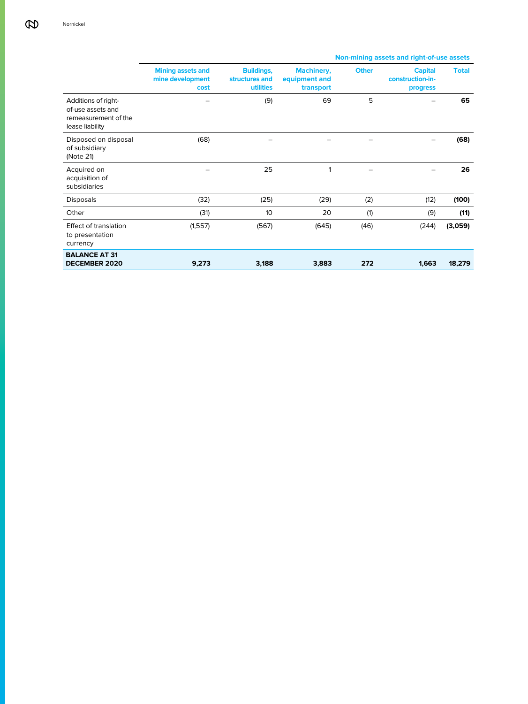#### **Mining assets and mine development cost Buildings, structures and utilities Machinery, equipment and transport Other Capital construction-inprogress Total** Additions of rightof-use assets and remeasurement of the lease liability – (9) 69 5 – **65** Disposed on disposal of subsidiary (Note 21) (68) – – – – **(68)** Acquired on acquisition of subsidiaries – 25 1 – – **26** Disposals (32) (25) (29) (2) (12) **(100)** Other (31) 10 20 (1) (9) **(11)** Effect of translation to presentation currency (1,557) (567) (645) (46) (244) **(3,059) BALANCE AT 31 DECEMBER 2020 9,273 3,188 3,883 272 1,663 18,279**

# **Non-mining assets and right-of-use assets**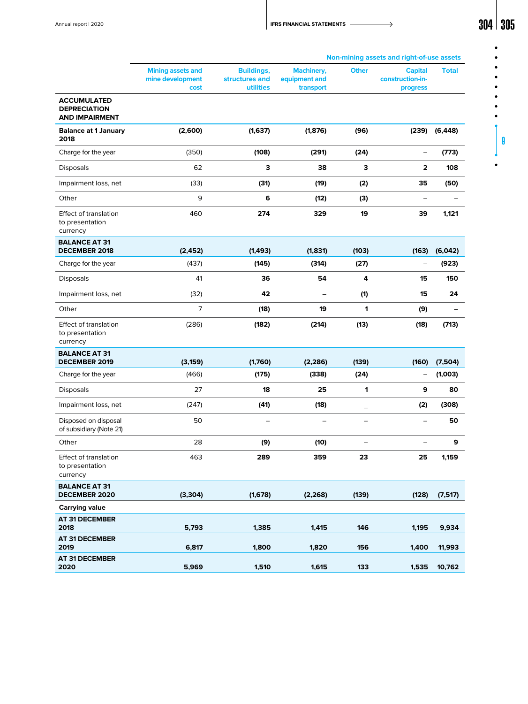| Annual report   2020 | <b>IFRS FINANCIAL STATEMENTS</b><br>the contract of the contract of the contract of the contract of the contract of the contract of the contract of | 304 | 30 <sup>r</sup> |
|----------------------|-----------------------------------------------------------------------------------------------------------------------------------------------------|-----|-----------------|
|                      |                                                                                                                                                     |     |                 |

9

|                                                                    |                                                      |                                                  |                                                 |                          | Non-mining assets and right-of-use assets      |                    |
|--------------------------------------------------------------------|------------------------------------------------------|--------------------------------------------------|-------------------------------------------------|--------------------------|------------------------------------------------|--------------------|
|                                                                    | <b>Mining assets and</b><br>mine development<br>cost | <b>Buildings,</b><br>structures and<br>utilities | <b>Machinery,</b><br>equipment and<br>transport | <b>Other</b>             | <b>Capital</b><br>construction-in-<br>progress | <b>Total</b>       |
| <b>ACCUMULATED</b><br><b>DEPRECIATION</b><br><b>AND IMPAIRMENT</b> |                                                      |                                                  |                                                 |                          |                                                |                    |
| <b>Balance at 1 January</b><br>2018                                | (2,600)                                              | (1,637)                                          | (1, 876)                                        | (96)                     | (239)                                          | (6, 448)           |
| Charge for the year                                                | (350)                                                | (108)                                            | (291)                                           | (24)                     | $\qquad \qquad -$                              | (773)              |
| <b>Disposals</b>                                                   | 62                                                   | 3                                                | 38                                              | З                        | 2                                              | 108                |
| Impairment loss, net                                               | (33)                                                 | (31)                                             | (19)                                            | (2)                      | 35                                             | (50)               |
| Other                                                              | 9                                                    | 6                                                | (12)                                            | (3)                      | $\qquad \qquad -$                              |                    |
| <b>Effect of translation</b><br>to presentation<br>currency        | 460                                                  | 274                                              | 329                                             | 19                       | 39                                             | 1,121              |
| <b>BALANCE AT 31</b><br><b>DECEMBER 2018</b>                       | (2, 452)                                             | (1, 493)                                         | (1,831)                                         | (103)                    | (163)                                          | (6,042)            |
| Charge for the year                                                | (437)                                                | (145)                                            | (314)                                           | (27)                     | $\qquad \qquad -$                              | (923)              |
| <b>Disposals</b>                                                   | 41                                                   | 36                                               | 54                                              | 4                        | 15                                             | 150                |
| Impairment loss, net                                               | (32)                                                 | 42                                               | $\overline{\phantom{a}}$                        | (1)                      | 15                                             | 24                 |
| Other                                                              | $\overline{7}$                                       | (18)                                             | 19                                              | 1                        | (9)                                            |                    |
| <b>Effect of translation</b><br>to presentation<br>currency        | (286)                                                | (182)                                            | (214)                                           | (13)                     | (18)                                           | (713)              |
| <b>BALANCE AT 31</b><br><b>DECEMBER 2019</b>                       |                                                      |                                                  |                                                 |                          | (160)                                          |                    |
| Charge for the year                                                | (3, 159)<br>(466)                                    | (1,760)<br>(175)                                 | (2, 286)<br>(338)                               | (139)<br>(24)            | $\qquad \qquad -$                              | (7,504)<br>(1,003) |
| <b>Disposals</b>                                                   | 27                                                   | 18                                               | 25                                              | 1                        | 9                                              | 80                 |
| Impairment loss, net                                               | (247)                                                | (41)                                             | (18)                                            |                          | (2)                                            | (308)              |
| Disposed on disposal<br>of subsidiary (Note 21)                    | 50                                                   | $\overline{\phantom{0}}$                         |                                                 | $\qquad \qquad -$        | $\overline{\phantom{0}}$                       | 50                 |
| Other                                                              | 28                                                   | (9)                                              | (10)                                            | $\overline{\phantom{0}}$ | $\overline{\phantom{0}}$                       | 9                  |
| Effect of translation<br>to presentation<br>currency               | 463                                                  | 289                                              | 359                                             | 23                       | 25                                             | 1,159              |
| <b>BALANCE AT 31</b><br><b>DECEMBER 2020</b>                       | (3, 304)                                             | (1,678)                                          | (2, 268)                                        | (139)                    | (128)                                          | (7, 517)           |
| <b>Carrying value</b>                                              |                                                      |                                                  |                                                 |                          |                                                |                    |
| <b>AT 31 DECEMBER</b><br>2018                                      | 5,793                                                | 1,385                                            | 1,415                                           | 146                      | 1,195                                          | 9,934              |
| <b>AT 31 DECEMBER</b><br>2019                                      | 6,817                                                | 1,800                                            | 1,820                                           | 156                      | 1,400                                          | 11,993             |
| <b>AT 31 DECEMBER</b><br>2020                                      | 5,969                                                | 1,510                                            | 1,615                                           | 133                      | 1,535                                          | 10,762             |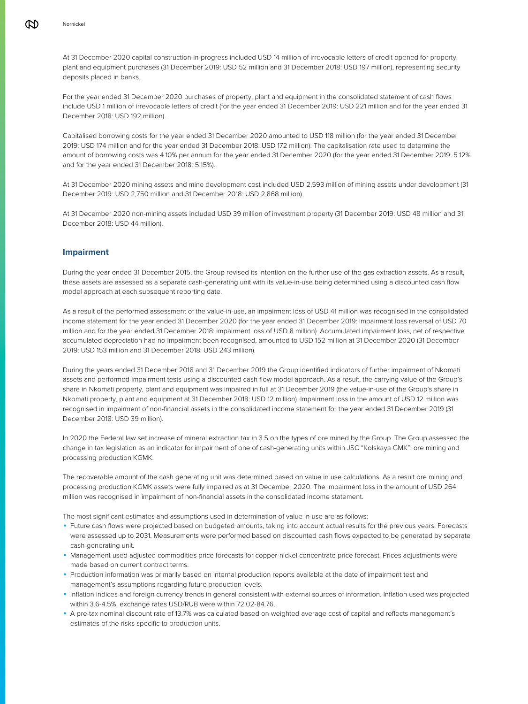At 31 December 2020 capital construction-in-progress included USD 14 million of irrevocable letters of credit opened for property, plant and equipment purchases (31 December 2019: USD 52 million and 31 December 2018: USD 197 million), representing security deposits placed in banks.

For the year ended 31 December 2020 purchases of property, plant and equipment in the consolidated statement of cash flows include USD 1 million of irrevocable letters of credit (for the year ended 31 December 2019: USD 221 million and for the year ended 31 December 2018: USD 192 million).

Capitalised borrowing costs for the year ended 31 December 2020 amounted to USD 118 million (for the year ended 31 December 2019: USD 174 million and for the year ended 31 December 2018: USD 172 million). The capitalisation rate used to determine the amount of borrowing costs was 4.10% per annum for the year ended 31 December 2020 (for the year ended 31 December 2019: 5.12% and for the year ended 31 December 2018: 5.15%).

At 31 December 2020 mining assets and mine development cost included USD 2,593 million of mining assets under development (31 December 2019: USD 2,750 million and 31 December 2018: USD 2,868 million).

At 31 December 2020 non-mining assets included USD 39 million of investment property (31 December 2019: USD 48 million and 31 December 2018: USD 44 million).

# **Impairment**

During the year ended 31 December 2015, the Group revised its intention on the further use of the gas extraction assets. As a result, these assets are assessed as a separate cash-generating unit with its value-in-use being determined using a discounted cash flow model approach at each subsequent reporting date.

As a result of the performed assessment of the value-in-use, an impairment loss of USD 41 million was recognised in the consolidated income statement for the year ended 31 December 2020 (for the year ended 31 December 2019: impairment loss reversal of USD 70 million and for the year ended 31 December 2018: impairment loss of USD 8 million). Accumulated impairment loss, net of respective accumulated depreciation had no impairment been recognised, amounted to USD 152 million at 31 December 2020 (31 December 2019: USD 153 million and 31 December 2018: USD 243 million).

During the years ended 31 December 2018 and 31 December 2019 the Group identified indicators of further impairment of Nkomati assets and performed impairment tests using a discounted cash flow model approach. As a result, the carrying value of the Group's share in Nkomati property, plant and equipment was impaired in full at 31 December 2019 (the value-in-use of the Group's share in Nkomati property, plant and equipment at 31 December 2018: USD 12 million). Impairment loss in the amount of USD 12 million was recognised in impairment of non-financial assets in the consolidated income statement for the year ended 31 December 2019 (31 December 2018: USD 39 million).

In 2020 the Federal law set increase of mineral extraction tax in 3.5 on the types of ore mined by the Group. The Group assessed the change in tax legislation as an indicator for impairment of one of cash-generating units within JSC "Kolskaya GMK": ore mining and processing production KGMK.

The recoverable amount of the cash generating unit was determined based on value in use calculations. As a result ore mining and processing production KGMK assets were fully impaired as at 31 December 2020. The impairment loss in the amount of USD 264 million was recognised in impairment of non-financial assets in the consolidated income statement.

The most significant estimates and assumptions used in determination of value in use are as follows:

- ◾ Future сash flows were projected based on budgeted amounts, taking into account actual results for the previous years. Forecasts were assessed up to 2031. Measurements were performed based on discounted cash flows expected to be generated by separate cash-generating unit.
- ◾ Management used adjusted commodities price forecasts for copper-nickel concentrate price forecast. Prices adjustments were made based on current contract terms.
- ◾ Production information was primarily based on internal production reports available at the date of impairment test and management's assumptions regarding future production levels.
- ◾ Inflation indices and foreign currency trends in general consistent with external sources of information. Inflation used was projected within 3.6-4.5%, exchange rates USD/RUB were within 72.02-84.76.
- ◾ A pre-tax nominal discount rate of 13.7% was calculated based on weighted average cost of capital and reflects management's estimates of the risks specific to production units.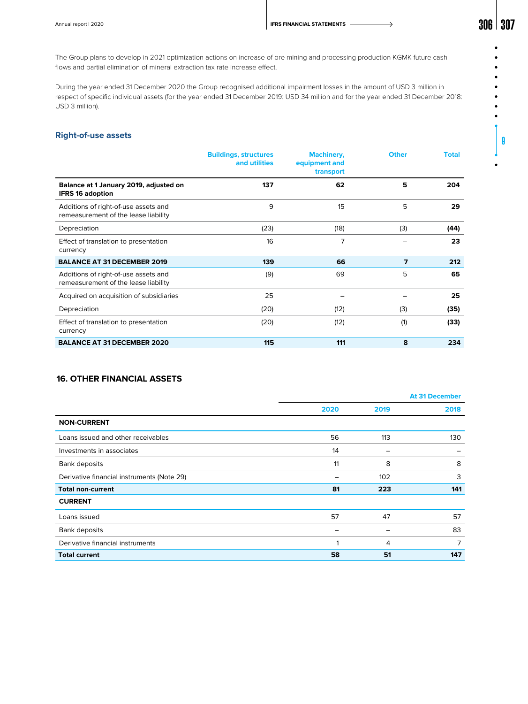9

 $\bullet$ 

The Group plans to develop in 2021 optimization actions on increase of ore mining and processing production KGMK future cash flows and partial elimination of mineral extraction tax rate increase effect.

During the year ended 31 December 2020 the Group recognised additional impairment losses in the amount of USD 3 million in respect of specific individual assets (for the year ended 31 December 2019: USD 34 million and for the year ended 31 December 2018: USD 3 million).

# **Right-of-use assets**

|                                                                              | <b>Buildings, structures</b><br>and utilities | <b>Machinery,</b><br>equipment and<br>transport | <b>Other</b>   | <b>Total</b> |
|------------------------------------------------------------------------------|-----------------------------------------------|-------------------------------------------------|----------------|--------------|
| Balance at 1 January 2019, adjusted on<br><b>IFRS 16 adoption</b>            | 137                                           | 62                                              | 5              | 204          |
| Additions of right-of-use assets and<br>remeasurement of the lease liability | 9                                             | 15                                              | 5              | 29           |
| Depreciation                                                                 | (23)                                          | (18)                                            | (3)            | (44)         |
| Effect of translation to presentation<br>currency                            | 16                                            | 7                                               |                | 23           |
| <b>BALANCE AT 31 DECEMBER 2019</b>                                           | 139                                           | 66                                              | $\overline{ }$ | 212          |
| Additions of right-of-use assets and<br>remeasurement of the lease liability | (9)                                           | 69                                              | 5              | 65           |
| Acquired on acquisition of subsidiaries                                      | 25                                            |                                                 |                | 25           |
| Depreciation                                                                 | (20)                                          | (12)                                            | (3)            | (35)         |
| Effect of translation to presentation<br>currency                            | (20)                                          | (12)                                            | (1)            | (33)         |
| <b>BALANCE AT 31 DECEMBER 2020</b>                                           | 115                                           | 111                                             | 8              | 234          |

# **16. OTHER FINANCIAL ASSETS**

|                                            |      |      | <b>At 31 December</b> |
|--------------------------------------------|------|------|-----------------------|
|                                            | 2020 | 2019 | 2018                  |
| <b>NON-CURRENT</b>                         |      |      |                       |
| Loans issued and other receivables         | 56   | 113  | 130                   |
| Investments in associates                  | 14   | -    |                       |
| Bank deposits                              | 11   | 8    | 8                     |
| Derivative financial instruments (Note 29) |      | 102  | 3                     |
| <b>Total non-current</b>                   | 81   | 223  | 141                   |
| <b>CURRENT</b>                             |      |      |                       |
| Loans issued                               | 57   | 47   | 57                    |
| Bank deposits                              |      |      | 83                    |
| Derivative financial instruments           |      | 4    | 7                     |
| <b>Total current</b>                       | 58   | 51   | 147                   |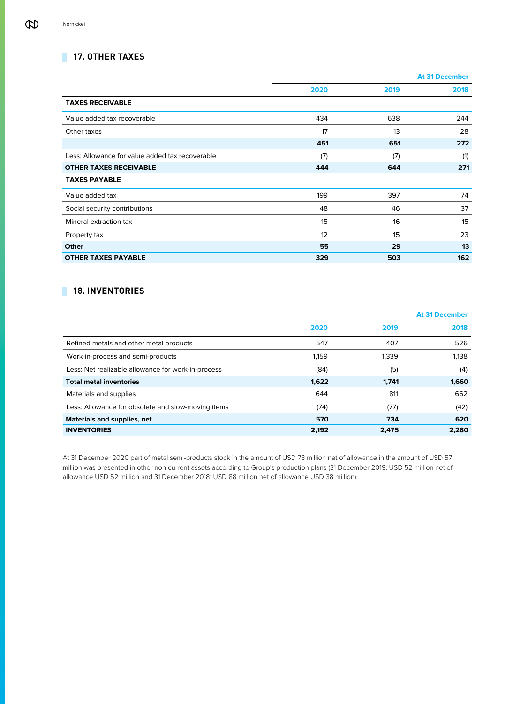# **17. OTHER TAXES**

|                                                 |      | <b>At 31 December</b> |      |
|-------------------------------------------------|------|-----------------------|------|
|                                                 | 2020 | 2019                  | 2018 |
| <b>TAXES RECEIVABLE</b>                         |      |                       |      |
| Value added tax recoverable                     | 434  | 638                   | 244  |
| Other taxes                                     | 17   | 13                    | 28   |
|                                                 | 451  | 651                   | 272  |
| Less: Allowance for value added tax recoverable | (7)  | (7)                   | (1)  |
| <b>OTHER TAXES RECEIVABLE</b>                   | 444  | 644                   | 271  |
| <b>TAXES PAYABLE</b>                            |      |                       |      |
| Value added tax                                 | 199  | 397                   | 74   |
| Social security contributions                   | 48   | 46                    | 37   |
| Mineral extraction tax                          | 15   | 16                    | 15   |
| Property tax                                    | 12   | 15                    | 23   |
| Other                                           | 55   | 29                    | 13   |
| <b>OTHER TAXES PAYABLE</b>                      | 329  | 503                   | 162  |

# **18. INVENTORIES**

|                                                    |       |       | <b>At 31 December</b> |
|----------------------------------------------------|-------|-------|-----------------------|
|                                                    | 2020  | 2019  | 2018                  |
| Refined metals and other metal products            | 547   | 407   | 526                   |
| Work-in-process and semi-products                  | 1,159 | 1,339 | 1,138                 |
| Less: Net realizable allowance for work-in-process | (84)  | (5)   | (4)                   |
| <b>Total metal inventories</b>                     | 1,622 | 1.741 | 1,660                 |
| Materials and supplies                             | 644   | 811   | 662                   |
| Less: Allowance for obsolete and slow-moving items | (74)  | (77)  | (42)                  |
| Materials and supplies, net                        | 570   | 734   | 620                   |
| <b>INVENTORIES</b>                                 | 2,192 | 2.475 | 2,280                 |

At 31 December 2020 part of metal semi-products stock in the amount of USD 73 million net of allowance in the amount of USD 57 million was presented in other non-current assets according to Group's production plans (31 December 2019: USD 52 million net of allowance USD 52 million and 31 December 2018: USD 88 million net of allowance USD 38 million).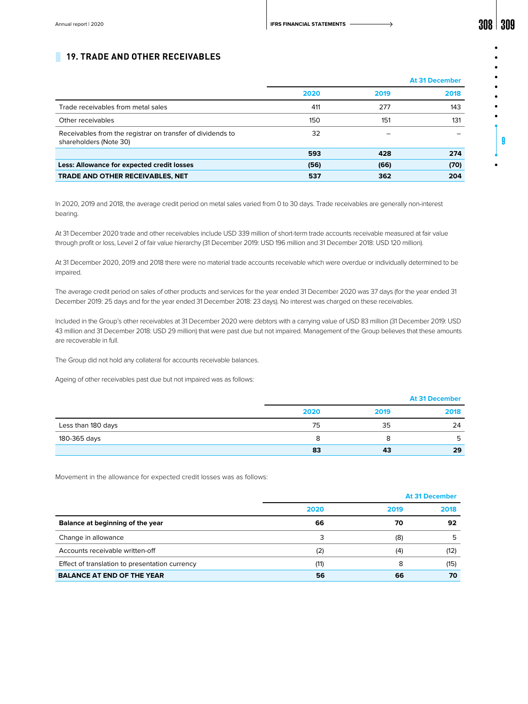# **19. TRADE AND OTHER RECEIVABLES**

|      | <b>At 31 December</b> |      |
|------|-----------------------|------|
| 2020 | 2019                  | 2018 |
| 411  | 277                   | 143  |
| 150  | 151                   | 131  |
| 32   |                       |      |
| 593  | 428                   | 274  |
| (56) | (66)                  | (70) |
| 537  | 362                   | 204  |
|      |                       |      |

In 2020, 2019 and 2018, the average credit period on metal sales varied from 0 to 30 days. Trade receivables are generally non-interest bearing.

At 31 December 2020 trade and other receivables include USD 339 million of short-term trade accounts receivable measured at fair value through profit or loss, Level 2 of fair value hierarchy (31 December 2019: USD 196 million and 31 December 2018: USD 120 million).

At 31 December 2020, 2019 and 2018 there were no material trade accounts receivable which were overdue or individually determined to be impaired.

The average credit period on sales of other products and services for the year ended 31 December 2020 was 37 days (for the year ended 31 December 2019: 25 days and for the year ended 31 December 2018: 23 days). No interest was charged on these receivables.

Included in the Group's other receivables at 31 December 2020 were debtors with a carrying value of USD 83 million (31 December 2019: USD 43 million and 31 December 2018: USD 29 million) that were past due but not impaired. Management of the Group believes that these amounts are recoverable in full.

The Group did not hold any collateral for accounts receivable balances.

Ageing of other receivables past due but not impaired was as follows:

|                    |      |      | <b>At 31 December</b> |
|--------------------|------|------|-----------------------|
|                    | 2020 | 2019 | 2018                  |
| Less than 180 days | 75   | 35   | 24                    |
| 180-365 days       | 8    |      |                       |
|                    | 83   | 43   | 29                    |

Movement in the allowance for expected credit losses was as follows:

|                                                | <b>At 31 December</b> |      |      |
|------------------------------------------------|-----------------------|------|------|
|                                                | 2020                  | 2019 | 2018 |
| Balance at beginning of the year               | 66                    | 70   | 92   |
| Change in allowance                            | 3                     | (8)  |      |
| Accounts receivable written-off                | (2)                   | (4)  | (12) |
| Effect of translation to presentation currency | (11)                  | 8    | (15) |
| <b>BALANCE AT END OF THE YEAR</b>              | 56                    | 66   | 70   |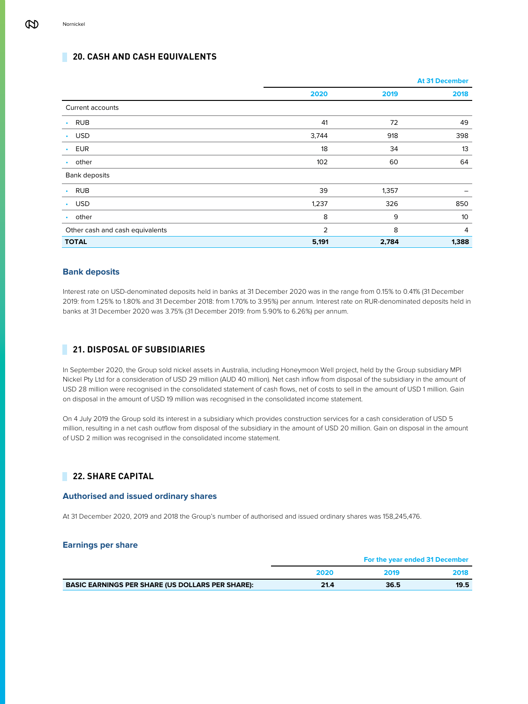# **20. CASH AND CASH EQUIVALENTS**

|                                 |       |       | <b>At 31 December</b> |
|---------------------------------|-------|-------|-----------------------|
|                                 | 2020  | 2019  | 2018                  |
| Current accounts                |       |       |                       |
| <b>RUB</b><br>$\bullet$         | 41    | 72    | 49                    |
| <b>USD</b><br>$\bullet$         | 3,744 | 918   | 398                   |
| <b>EUR</b><br>$\bullet$         | 18    | 34    | 13                    |
| other<br>٠                      | 102   | 60    | 64                    |
| Bank deposits                   |       |       |                       |
| <b>RUB</b><br>$\bullet$         | 39    | 1,357 |                       |
| <b>USD</b><br>$\bullet$         | 1,237 | 326   | 850                   |
| other<br>$\bullet$              | 8     | 9     | 10                    |
| Other cash and cash equivalents | 2     | 8     | $\overline{4}$        |
| <b>TOTAL</b>                    | 5,191 | 2,784 | 1,388                 |

# **Bank deposits**

Interest rate on USD-denominated deposits held in banks at 31 December 2020 was in the range from 0.15% to 0.41% (31 December 2019: from 1.25% to 1.80% and 31 December 2018: from 1.70% to 3.95%) per annum. Interest rate on RUR-denominated deposits held in banks at 31 December 2020 was 3.75% (31 December 2019: from 5.90% to 6.26%) per annum.

# **21. DISPOSAL OF SUBSIDIARIES**

In September 2020, the Group sold nickel assets in Australia, including Honeymoon Well project, held by the Group subsidiary MPI Nickel Pty Ltd for a consideration of USD 29 million (AUD 40 million). Net cash inflow from disposal of the subsidiary in the amount of USD 28 million were recognised in the consolidated statement of cash flows, net of costs to sell in the amount of USD 1 million. Gain on disposal in the amount of USD 19 million was recognised in the consolidated income statement.

On 4 July 2019 the Group sold its interest in a subsidiary which provides construction services for a cash consideration of USD 5 million, resulting in a net cash outflow from disposal of the subsidiary in the amount of USD 20 million. Gain on disposal in the amount of USD 2 million was recognised in the consolidated income statement.

# **22. SHARE CAPITAL**

# **Authorised and issued ordinary shares**

At 31 December 2020, 2019 and 2018 the Group's number of authorised and issued ordinary shares was 158,245,476.

# **Earnings per share**

|                                                         | For the year ended 31 December |      |      |  |
|---------------------------------------------------------|--------------------------------|------|------|--|
|                                                         | 2020                           | 2019 | 2018 |  |
| <b>BASIC EARNINGS PER SHARE (US DOLLARS PER SHARE):</b> | 21.4                           | 36.5 | 19.5 |  |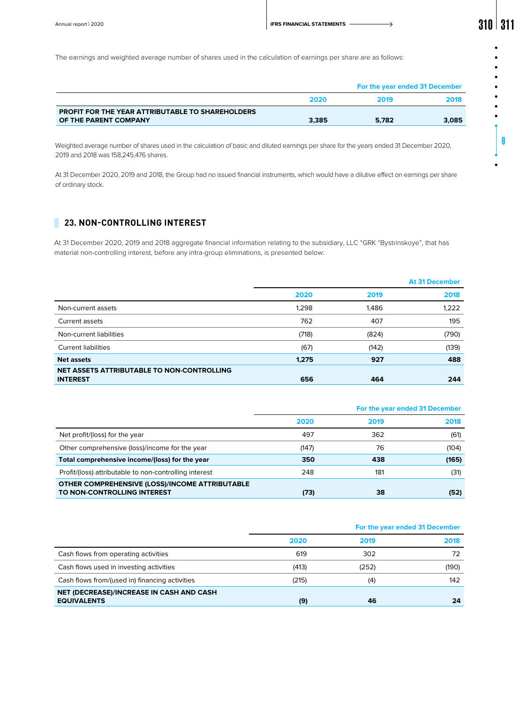|                                                         |       | For the year ended 31 December |       |  |  |
|---------------------------------------------------------|-------|--------------------------------|-------|--|--|
|                                                         | 2020  | 2019                           | 2018  |  |  |
| <b>PROFIT FOR THE YEAR ATTRIBUTABLE TO SHAREHOLDERS</b> |       |                                |       |  |  |
| OF THE PARENT COMPANY                                   | 3.385 | 5.782                          | 3,085 |  |  |

Weighted average number of shares used in the calculation of basic and diluted earnings per share for the years ended 31 December 2020, 2019 and 2018 was 158,245,476 shares.

At 31 December 2020, 2019 and 2018, the Group had no issued financial instruments, which would have a dilutive effect on earnings per share of ordinary stock.

# **23. NON-CONTROLLING INTEREST**

At 31 December 2020, 2019 and 2018 aggregate financial information relating to the subsidiary, LLC "GRK "Bystrinskoye", that has material non-controlling interest, before any intra-group eliminations, is presented below:

|                                            |       |       | <b>At 31 December</b> |
|--------------------------------------------|-------|-------|-----------------------|
|                                            | 2020  | 2019  | 2018                  |
| Non-current assets                         | 1,298 | 1,486 | 1,222                 |
| Current assets                             | 762   | 407   | 195                   |
| Non-current liabilities                    | (718) | (824) | (790)                 |
| <b>Current liabilities</b>                 | (67)  | (142) | (139)                 |
| <b>Net assets</b>                          | 1.275 | 927   | 488                   |
| NET ASSETS ATTRIBUTABLE TO NON-CONTROLLING |       |       |                       |
| <b>INTEREST</b>                            | 656   | 464   | 244                   |

|                                                        |       | For the year ended 31 December |       |
|--------------------------------------------------------|-------|--------------------------------|-------|
|                                                        | 2020  | 2019                           | 2018  |
| Net profit/(loss) for the year                         | 497   | 362                            | (61)  |
| Other comprehensive (loss)/income for the year         | (147) | 76                             | (104) |
| Total comprehensive income/(loss) for the year         | 350   | 438                            | (165) |
| Profit/(loss) attributable to non-controlling interest | 248   | 181                            | (31)  |
| OTHER COMPREHENSIVE (LOSS)/INCOME ATTRIBUTABLE         |       |                                |       |
| TO NON-CONTROLLING INTEREST                            | (73)  | 38                             | (52)  |

|                                                                       | For the year ended 31 December |       |       |
|-----------------------------------------------------------------------|--------------------------------|-------|-------|
|                                                                       | 2020                           | 2019  | 2018  |
| Cash flows from operating activities                                  | 619                            | 302   | 72    |
| Cash flows used in investing activities                               | (413)                          | (252) | (190) |
| Cash flows from/(used in) financing activities                        | (215)                          | (4)   | 142   |
| <b>NET (DECREASE)/INCREASE IN CASH AND CASH</b><br><b>EQUIVALENTS</b> | (9)                            | 46    | 24    |

9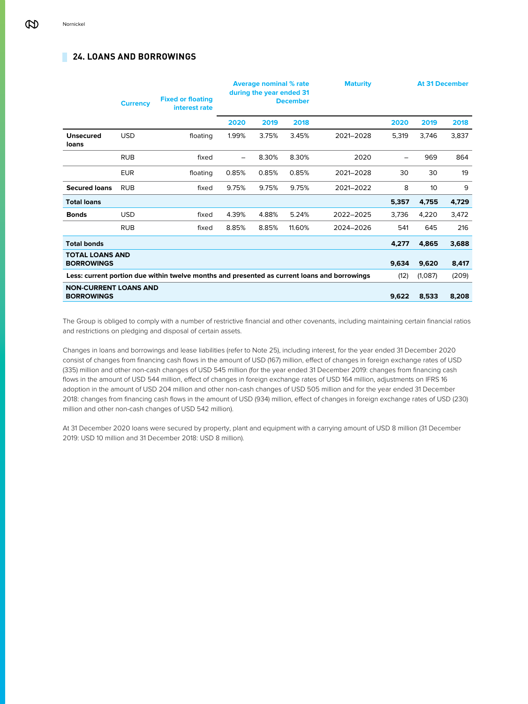# **24. LOANS AND BORROWINGS**

|                                                   | <b>Currency</b> | <b>Fixed or floating</b><br>interest rate                                                    | <b>Average nominal % rate</b><br>during the year ended 31<br><b>December</b> |       | <b>Maturity</b> |           |       | <b>At 31 December</b> |       |
|---------------------------------------------------|-----------------|----------------------------------------------------------------------------------------------|------------------------------------------------------------------------------|-------|-----------------|-----------|-------|-----------------------|-------|
|                                                   |                 |                                                                                              | 2020                                                                         | 2019  | 2018            |           | 2020  | 2019                  | 2018  |
| <b>Unsecured</b><br>loans                         | <b>USD</b>      | floating                                                                                     | 1.99%                                                                        | 3.75% | 3.45%           | 2021-2028 | 5,319 | 3,746                 | 3,837 |
|                                                   | <b>RUB</b>      | fixed                                                                                        | $\overline{\phantom{0}}$                                                     | 8.30% | 8.30%           | 2020      |       | 969                   | 864   |
|                                                   | <b>EUR</b>      | floating                                                                                     | 0.85%                                                                        | 0.85% | 0.85%           | 2021-2028 | 30    | 30                    | 19    |
| <b>Secured loans</b>                              | <b>RUB</b>      | fixed                                                                                        | 9.75%                                                                        | 9.75% | 9.75%           | 2021-2022 | 8     | 10                    | 9     |
| <b>Total loans</b>                                |                 |                                                                                              |                                                                              |       |                 |           | 5,357 | 4,755                 | 4,729 |
| <b>Bonds</b>                                      | <b>USD</b>      | fixed                                                                                        | 4.39%                                                                        | 4.88% | 5.24%           | 2022-2025 | 3,736 | 4,220                 | 3,472 |
|                                                   | <b>RUB</b>      | fixed                                                                                        | 8.85%                                                                        | 8.85% | 11.60%          | 2024-2026 | 541   | 645                   | 216   |
| <b>Total bonds</b>                                |                 |                                                                                              |                                                                              |       |                 |           | 4,277 | 4,865                 | 3,688 |
| <b>TOTAL LOANS AND</b><br><b>BORROWINGS</b>       |                 |                                                                                              |                                                                              |       |                 |           | 9,634 | 9,620                 | 8,417 |
|                                                   |                 | Less: current portion due within twelve months and presented as current loans and borrowings |                                                                              |       |                 |           | (12)  | (1,087)               | (209) |
| <b>NON-CURRENT LOANS AND</b><br><b>BORROWINGS</b> |                 |                                                                                              |                                                                              |       |                 |           | 9,622 | 8,533                 | 8,208 |

The Group is obliged to comply with a number of restrictive financial and other covenants, including maintaining certain financial ratios and restrictions on pledging and disposal of certain assets.

Changes in loans and borrowings and lease liabilities (refer to Note 25), including interest, for the year ended 31 December 2020 consist of changes from financing cash flows in the amount of USD (167) million, effect of changes in foreign exchange rates of USD (335) million and other non-cash changes of USD 545 million (for the year ended 31 December 2019: changes from financing cash flows in the amount of USD 544 million, effect of changes in foreign exchange rates of USD 164 million, adjustments on IFRS 16 adoption in the amount of USD 204 million and other non-cash changes of USD 505 million and for the year ended 31 December 2018: changes from financing cash flows in the amount of USD (934) million, effect of changes in foreign exchange rates of USD (230) million and other non-cash changes of USD 542 million).

At 31 December 2020 loans were secured by property, plant and equipment with a carrying amount of USD 8 million (31 December 2019: USD 10 million and 31 December 2018: USD 8 million).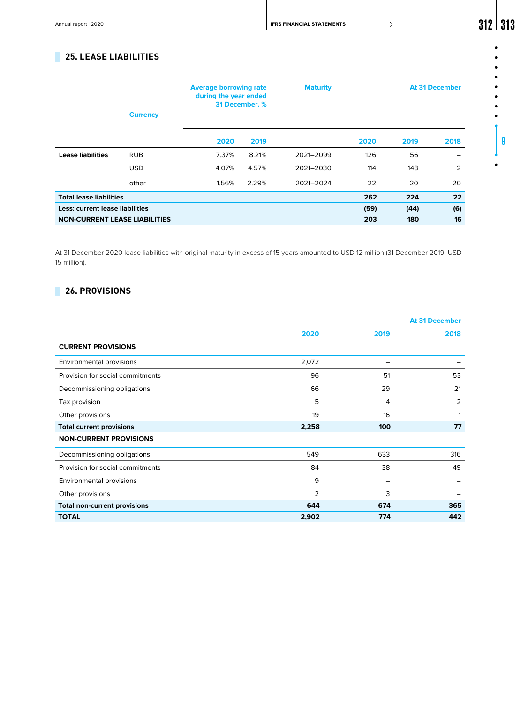Annual report | 2020 **312 313** 

 $\bullet$  $\bullet$  $\bullet$  $\bullet$  $\bullet$  $\bullet$  $\bullet$  $\bullet$ 

9

# **25. LEASE LIABILITIES**

|                                      | <b>Currency</b> |       | <b>Maturity</b><br><b>Average borrowing rate</b><br>during the year ended<br>31 December, % |           |      |      | <b>At 31 December</b> |
|--------------------------------------|-----------------|-------|---------------------------------------------------------------------------------------------|-----------|------|------|-----------------------|
|                                      |                 | 2020  | 2019                                                                                        |           | 2020 | 2019 | 2018                  |
| <b>Lease liabilities</b>             | <b>RUB</b>      | 7.37% | 8.21%                                                                                       | 2021-2099 | 126  | 56   |                       |
|                                      | <b>USD</b>      | 4.07% | 4.57%                                                                                       | 2021-2030 | 114  | 148  | 2                     |
|                                      | other           | 1.56% | 2.29%                                                                                       | 2021-2024 | 22   | 20   | 20                    |
| <b>Total lease liabilities</b>       |                 |       |                                                                                             |           | 262  | 224  | 22                    |
| Less: current lease liabilities      |                 |       |                                                                                             |           | (59) | (44) | (6)                   |
| <b>NON-CURRENT LEASE LIABILITIES</b> |                 |       |                                                                                             |           | 203  | 180  | 16                    |

At 31 December 2020 lease liabilities with original maturity in excess of 15 years amounted to USD 12 million (31 December 2019: USD 15 million).

# **26. PROVISIONS**

|                                     |                |      | <b>At 31 December</b> |
|-------------------------------------|----------------|------|-----------------------|
|                                     | 2020           | 2019 | 2018                  |
| <b>CURRENT PROVISIONS</b>           |                |      |                       |
| Environmental provisions            | 2,072          | -    |                       |
| Provision for social commitments    | 96             | 51   | 53                    |
| Decommissioning obligations         | 66             | 29   | 21                    |
| Tax provision                       | 5              | 4    | $\overline{2}$        |
| Other provisions                    | 19             | 16   | 1                     |
| <b>Total current provisions</b>     | 2,258          | 100  | 77                    |
| <b>NON-CURRENT PROVISIONS</b>       |                |      |                       |
| Decommissioning obligations         | 549            | 633  | 316                   |
| Provision for social commitments    | 84             | 38   | 49                    |
| Environmental provisions            | 9              | -    |                       |
| Other provisions                    | $\overline{2}$ | 3    |                       |
| <b>Total non-current provisions</b> | 644            | 674  | 365                   |
| <b>TOTAL</b>                        | 2,902          | 774  | 442                   |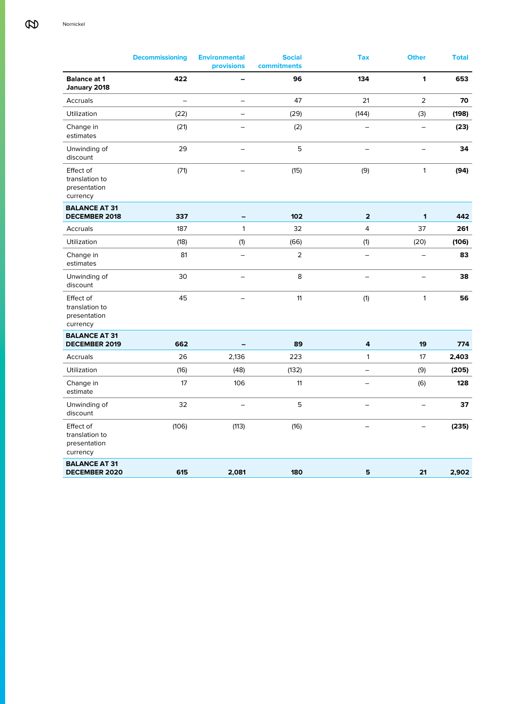|                                                         | <b>Decommissioning</b>   | <b>Environmental</b><br>provisions | <b>Social</b><br>commitments | <b>Tax</b>               | <b>Other</b>             | <b>Total</b> |
|---------------------------------------------------------|--------------------------|------------------------------------|------------------------------|--------------------------|--------------------------|--------------|
| <b>Balance at 1</b><br>January 2018                     | 422                      |                                    | 96                           | 134                      | 1                        | 653          |
| Accruals                                                | $\overline{\phantom{0}}$ | $\overline{\phantom{0}}$           | 47                           | 21                       | $\overline{2}$           | 70           |
| Utilization                                             | (22)                     | ÷                                  | (29)                         | (144)                    | (3)                      | (198)        |
| Change in<br>estimates                                  | (21)                     | $\overline{\phantom{0}}$           | (2)                          |                          | $\overline{\phantom{0}}$ | (23)         |
| Unwinding of<br>discount                                | 29                       |                                    | 5                            | $\overline{\phantom{0}}$ |                          | 34           |
| Effect of<br>translation to<br>presentation<br>currency | (71)                     |                                    | (15)                         | (9)                      | $\mathbf{1}$             | (94)         |
| <b>BALANCE AT 31</b>                                    | 337                      |                                    |                              | $\overline{\mathbf{2}}$  | 1                        |              |
| <b>DECEMBER 2018</b><br>Accruals                        | 187                      | -<br>$\mathbf{1}$                  | 102<br>32                    | $\overline{4}$           | 37                       | 442<br>261   |
| Utilization                                             | (18)                     | (1)                                | (66)                         | (1)                      | (20)                     | (106)        |
| Change in<br>estimates                                  | 81                       | $\overline{\phantom{0}}$           | $\overline{2}$               | $\equiv$                 | $\overline{\phantom{0}}$ | 83           |
| Unwinding of<br>discount                                | 30                       | $\overline{\phantom{0}}$           | 8                            | $\qquad \qquad -$        | $\overline{\phantom{0}}$ | 38           |
| Effect of<br>translation to<br>presentation<br>currency | 45                       | $\overline{\phantom{0}}$           | 11                           | (1)                      | $\mathbf{1}$             | 56           |
| <b>BALANCE AT 31</b>                                    |                          |                                    |                              |                          |                          |              |
| <b>DECEMBER 2019</b><br>Accruals                        | 662<br>26                | 2,136                              | 89<br>223                    | 4<br>$\mathbf{1}$        | 19<br>17                 | 774<br>2,403 |
| Utilization                                             | (16)                     | (48)                               | (132)                        | -                        | (9)                      | (205)        |
| Change in<br>estimate                                   | 17                       | 106                                | 11                           | $\overline{\phantom{0}}$ | (6)                      | 128          |
| Unwinding of<br>discount                                | 32                       |                                    | 5                            |                          |                          | 37           |
| Effect of<br>translation to<br>presentation<br>currency | (106)                    | (113)                              | (16)                         | $\overline{\phantom{0}}$ | $\overline{\phantom{0}}$ | (235)        |
| <b>BALANCE AT 31</b><br><b>DECEMBER 2020</b>            | 615                      | 2,081                              | 180                          | 5                        | 21                       | 2,902        |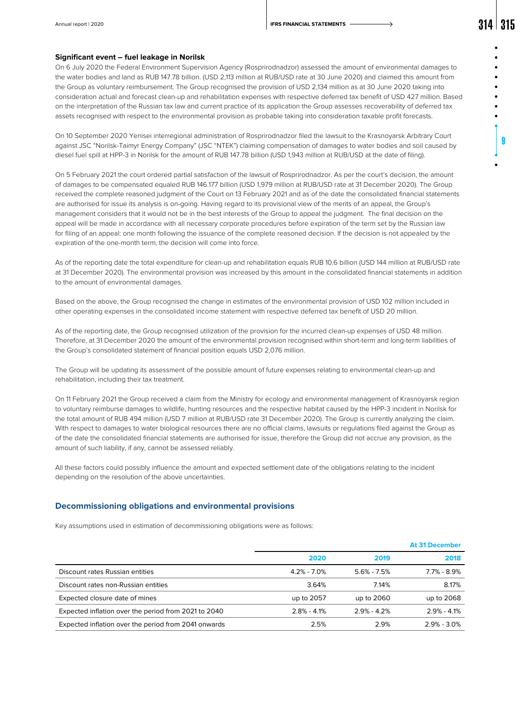#### **Significant event – fuel leakage in Norilsk**

On 6 July 2020 the Federal Environment Supervision Agency (Rosprirodnadzor) assessed the amount of environmental damages to the water bodies and land as RUB 147.78 billion. (USD 2,113 million at RUB/USD rate at 30 June 2020) and claimed this amount from the Group as voluntary reimbursement. The Group recognised the provision of USD 2,134 million as at 30 June 2020 taking into consideration actual and forecast clean-up and rehabilitation expenses with respective deferred tax benefit of USD 427 million. Based on the interpretation of the Russian tax law and current practice of its application the Group assesses recoverability of deferred tax assets recognised with respect to the environmental provision as probable taking into consideration taxable profit forecasts.

On 10 September 2020 Yenisei interregional administration of Rosprirodnadzor filed the lawsuit to the Krasnoyarsk Arbitrary Court against JSC "Norilsk-Taimyr Energy Company" (JSC "NTEK") claiming compensation of damages to water bodies and soil caused by diesel fuel spill at HPP-3 in Norilsk for the amount of RUB 147.78 billion (USD 1,943 million at RUB/USD at the date of filing).

On 5 February 2021 the court ordered partial satisfaction of the lawsuit of Rosprirodnadzor. As per the court's decision, the amount of damages to be compensated equaled RUB 146.177 billion (USD 1,979 million at RUB/USD rate at 31 December 2020). The Group received the complete reasoned judgment of the Court on 13 February 2021 and as of the date the consolidated financial statements are authorised for issue its analysis is on-going. Having regard to its provisional view of the merits of an appeal, the Group's management considers that it would not be in the best interests of the Group to appeal the judgment. The final decision on the appeal will be made in accordance with all necessary corporate procedures before expiration of the term set by the Russian law for filing of an appeal: one month following the issuance of the complete reasoned decision. If the decision is not appealed by the expiration of the one-month term, the decision will come into force.

As of the reporting date the total expenditure for clean-up and rehabilitation equals RUB 10.6 billion (USD 144 million at RUB/USD rate at 31 December 2020). The environmental provision was increased by this amount in the consolidated financial statements in addition to the amount of environmental damages.

Based on the above, the Group recognised the change in estimates of the environmental provision of USD 102 million included in other operating expenses in the consolidated income statement with respective deferred tax benefit of USD 20 million.

As of the reporting date, the Group recognised utilization of the provision for the incurred clean-up expenses of USD 48 million. Therefore, at 31 December 2020 the amount of the environmental provision recognised within short-term and long-term liabilities of the Group's consolidated statement of financial position equals USD 2,076 million.

The Group will be updating its assessment of the possible amount of future expenses relating to environmental clean-up and rehabilitation, including their tax treatment.

On 11 February 2021 the Group received a claim from the Ministry for ecology and environmental management of Krasnoyarsk region to voluntary reimburse damages to wildlife, hunting resources and the respective habitat caused by the HPP-3 incident in Norilsk for the total amount of RUB 494 million (USD 7 million at RUB/USD rate 31 December 2020). The Group is currently analyzing the claim. With respect to damages to water biological resources there are no official claims, lawsuits or regulations filed against the Group as of the date the consolidated financial statements are authorised for issue, therefore the Group did not accrue any provision, as the amount of such liability, if any, cannot be assessed reliably.

All these factors could possibly influence the amount and expected settlement date of the obligations relating to the incident depending on the resolution of the above uncertainties.

### **Decommissioning obligations and environmental provisions**

Key assumptions used in estimation of decommissioning obligations were as follows:

|                                                      |                 |                 | <b>At 31 December</b> |
|------------------------------------------------------|-----------------|-----------------|-----------------------|
|                                                      | 2020            | 2019            | 2018                  |
| Discount rates Russian entities                      | $4.2\% - 7.0\%$ | $5.6\% - 7.5\%$ | $7.7\% - 8.9\%$       |
| Discount rates non-Russian entities                  | 3.64%           | 7.14%           | 8.17%                 |
| Expected closure date of mines                       | up to 2057      | up to 2060      | up to 2068            |
| Expected inflation over the period from 2021 to 2040 | $2.8\% - 4.1\%$ | $2.9\% - 4.2\%$ | $2.9\% - 4.1\%$       |
| Expected inflation over the period from 2041 onwards | 2.5%            | 2.9%            | $2.9\% - 3.0\%$       |

9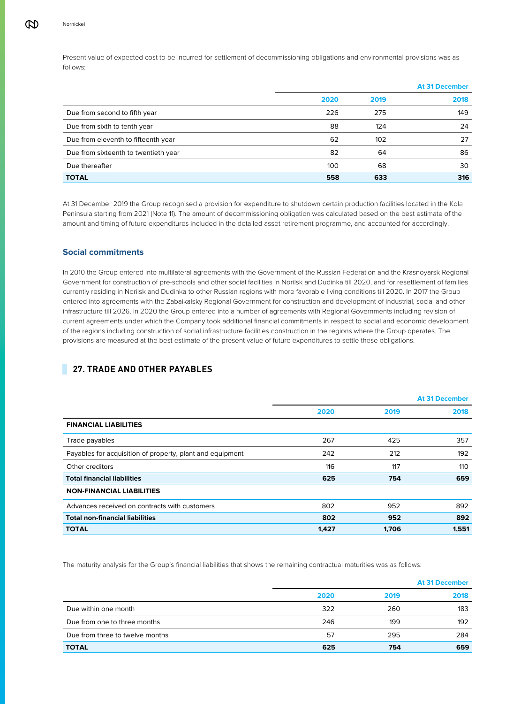Present value of expected cost to be incurred for settlement of decommissioning obligations and environmental provisions was as follows:

|                                      |      |      | <b>At 31 December</b> |
|--------------------------------------|------|------|-----------------------|
|                                      | 2020 | 2019 | 2018                  |
| Due from second to fifth year        | 226  | 275  | 149                   |
| Due from sixth to tenth year         | 88   | 124  | 24                    |
| Due from eleventh to fifteenth year  | 62   | 102  | 27                    |
| Due from sixteenth to twentieth year | 82   | 64   | 86                    |
| Due thereafter                       | 100  | 68   | 30                    |
| <b>TOTAL</b>                         | 558  | 633  | 316                   |

At 31 December 2019 the Group recognised a provision for expenditure to shutdown certain production facilities located in the Kola Peninsula starting from 2021 (Note 11). The amount of decommissioning obligation was calculated based on the best estimate of the amount and timing of future expenditures included in the detailed asset retirement programme, and accounted for accordingly.

# **Social commitments**

In 2010 the Group entered into multilateral agreements with the Government of the Russian Federation and the Krasnoyarsk Regional Government for construction of pre-schools and other social facilities in Norilsk and Dudinka till 2020, and for resettlement of families currently residing in Norilsk and Dudinka to other Russian regions with more favorable living conditions till 2020. In 2017 the Group entered into agreements with the Zabaikalsky Regional Government for construction and development of industrial, social and other infrastructure till 2026. In 2020 the Group entered into a number of agreements with Regional Governments including revision of current agreements under which the Company took additional financial commitments in respect to social and economic development of the regions including construction of social infrastructure facilities construction in the regions where the Group operates. The provisions are measured at the best estimate of the present value of future expenditures to settle these obligations.

# **27. TRADE AND OTHER PAYABLES**

|                                                           |       |       | <b>At 31 December</b> |
|-----------------------------------------------------------|-------|-------|-----------------------|
|                                                           | 2020  | 2019  | 2018                  |
| <b>FINANCIAL LIABILITIES</b>                              |       |       |                       |
| Trade payables                                            | 267   | 425   | 357                   |
| Payables for acquisition of property, plant and equipment | 242   | 212   | 192                   |
| Other creditors                                           | 116   | 117   | 110                   |
| <b>Total financial liabilities</b>                        | 625   | 754   | 659                   |
| <b>NON-FINANCIAL LIABILITIES</b>                          |       |       |                       |
| Advances received on contracts with customers             | 802   | 952   | 892                   |
| <b>Total non-financial liabilities</b>                    | 802   | 952   | 892                   |
| <b>TOTAL</b>                                              | 1,427 | 1,706 | 1,551                 |

The maturity analysis for the Group's financial liabilities that shows the remaining contractual maturities was as follows:

|                                 |      |      | <b>At 31 December</b> |
|---------------------------------|------|------|-----------------------|
|                                 | 2020 | 2019 | 2018                  |
| Due within one month            | 322  | 260  | 183                   |
| Due from one to three months    | 246  | 199  | 192                   |
| Due from three to twelve months | 57   | 295  | 284                   |
| <b>TOTAL</b>                    | 625  | 754  | 659                   |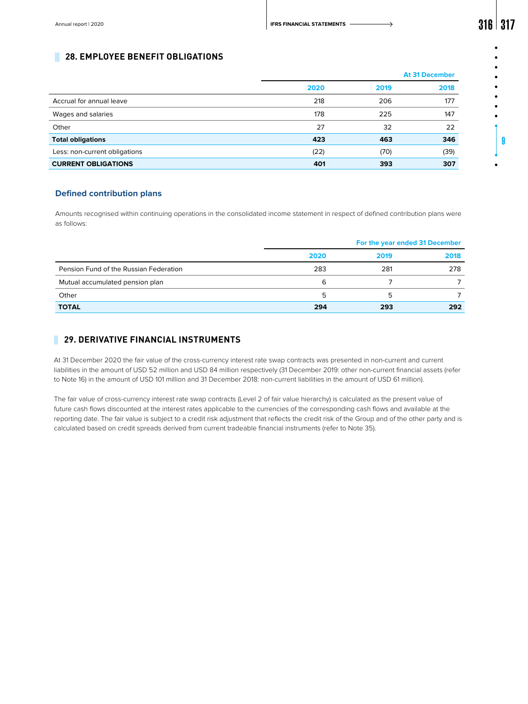9

# **28. EMPLOYEE BENEFIT OBLIGATIONS**

|                               |      | <b>At 31 December</b> |      |  |
|-------------------------------|------|-----------------------|------|--|
|                               | 2020 | 2019                  | 2018 |  |
| Accrual for annual leave      | 218  | 206                   | 177  |  |
| Wages and salaries            | 178  | 225                   | 147  |  |
| Other                         | 27   | 32                    | 22   |  |
| <b>Total obligations</b>      | 423  | 463                   | 346  |  |
| Less: non-current obligations | (22) | (70)                  | (39) |  |
| <b>CURRENT OBLIGATIONS</b>    | 401  | 393                   | 307  |  |

# **Defined contribution plans**

Amounts recognised within continuing operations in the consolidated income statement in respect of defined contribution plans were as follows:

|                                        | For the year ended 31 December |      |      |  |
|----------------------------------------|--------------------------------|------|------|--|
|                                        | 2020                           | 2019 | 2018 |  |
| Pension Fund of the Russian Federation | 283                            | 281  | 278  |  |
| Mutual accumulated pension plan        | 6                              |      |      |  |
| Other                                  | 5                              | ь    |      |  |
| <b>TOTAL</b>                           | 294                            | 293  | 292  |  |

# **29. DERIVATIVE FINANCIAL INSTRUMENTS**

At 31 December 2020 the fair value of the cross-currency interest rate swap contracts was presented in non-current and current liabilities in the amount of USD 52 million and USD 84 million respectively (31 December 2019: other non-current financial assets (refer to Note 16) in the amount of USD 101 million and 31 December 2018: non-current liabilities in the amount of USD 61 million).

The fair value of cross-currency interest rate swap contracts (Level 2 of fair value hierarchy) is calculated as the present value of future cash flows discounted at the interest rates applicable to the currencies of the corresponding cash flows and available at the reporting date. The fair value is subject to a credit risk adjustment that reflects the credit risk of the Group and of the other party and is calculated based on credit spreads derived from current tradeable financial instruments (refer to Note 35).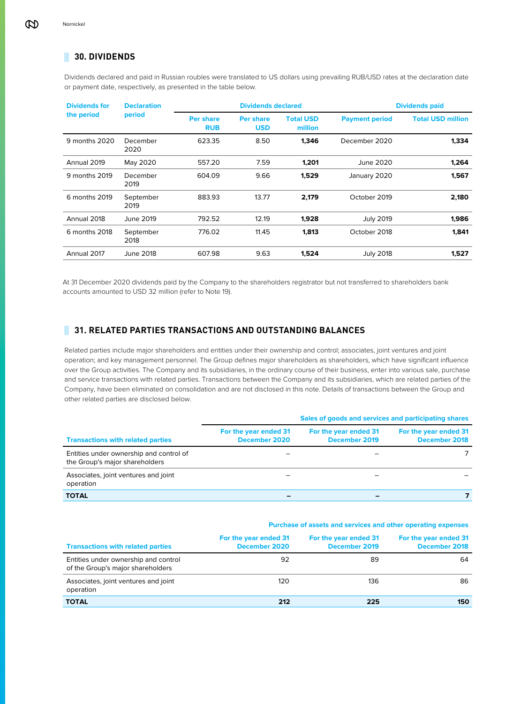# **30. DIVIDENDS**

Dividends declared and paid in Russian roubles were translated to US dollars using prevailing RUB/USD rates at the declaration date or payment date, respectively, as presented in the table below.

| <b>Dividends for</b> | <b>Declaration</b> |                                | <b>Dividends declared</b>      |                             |                       | <b>Dividends paid</b>    |
|----------------------|--------------------|--------------------------------|--------------------------------|-----------------------------|-----------------------|--------------------------|
| the period           | period             | <b>Per share</b><br><b>RUB</b> | <b>Per share</b><br><b>USD</b> | <b>Total USD</b><br>million | <b>Payment period</b> | <b>Total USD million</b> |
| 9 months 2020        | December<br>2020   | 623.35                         | 8.50                           | 1,346                       | December 2020         | 1,334                    |
| Annual 2019          | May 2020           | 557.20                         | 7.59                           | 1,201                       | June 2020             | 1,264                    |
| 9 months 2019        | December<br>2019   | 604.09                         | 9.66                           | 1,529                       | January 2020          | 1,567                    |
| 6 months 2019        | September<br>2019  | 883.93                         | 13.77                          | 2,179                       | October 2019          | 2,180                    |
| Annual 2018          | June 2019          | 792.52                         | 12.19                          | 1,928                       | <b>July 2019</b>      | 1,986                    |
| 6 months 2018        | September<br>2018  | 776.02                         | 11.45                          | 1,813                       | October 2018          | 1,841                    |
| Annual 2017          | June 2018          | 607.98                         | 9.63                           | 1,524                       | <b>July 2018</b>      | 1,527                    |

At 31 December 2020 dividends paid by the Company to the shareholders registrator but not transferred to shareholders bank accounts amounted to USD 32 million (refer to Note 19).

# **31. RELATED PARTIES TRANSACTIONS AND OUTSTANDING BALANCES**

Related parties include major shareholders and entities under their ownership and control; associates, joint ventures and joint operation; and key management personnel. The Group defines major shareholders as shareholders, which have significant influence over the Group activities. The Company and its subsidiaries, in the ordinary course of their business, enter into various sale, purchase and service transactions with related parties. Transactions between the Company and its subsidiaries, which are related parties of the Company, have been eliminated on consolidation and are not disclosed in this note. Details of transactions between the Group and other related parties are disclosed below.

|                                                                           | Sales of goods and services and participating shares |                                        |                                        |  |  |  |  |
|---------------------------------------------------------------------------|------------------------------------------------------|----------------------------------------|----------------------------------------|--|--|--|--|
| <b>Transactions with related parties</b>                                  | For the year ended 31<br>December 2020               | For the year ended 31<br>December 2019 | For the year ended 31<br>December 2018 |  |  |  |  |
| Entities under ownership and control of<br>the Group's major shareholders |                                                      |                                        |                                        |  |  |  |  |
| Associates, joint ventures and joint<br>operation                         |                                                      |                                        |                                        |  |  |  |  |
| <b>TOTAL</b>                                                              |                                                      | -                                      |                                        |  |  |  |  |

**Purchase of assets and services and other operating expenses**

| <b>Transactions with related parties</b>                                  | For the year ended 31<br>December 2020 | For the year ended 31<br>December 2019 | For the year ended 31<br>December 2018 |
|---------------------------------------------------------------------------|----------------------------------------|----------------------------------------|----------------------------------------|
| Entities under ownership and control<br>of the Group's major shareholders | 92                                     | 89                                     | 64                                     |
| Associates, joint ventures and joint<br>operation                         | 120                                    | 136                                    | 86                                     |
| <b>TOTAL</b>                                                              | 212                                    | 225                                    | 150                                    |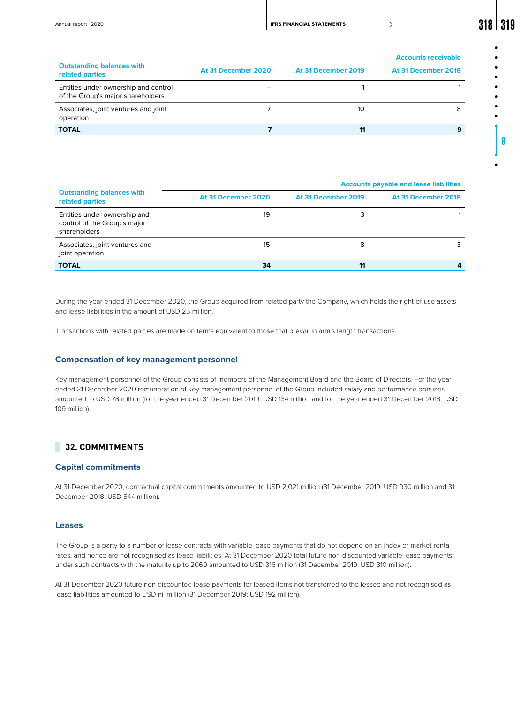| <b>Outstanding balances with</b><br>related parties                       | At 31 December 2020 | At 31 December 2019 | <b>Accounts receivable</b><br>At 31 December 2018 |
|---------------------------------------------------------------------------|---------------------|---------------------|---------------------------------------------------|
| Entities under ownership and control<br>of the Group's major shareholders |                     |                     |                                                   |
| Associates, joint ventures and joint<br>operation                         |                     | 10                  |                                                   |
| <b>TOTAL</b>                                                              |                     | 11                  | 9                                                 |

|                                                                              |                     |                     | <b>Accounts payable and lease liabilities</b> |
|------------------------------------------------------------------------------|---------------------|---------------------|-----------------------------------------------|
| <b>Outstanding balances with</b><br>related parties                          | At 31 December 2020 | At 31 December 2019 | At 31 December 2018                           |
| Entities under ownership and<br>control of the Group's major<br>shareholders | 19                  | 3                   |                                               |
| Associates, joint ventures and<br>joint operation                            | 15                  | 8                   |                                               |
| <b>TOTAL</b>                                                                 | 34                  | 11                  |                                               |

During the year ended 31 December 2020, the Group acquired from related party the Company, which holds the right-of-use assets and lease liabilities in the amount of USD 25 million.

Transactions with related parties are made on terms equivalent to those that prevail in arm's length transactions.

# **Compensation of key management personnel**

Key management personnel of the Group consists of members of the Management Board and the Board of Directors. For the year ended 31 December 2020 remuneration of key management personnel of the Group included salary and performance bonuses amounted to USD 78 million (for the year ended 31 December 2019: USD 134 million and for the year ended 31 December 2018: USD 109 million).

# **32. COMMITMENTS**

# **Capital commitments**

At 31 December 2020, contractual capital commitments amounted to USD 2,021 million (31 December 2019: USD 930 million and 31 December 2018: USD 544 million).

### **Leases**

The Group is a party to a number of lease contracts with variable lease payments that do not depend on an index or market rental rates, and hence are not recognised as lease liabilities. At 31 December 2020 total future non-discounted variable lease payments under such contracts with the maturity up to 2069 amounted to USD 316 million (31 December 2019: USD 310 million).

At 31 December 2020 future non-discounted lease payments for leased items not transferred to the lessee and not recognised as lease liabilities amounted to USD nil million (31 December 2019: USD 192 million).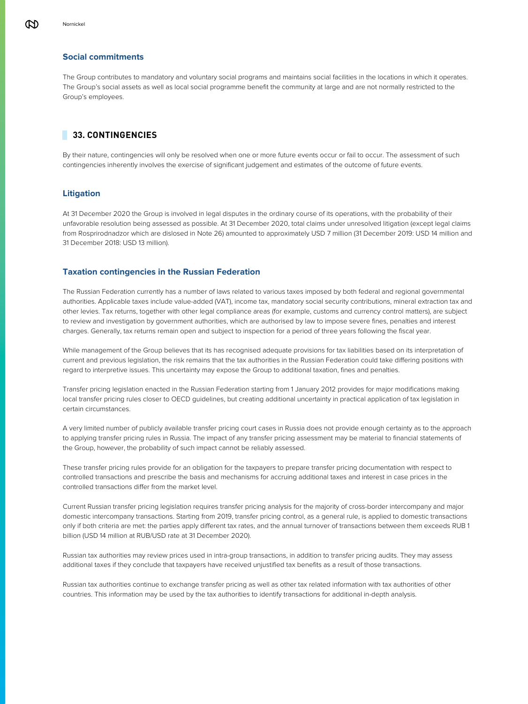# **Social commitments**

The Group contributes to mandatory and voluntary social programs and maintains social facilities in the locations in which it operates. The Group's social assets as well as local social programme benefit the community at large and are not normally restricted to the Group's employees.

# **33. CONTINGENCIES**

By their nature, contingencies will only be resolved when one or more future events occur or fail to occur. The assessment of such contingencies inherently involves the exercise of significant judgement and estimates of the outcome of future events.

# **Litigation**

At 31 December 2020 the Group is involved in legal disputes in the ordinary course of its operations, with the probability of their unfavorable resolution being assessed as possible. At 31 December 2020, total claims under unresolved litigation (except legal claims from Rosprirodnadzor which are dislosed in Note 26) amounted to approximately USD 7 million (31 December 2019: USD 14 million and 31 December 2018: USD 13 million).

# **Taxation contingencies in the Russian Federation**

The Russian Federation currently has a number of laws related to various taxes imposed by both federal and regional governmental authorities. Applicable taxes include value-added (VAT), income tax, mandatory social security contributions, mineral extraction tax and other levies. Tax returns, together with other legal compliance areas (for example, customs and currency control matters), are subject to review and investigation by government authorities, which are authorised by law to impose severe fines, penalties and interest charges. Generally, tax returns remain open and subject to inspection for a period of three years following the fiscal year.

While management of the Group believes that its has recognised adequate provisions for tax liabilities based on its interpretation of current and previous legislation, the risk remains that the tax authorities in the Russian Federation could take differing positions with regard to interpretive issues. This uncertainty may expose the Group to additional taxation, fines and penalties.

Transfer pricing legislation enacted in the Russian Federation starting from 1 January 2012 provides for major modifications making local transfer pricing rules closer to OECD guidelines, but creating additional uncertainty in practical application of tax legislation in certain circumstances.

A very limited number of publicly available transfer pricing court cases in Russia does not provide enough certainty as to the approach to applying transfer pricing rules in Russia. The impact of any transfer pricing assessment may be material to financial statements of the Group, however, the probability of such impact cannot be reliably assessed.

These transfer pricing rules provide for an obligation for the taxpayers to prepare transfer pricing documentation with respect to controlled transactions and prescribe the basis and mechanisms for accruing additional taxes and interest in case prices in the controlled transactions differ from the market level.

Current Russian transfer pricing legislation requires transfer pricing analysis for the majority of cross-border intercompany and major domestic intercompany transactions. Starting from 2019, transfer pricing control, as a general rule, is applied to domestic transactions only if both criteria are met: the parties apply different tax rates, and the annual turnover of transactions between them exceeds RUB 1 billion (USD 14 million at RUB/USD rate at 31 December 2020).

Russian tax authorities may review prices used in intra-group transactions, in addition to transfer pricing audits. They may assess additional taxes if they conclude that taxpayers have received unjustified tax benefits as a result of those transactions.

Russian tax authorities continue to exchange transfer pricing as well as other tax related information with tax authorities of other countries. This information may be used by the tax authorities to identify transactions for additional in-depth analysis.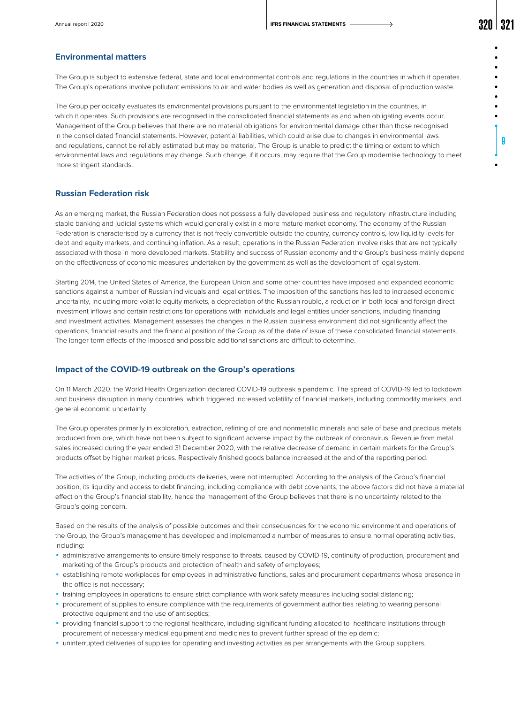### **Environmental matters**

The Group is subject to extensive federal, state and local environmental controls and regulations in the countries in which it operates. The Group's operations involve pollutant emissions to air and water bodies as well as generation and disposal of production waste.

The Group periodically evaluates its environmental provisions pursuant to the environmental legislation in the countries, in which it operates. Such provisions are recognised in the consolidated financial statements as and when obligating events occur. Management of the Group believes that there are no material obligations for environmental damage other than those recognised in the consolidated financial statements. However, potential liabilities, which could arise due to changes in environmental laws and regulations, cannot be reliably estimated but may be material. The Group is unable to predict the timing or extent to which environmental laws and regulations may change. Such change, if it occurs, may require that the Group modernise technology to meet more stringent standards.

# **Russian Federation risk**

As an emerging market, the Russian Federation does not possess a fully developed business and regulatory infrastructure including stable banking and judicial systems which would generally exist in a more mature market economy. The economy of the Russian Federation is characterised by a currency that is not freely convertible outside the country, currency controls, low liquidity levels for debt and equity markets, and continuing inflation. As a result, operations in the Russian Federation involve risks that are not typically associated with those in more developed markets. Stability and success of Russian economy and the Group's business mainly depend on the effectiveness of economic measures undertaken by the government as well as the development of legal system.

Starting 2014, the United States of America, the European Union and some other countries have imposed and expanded economic sanctions against a number of Russian individuals and legal entities. The imposition of the sanctions has led to increased economic uncertainty, including more volatile equity markets, a depreciation of the Russian rouble, a reduction in both local and foreign direct investment inflows and certain restrictions for operations with individuals and legal entities under sanctions, including financing and investment activities. Management assesses the changes in the Russian business environment did not significantly affect the operations, financial results and the financial position of the Group as of the date of issue of these consolidated financial statements. The longer-term effects of the imposed and possible additional sanctions are difficult to determine.

### **Impact of the COVID-19 outbreak on the Group's operations**

On 11 March 2020, the World Health Organization declared COVID-19 outbreak a pandemic. The spread of COVID-19 led to lockdown and business disruption in many countries, which triggered increased volatility of financial markets, including commodity markets, and general economic uncertainty.

The Group operates primarily in exploration, extraction, refining of ore and nonmetallic minerals and sale of base and precious metals produced from ore, which have not been subject to significant adverse impact by the outbreak of coronavirus. Revenue from metal sales increased during the year ended 31 December 2020, with the relative decrease of demand in certain markets for the Group's products offset by higher market prices. Respectively finished goods balance increased at the end of the reporting period.

The activities of the Group, including products deliveries, were not interrupted. According to the analysis of the Group's financial position, its liquidity and access to debt financing, including compliance with debt covenants, the above factors did not have a material effect on the Group's financial stability, hence the management of the Group believes that there is no uncertainty related to the Group's going concern.

Based on the results of the analysis of possible outcomes and their consequences for the economic environment and operations of the Group, the Group's management has developed and implemented a number of measures to ensure normal operating activities, including:

- ◾ administrative arrangements to ensure timely response to threats, caused by COVID-19, continuity of production, procurement and marketing of the Group's products and protection of health and safety of employees;
- ◾ establishing remote workplaces for employees in administrative functions, sales and procurement departments whose presence in the office is not necessary;
- ◾ training employees in operations to ensure strict compliance with work safety measures including social distancing;
- ◾ procurement of supplies to ensure compliance with the requirements of government authorities relating to wearing personal protective equipment and the use of antiseptics;
- providing financial support to the regional healthcare, including significant funding allocated to healthcare institutions through procurement of necessary medical equipment and medicines to prevent further spread of the epidemic;
- ◾ uninterrupted deliveries of supplies for operating and investing activities as per arrangements with the Group suppliers.

9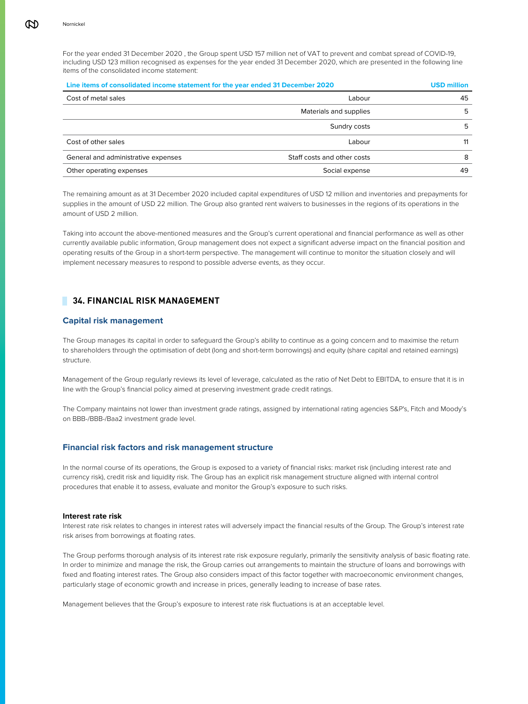For the year ended 31 December 2020 , the Group spent USD 157 million net of VAT to prevent and combat spread of COVID-19, including USD 123 million recognised as expenses for the year ended 31 December 2020, which are presented in the following line items of the consolidated income statement:

| Line items of consolidated income statement for the year ended 31 December 2020 | <b>USD million</b>          |    |
|---------------------------------------------------------------------------------|-----------------------------|----|
| Cost of metal sales                                                             | Labour                      | 45 |
|                                                                                 | Materials and supplies      | 5  |
|                                                                                 | Sundry costs                | 5  |
| Cost of other sales                                                             | Labour                      | 11 |
| General and administrative expenses                                             | Staff costs and other costs | 8  |
| Other operating expenses                                                        | Social expense              | 49 |

The remaining amount as at 31 December 2020 included capital expenditures of USD 12 million and inventories and prepayments for supplies in the amount of USD 22 million. The Group also granted rent waivers to businesses in the regions of its operations in the amount of USD 2 million.

Taking into account the above-mentioned measures and the Group's current operational and financial performance as well as other currently available public information, Group management does not expect a significant adverse impact on the financial position and operating results of the Group in a short-term perspective. The management will continue to monitor the situation closely and will implement necessary measures to respond to possible adverse events, as they occur.

# **34. FINANCIAL RISK MANAGEMENT**

# **Capital risk management**

The Group manages its capital in order to safeguard the Group's ability to continue as a going concern and to maximise the return to shareholders through the optimisation of debt (long and short-term borrowings) and equity (share capital and retained earnings) structure.

Management of the Group regularly reviews its level of leverage, calculated as the ratio of Net Debt to EBITDA, to ensure that it is in line with the Group's financial policy aimed at preserving investment grade credit ratings.

The Сompany maintains not lower than investment grade ratings, assigned by international rating agencies S&P's, Fitch and Moody's on BBB-/BBB-/Baa2 investment grade level.

### **Financial risk factors and risk management structure**

In the normal course of its operations, the Group is exposed to a variety of financial risks: market risk (including interest rate and currency risk), credit risk and liquidity risk. The Group has an explicit risk management structure aligned with internal control procedures that enable it to assess, evaluate and monitor the Group's exposure to such risks.

### **Interest rate risk**

Interest rate risk relates to changes in interest rates will adversely impact the financial results of the Group. The Group's interest rate risk arises from borrowings at floating rates.

The Group performs thorough analysis of its interest rate risk exposure regularly, primarily the sensitivity analysis of basic floating rate. In order to minimize and manage the risk, the Group carries out arrangements to maintain the structure of loans and borrowings with fixed and floating interest rates. The Group also considers impact of this factor together with macroeconomic environment changes, particularly stage of economic growth and increase in prices, generally leading to increase of base rates.

Management believes that the Group's exposure to interest rate risk fluctuations is at an acceptable level.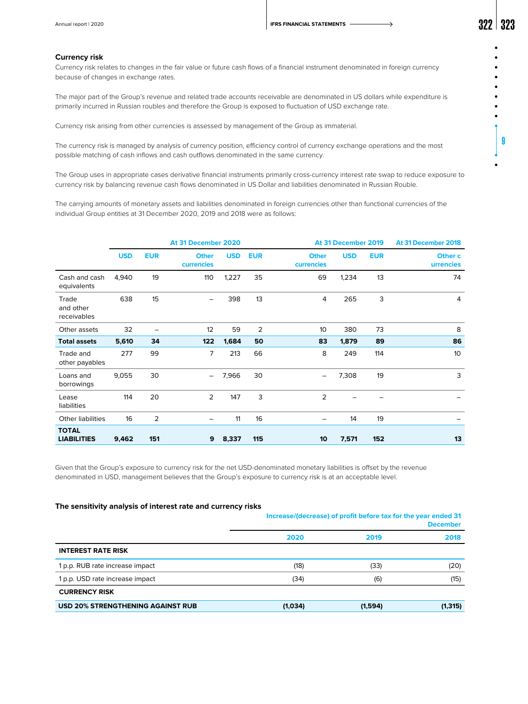9

### **Currency risk**

Currency risk relates to changes in the fair value or future cash flows of a financial instrument denominated in foreign currency because of changes in exchange rates.

The major part of the Group's revenue and related trade accounts receivable are denominated in US dollars while expenditure is primarily incurred in Russian roubles and therefore the Group is exposed to fluctuation of USD exchange rate.

Currency risk arising from other currencies is assessed by management of the Group as immaterial.

The currency risk is managed by analysis of currency position, efficiency control of currency exchange operations and the most possible matching of cash inflows and cash outflows denominated in the same currency.

The Group uses in appropriate cases derivative financial instruments primarily cross-currency interest rate swap to reduce exposure to currency risk by balancing revenue cash flows denominated in US Dollar and liabilities denominated in Russian Rouble.

The carrying amounts of monetary assets and liabilities denominated in foreign currencies other than functional currencies of the individual Group entities at 31 December 2020, 2019 and 2018 were as follows:

|                                    | At 31 December 2020 |            |                            |            |                |                            | At 31 December 2019 |            | At 31 December 2018  |
|------------------------------------|---------------------|------------|----------------------------|------------|----------------|----------------------------|---------------------|------------|----------------------|
|                                    | <b>USD</b>          | <b>EUR</b> | <b>Other</b><br>currencies | <b>USD</b> | <b>EUR</b>     | <b>Other</b><br>currencies | <b>USD</b>          | <b>EUR</b> | Other c<br>urrencies |
| Cash and cash<br>equivalents       | 4,940               | 19         | 110                        | 1,227      | 35             | 69                         | 1,234               | 13         | 74                   |
| Trade<br>and other<br>receivables  | 638                 | 15         | $\overline{\phantom{0}}$   | 398        | 13             | 4                          | 265                 | 3          | 4                    |
| Other assets                       | 32                  | -          | 12                         | 59         | $\overline{2}$ | 10                         | 380                 | 73         | 8                    |
| <b>Total assets</b>                | 5,610               | 34         | 122                        | 1,684      | 50             | 83                         | 1,879               | 89         | 86                   |
| Trade and<br>other payables        | 277                 | 99         | 7                          | 213        | 66             | 8                          | 249                 | 114        | 10                   |
| Loans and<br>borrowings            | 9,055               | 30         | -                          | 7,966      | 30             |                            | 7,308               | 19         | 3                    |
| Lease<br>liabilities               | 114                 | 20         | $\overline{2}$             | 147        | 3              | $\overline{2}$             |                     |            |                      |
| <b>Other liabilities</b>           | 16                  | 2          | -                          | 11         | 16             | -                          | 14                  | 19         |                      |
| <b>TOTAL</b><br><b>LIABILITIES</b> | 9,462               | 151        | 9                          | 8,337      | 115            | 10                         | 7,571               | 152        | 13                   |

Given that the Group's exposure to currency risk for the net USD-denominated monetary liabilities is offset by the revenue denominated in USD, management believes that the Group's exposure to currency risk is at an acceptable level.

### **The sensitivity analysis of interest rate and currency risks**

|                                          | Increase/(decrease) of profit before tax for the year ended 31<br><b>December</b> |         |          |  |
|------------------------------------------|-----------------------------------------------------------------------------------|---------|----------|--|
|                                          | 2020                                                                              | 2019    | 2018     |  |
| <b>INTEREST RATE RISK</b>                |                                                                                   |         |          |  |
| 1 p.p. RUB rate increase impact          | (18)                                                                              | (33)    | (20)     |  |
| 1 p.p. USD rate increase impact          | (34)                                                                              | (6)     | (15)     |  |
| <b>CURRENCY RISK</b>                     |                                                                                   |         |          |  |
| <b>USD 20% STRENGTHENING AGAINST RUB</b> | (1,034)                                                                           | (1,594) | (1, 315) |  |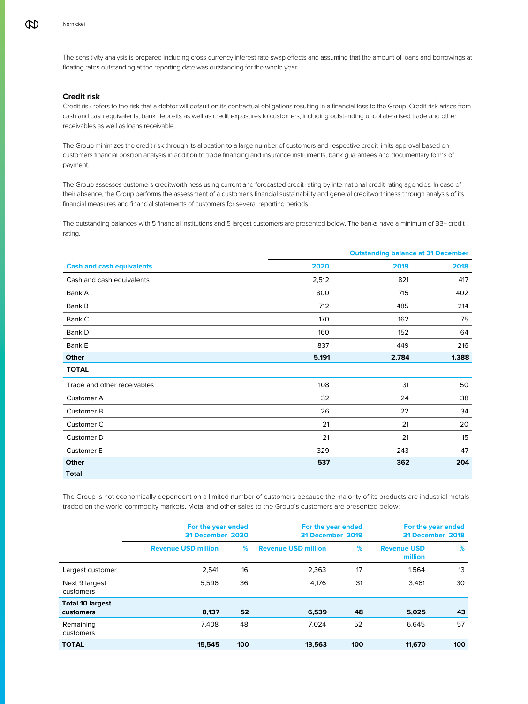The sensitivity analysis is prepared including cross-currency interest rate swap effects and assuming that the amount of loans and borrowings at floating rates outstanding at the reporting date was outstanding for the whole year.

### **Credit risk**

Credit risk refers to the risk that a debtor will default on its contractual obligations resulting in a financial loss to the Group. Credit risk arises from cash and cash equivalents, bank deposits as well as credit exposures to customers, including outstanding uncollateralised trade and other receivables as well as loans receivable.

The Group minimizes the credit risk through its allocation to a large number of customers and respective credit limits approval based on customers financial position analysis in addition to trade financing and insurance instruments, bank guarantees and documentary forms of payment.

The Group assesses customers creditworthiness using current and forecasted credit rating by international credit-rating agencies. In case of their absence, the Group performs the assessment of a customer's financial sustainability and general creditworthiness through analysis of its financial measures and financial statements of customers for several reporting periods.

The outstanding balances with 5 financial institutions and 5 largest customers are presented below. The banks have a minimum of BB+ credit rating.

|                                  |       | <b>Outstanding balance at 31 December</b> |       |
|----------------------------------|-------|-------------------------------------------|-------|
| <b>Cash and cash equivalents</b> | 2020  | 2019                                      | 2018  |
| Cash and cash equivalents        | 2,512 | 821                                       | 417   |
| Bank A                           | 800   | 715                                       | 402   |
| Bank B                           | 712   | 485                                       | 214   |
| Bank C                           | 170   | 162                                       | 75    |
| Bank D                           | 160   | 152                                       | 64    |
| Bank E                           | 837   | 449                                       | 216   |
| Other                            | 5,191 | 2,784                                     | 1,388 |
| <b>TOTAL</b>                     |       |                                           |       |
| Trade and other receivables      | 108   | 31                                        | 50    |
| Customer A                       | 32    | 24                                        | 38    |
| Customer B                       | 26    | 22                                        | 34    |
| Customer C                       | 21    | 21                                        | 20    |
| Customer D                       | 21    | 21                                        | 15    |
| Customer E                       | 329   | 243                                       | 47    |
| Other                            | 537   | 362                                       | 204   |
| <b>Total</b>                     |       |                                           |       |

The Group is not economically dependent on a limited number of customers because the majority of its products are industrial metals traded on the world commodity markets. Metal and other sales to the Group's customers are presented below:

|                                      | For the year ended<br>31 December 2020 |     | For the year ended<br>31 December 2019 |     | For the year ended<br>31 December 2018 |     |
|--------------------------------------|----------------------------------------|-----|----------------------------------------|-----|----------------------------------------|-----|
|                                      | <b>Revenue USD million</b>             | %   | <b>Revenue USD million</b>             | %   | <b>Revenue USD</b><br>million          | %   |
| Largest customer                     | 2,541                                  | 16  | 2,363                                  | 17  | 1,564                                  | 13  |
| Next 9 largest<br>customers          | 5,596                                  | 36  | 4.176                                  | 31  | 3,461                                  | 30  |
| <b>Total 10 largest</b><br>customers | 8,137                                  | 52  | 6,539                                  | 48  | 5,025                                  | 43  |
| Remaining<br>customers               | 7.408                                  | 48  | 7.024                                  | 52  | 6.645                                  | 57  |
| <b>TOTAL</b>                         | 15,545                                 | 100 | 13,563                                 | 100 | 11,670                                 | 100 |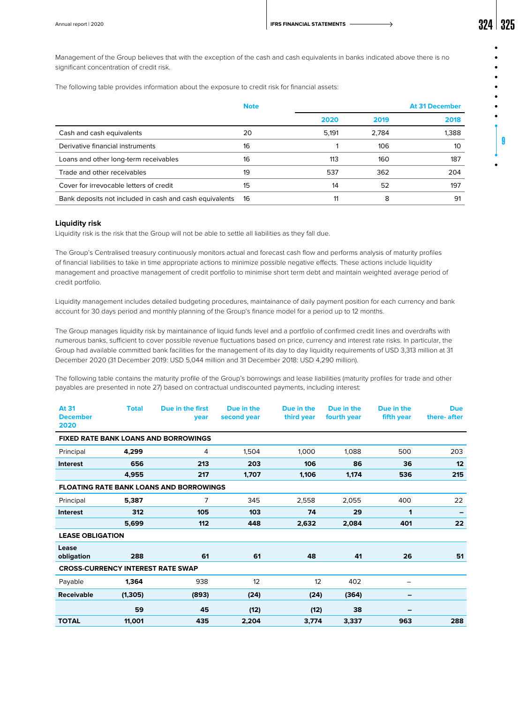9

Management of the Group believes that with the exception of the cash and cash equivalents in banks indicated above there is no significant concentration of credit risk.

The following table provides information about the exposure to credit risk for financial assets:

|                                                         | <b>Note</b> |       |       | <b>At 31 December</b> |
|---------------------------------------------------------|-------------|-------|-------|-----------------------|
|                                                         |             | 2020  | 2019  | 2018                  |
| Cash and cash equivalents                               | 20          | 5.191 | 2.784 | 1,388                 |
| Derivative financial instruments                        | 16          |       | 106   | 10                    |
| Loans and other long-term receivables                   | 16          | 113   | 160   | 187                   |
| Trade and other receivables                             | 19          | 537   | 362   | 204                   |
| Cover for irrevocable letters of credit                 | 15          | 14    | 52    | 197                   |
| Bank deposits not included in cash and cash equivalents | 16          | 11    | 8     | 91                    |

### **Liquidity risk**

Liquidity risk is the risk that the Group will not be able to settle all liabilities as they fall due.

The Group's Centralised treasury continuously monitors actual and forecast cash flow and performs analysis of maturity profiles of financial liabilities to take in time appropriate actions to minimize possible negative effects. These actions include liquidity management and proactive management of credit portfolio to minimise short term debt and maintain weighted average period of credit portfolio.

Liquidity management includes detailed budgeting procedures, maintainance of daily payment position for each currency and bank account for 30 days period and monthly planning of the Group's finance model for a period up to 12 months.

The Group manages liquidity risk by maintainance of liquid funds level and a portfolio of confirmed credit lines and overdrafts with numerous banks, sufficient to cover possible revenue fluctuations based on price, currency and interest rate risks. In particular, the Group had available committed bank facilities for the management of its day to day liquidity requirements of USD 3,313 million at 31 December 2020 (31 December 2019: USD 5,044 million and 31 December 2018: USD 4,290 million).

The following table contains the maturity profile of the Group's borrowings and lease liabilities (maturity profiles for trade and other payables are presented in note 27) based on contractual undiscounted payments, including interest:

| At 31<br><b>December</b><br>2020         | <b>Total</b> | Due in the first<br>vear                       | Due in the<br>second year | Due in the<br>third year | Due in the<br>fourth year | Due in the<br>fifth year | <b>Due</b><br>there- after |
|------------------------------------------|--------------|------------------------------------------------|---------------------------|--------------------------|---------------------------|--------------------------|----------------------------|
|                                          |              | <b>FIXED RATE BANK LOANS AND BORROWINGS</b>    |                           |                          |                           |                          |                            |
| Principal                                | 4,299        | 4                                              | 1,504                     | 1,000                    | 1,088                     | 500                      | 203                        |
| <b>Interest</b>                          | 656          | 213                                            | 203                       | 106                      | 86                        | 36                       | 12                         |
|                                          | 4,955        | 217                                            | 1,707                     | 1,106                    | 1,174                     | 536                      | 215                        |
|                                          |              | <b>FLOATING RATE BANK LOANS AND BORROWINGS</b> |                           |                          |                           |                          |                            |
| Principal                                | 5,387        | 7                                              | 345                       | 2,558                    | 2,055                     | 400                      | 22                         |
| <b>Interest</b>                          | 312          | 105                                            | 103                       | 74                       | 29                        | 1                        |                            |
|                                          | 5,699        | 112                                            | 448                       | 2,632                    | 2,084                     | 401                      | 22                         |
| <b>LEASE OBLIGATION</b>                  |              |                                                |                           |                          |                           |                          |                            |
| Lease<br>obligation                      | 288          | 61                                             | 61                        | 48                       | 41                        | 26                       | 51                         |
| <b>CROSS-CURRENCY INTEREST RATE SWAP</b> |              |                                                |                           |                          |                           |                          |                            |
| Payable                                  | 1,364        | 938                                            | 12                        | 12                       | 402                       |                          |                            |
| <b>Receivable</b>                        | (1, 305)     | (893)                                          | (24)                      | (24)                     | (364)                     | -                        |                            |
|                                          | 59           | 45                                             | (12)                      | (12)                     | 38                        | -                        |                            |
| <b>TOTAL</b>                             | 11,001       | 435                                            | 2,204                     | 3,774                    | 3,337                     | 963                      | 288                        |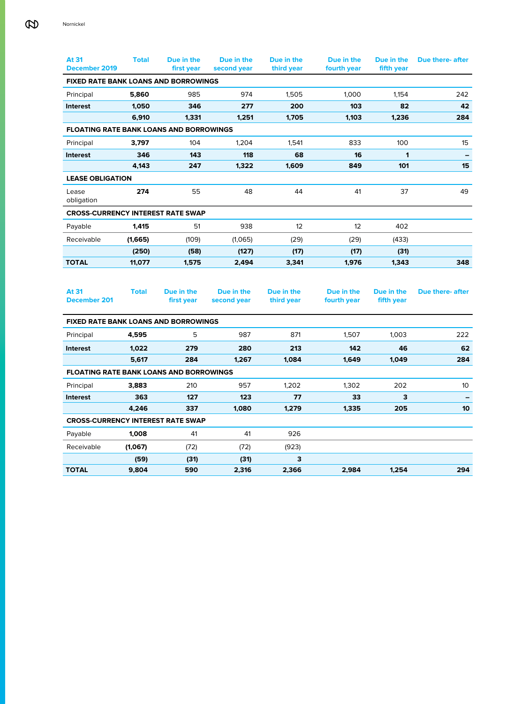| At 31<br>December 2019                         | <b>Total</b> | Due in the<br>first year | Due in the<br>second year | Due in the<br>third year | Due in the<br>fourth year | Due in the<br>fifth year | <b>Due there- after</b> |
|------------------------------------------------|--------------|--------------------------|---------------------------|--------------------------|---------------------------|--------------------------|-------------------------|
| <b>FIXED RATE BANK LOANS AND BORROWINGS</b>    |              |                          |                           |                          |                           |                          |                         |
| Principal                                      | 5,860        | 985                      | 974                       | 1,505                    | 1,000                     | 1,154                    | 242                     |
| <b>Interest</b>                                | 1,050        | 346                      | 277                       | 200                      | 103                       | 82                       | 42                      |
|                                                | 6,910        | 1,331                    | 1,251                     | 1,705                    | 1,103                     | 1,236                    | 284                     |
| <b>FLOATING RATE BANK LOANS AND BORROWINGS</b> |              |                          |                           |                          |                           |                          |                         |
| Principal                                      | 3,797        | 104                      | 1,204                     | 1,541                    | 833                       | 100                      | 15                      |
| <b>Interest</b>                                | 346          | 143                      | 118                       | 68                       | 16                        | 1                        |                         |
|                                                | 4,143        | 247                      | 1,322                     | 1,609                    | 849                       | 101                      | 15                      |
| <b>LEASE OBLIGATION</b>                        |              |                          |                           |                          |                           |                          |                         |
| Lease<br>obligation                            | 274          | 55                       | 48                        | 44                       | 41                        | 37                       | 49                      |
| <b>CROSS-CURRENCY INTEREST RATE SWAP</b>       |              |                          |                           |                          |                           |                          |                         |
| Payable                                        | 1,415        | 51                       | 938                       | 12                       | 12                        | 402                      |                         |
| Receivable                                     | (1,665)      | (109)                    | (1,065)                   | (29)                     | (29)                      | (433)                    |                         |
|                                                | (250)        | (58)                     | (127)                     | (17)                     | (17)                      | (31)                     |                         |
| <b>TOTAL</b>                                   | 11,077       | 1,575                    | 2,494                     | 3,341                    | 1,976                     | 1,343                    | 348                     |
|                                                |              |                          |                           |                          |                           |                          |                         |
| At 31<br><b>December 201</b>                   | <b>Total</b> | Due in the<br>first year | Due in the<br>second year | Due in the<br>third year | Due in the<br>fourth year | Due in the<br>fifth year | Due there- after        |
| <b>FIXED RATE BANK LOANS AND BORROWINGS</b>    |              |                          |                           |                          |                           |                          |                         |
| Principal                                      | 4,595        | 5                        | 987                       | 871                      | 1,507                     | 1,003                    | 222                     |
| <b>Interest</b>                                | 1,022        | 279                      | 280                       | 213                      | 142                       | 46                       | 62                      |
|                                                | 5,617        | 284                      | 1,267                     | 1,084                    | 1,649                     | 1,049                    | 284                     |
| <b>FLOATING RATE BANK LOANS AND BORROWINGS</b> |              |                          |                           |                          |                           |                          |                         |
| Principal                                      | 3,883        | 210                      | 957                       | 1.202                    | 1,302                     | 202                      | 10 <sup>°</sup>         |
| Interest                                       | 363          | 127                      | 123                       | 77                       | 33                        | 3                        |                         |
|                                                | 4,246        | 337                      | 1,080                     | 1,279                    | 1,335                     | 205                      | 10                      |
| <b>CROSS-CURRENCY INTEREST RATE SWAP</b>       |              |                          |                           |                          |                           |                          |                         |
| Payable                                        | 1,008        | 41                       | 41                        | 926                      |                           |                          |                         |
| Receivable                                     | (1,067)      | (72)                     | (72)                      | (923)                    |                           |                          |                         |
|                                                | (59)         | (31)                     | (31)                      | 3                        |                           |                          |                         |
| <b>TOTAL</b>                                   | 9,804        | 590                      | 2,316                     | 2,366                    | 2,984                     | 1,254                    | 294                     |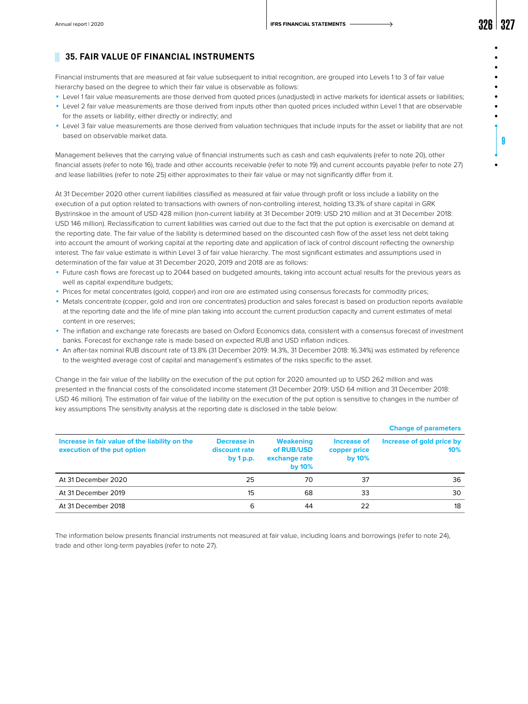9

# **35. FAIR VALUE OF FINANCIAL INSTRUMENTS**

Financial instruments that are measured at fair value subsequent to initial recognition, are grouped into Levels 1 to 3 of fair value hierarchy based on the degree to which their fair value is observable as follows:

- **•** Level 1 fair value measurements are those derived from quoted prices (unadjusted) in active markets for identical assets or liabilities;
- ◾ Level 2 fair value measurements are those derived from inputs other than quoted prices included within Level 1 that are observable for the assets or liability, either directly or indirectly; and
- ◾ Level 3 fair value measurements are those derived from valuation techniques that include inputs for the asset or liability that are not based on observable market data.

Management believes that the carrying value of financial instruments such as cash and cash equivalents (refer to note 20), other financial assets (refer to note 16), trade and other accounts receivable (refer to note 19) and current accounts payable (refer to note 27) and lease liabilities (refer to note 25) either approximates to their fair value or may not significantly differ from it.

At 31 December 2020 other current liabilities classified as measured at fair value through profit or loss include a liability on the execution of a put option related to transactions with owners of non-controlling interest, holding 13.3% of share capital in GRK Bystrinskoe in the amount of USD 428 million (non-current liability at 31 December 2019: USD 210 million and at 31 December 2018: USD 146 million). Reclassification to current liabilities was carried out due to the fact that the put option is exercisable on demand at the reporting date. The fair value of the liability is determined based on the discounted cash flow of the asset less net debt taking into account the amount of working capital at the reporting date and application of lack of control discount reflecting the ownership interest. The fair value estimate is within Level 3 of fair value hierarchy. The most significant estimates and assumptions used in determination of the fair value at 31 December 2020, 2019 and 2018 are as follows:

- Future cash flows are forecast up to 2044 based on budgeted amounts, taking into account actual results for the previous years as well as capital expenditure budgets;
- ◾ Prices for metal concentrates (gold, copper) and iron ore are estimated using consensus forecasts for commodity prices;
- ◾ Metals concentrate (copper, gold and iron ore concentrates) production and sales forecast is based on production reports available at the reporting date and the life of mine plan taking into account the current production capacity and current estimates of metal content in ore reserves;
- ◾ The inflation and exchange rate forecasts are based on Oxford Economics data, consistent with a consensus forecast of investment banks. Forecast for exchange rate is made based on expected RUB and USD inflation indices.
- ◾ An after-tax nominal RUB discount rate of 13.8% (31 December 2019: 14.3%, 31 December 2018: 16.34%) was estimated by reference to the weighted average cost of capital and management's estimates of the risks specific to the asset.

Change in the fair value of the liability on the execution of the put option for 2020 amounted up to USD 262 million and was presented in the financial costs of the consolidated income statement (31 December 2019: USD 64 million and 31 December 2018: USD 46 million). The estimation of fair value of the liability on the execution of the put option is sensitive to changes in the number of key assumptions The sensitivity analysis at the reporting date is disclosed in the table below:

|                                                                               |                                           |                                                              |                                          | <b>Change of parameters</b>      |
|-------------------------------------------------------------------------------|-------------------------------------------|--------------------------------------------------------------|------------------------------------------|----------------------------------|
| Increase in fair value of the liability on the<br>execution of the put option | Decrease in<br>discount rate<br>by 1 p.p. | <b>Weakening</b><br>of RUB/USD<br>exchange rate<br>by $10\%$ | Increase of<br>copper price<br>by $10\%$ | Increase of gold price by<br>10% |
| At 31 December 2020                                                           | 25                                        | 70                                                           | 37                                       | 36                               |
| At 31 December 2019                                                           | 15                                        | 68                                                           | 33                                       | 30                               |
| At 31 December 2018                                                           | 6                                         | 44                                                           | 22                                       | 18                               |

The information below presents financial instruments not measured at fair value, including loans and borrowings (refer to note 24), trade and other long-term payables (refer to note 27).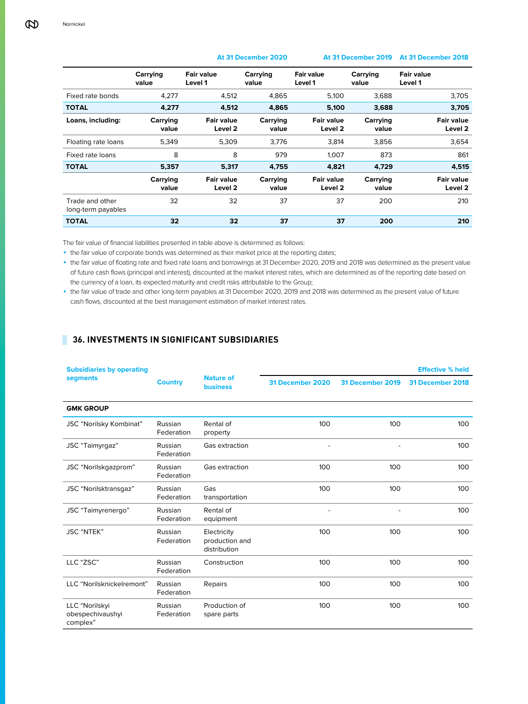|                                       | Carrying<br>value | <b>Fair value</b><br>Level 1            | Carrying<br>value | <b>Fair value</b><br>Level 1            | Carrying<br>value | <b>Fair value</b><br>Level 1            |
|---------------------------------------|-------------------|-----------------------------------------|-------------------|-----------------------------------------|-------------------|-----------------------------------------|
| Fixed rate bonds                      | 4.277             | 4.512                                   | 4.865             | 5.100                                   | 3.688             | 3.705                                   |
| <b>TOTAL</b>                          | 4.277             | 4.512                                   | 4.865             | 5,100                                   | 3.688             | 3.705                                   |
| Loans, including:                     | Carrying<br>value | Fair value<br>Level <sub>2</sub>        | Carrying<br>value | Fair value<br>Level 2                   | Carrying<br>value | <b>Fair value</b><br>Level <sub>2</sub> |
| Floating rate loans                   | 5,349             | 5,309                                   | 3,776             | 3,814                                   | 3,856             | 3,654                                   |
| Fixed rate loans                      | 8                 | 8                                       | 979               | 1.007                                   | 873               | 861                                     |
| <b>TOTAL</b>                          | 5,357             | 5,317                                   | 4.755             | 4.821                                   | 4.729             | 4.515                                   |
|                                       | Carrying<br>value | <b>Fair value</b><br>Level <sub>2</sub> | Carrying<br>value | <b>Fair value</b><br>Level <sub>2</sub> | Carrying<br>value | <b>Fair value</b><br>Level <sub>2</sub> |
| Trade and other<br>long-term payables | 32                | 32                                      | 37                | 37                                      | 200               | 210                                     |
| <b>TOTAL</b>                          | 32                | 32                                      | 37                | 37                                      | 200               | 210                                     |

# **At 31 December 2020 At 31 December 2019 At 31 December 2018**

The fair value of financial liabilities presented in table above is determined as follows:

• the fair value of corporate bonds was determined as their market price at the reporting dates;

◾ the fair value of floating rate and fixed rate loans and borrowings at 31 December 2020, 2019 and 2018 was determined as the present value of future cash flows (principal and interest), discounted at the market interest rates, which are determined as of the reporting date based on the currency of a loan, its expected maturity and credit risks attributable to the Group;

◾ the fair value of trade and other long-term payables at 31 December 2020, 2019 and 2018 was determined as the present value of future cash flows, discounted at the best management estimation of market interest rates.

# **36. INVESTMENTS IN SIGNIFICANT SUBSIDIARIES**

| <b>Subsidiaries by operating</b>               |                       |                                               |                  |                  | <b>Effective % held</b> |
|------------------------------------------------|-----------------------|-----------------------------------------------|------------------|------------------|-------------------------|
| segments                                       | <b>Country</b>        | <b>Nature of</b><br><b>business</b>           | 31 December 2020 | 31 December 2019 | 31 December 2018        |
| <b>GMK GROUP</b>                               |                       |                                               |                  |                  |                         |
| JSC "Norilsky Kombinat"                        | Russian<br>Federation | Rental of<br>property                         | 100              | 100              | 100                     |
| JSC "Taimyrgaz"                                | Russian<br>Federation | Gas extraction                                |                  |                  | 100                     |
| JSC "Norilskgazprom"                           | Russian<br>Federation | Gas extraction                                | 100              | 100              | 100                     |
| JSC "Norilsktransgaz"                          | Russian<br>Federation | Gas<br>transportation                         | 100              | 100              | 100                     |
| JSC "Taimyrenergo"                             | Russian<br>Federation | Rental of<br>equipment                        |                  |                  | 100                     |
| <b>JSC "NTEK"</b>                              | Russian<br>Federation | Electricity<br>production and<br>distribution | 100              | 100              | 100                     |
| LLC "ZSC"                                      | Russian<br>Federation | Construction                                  | 100              | 100              | 100                     |
| LLC "Norilsknickelremont"                      | Russian<br>Federation | Repairs                                       | 100              | 100              | 100                     |
| LLC "Norilskyi<br>obespechivaushyi<br>complex" | Russian<br>Federation | Production of<br>spare parts                  | 100              | 100              | 100                     |